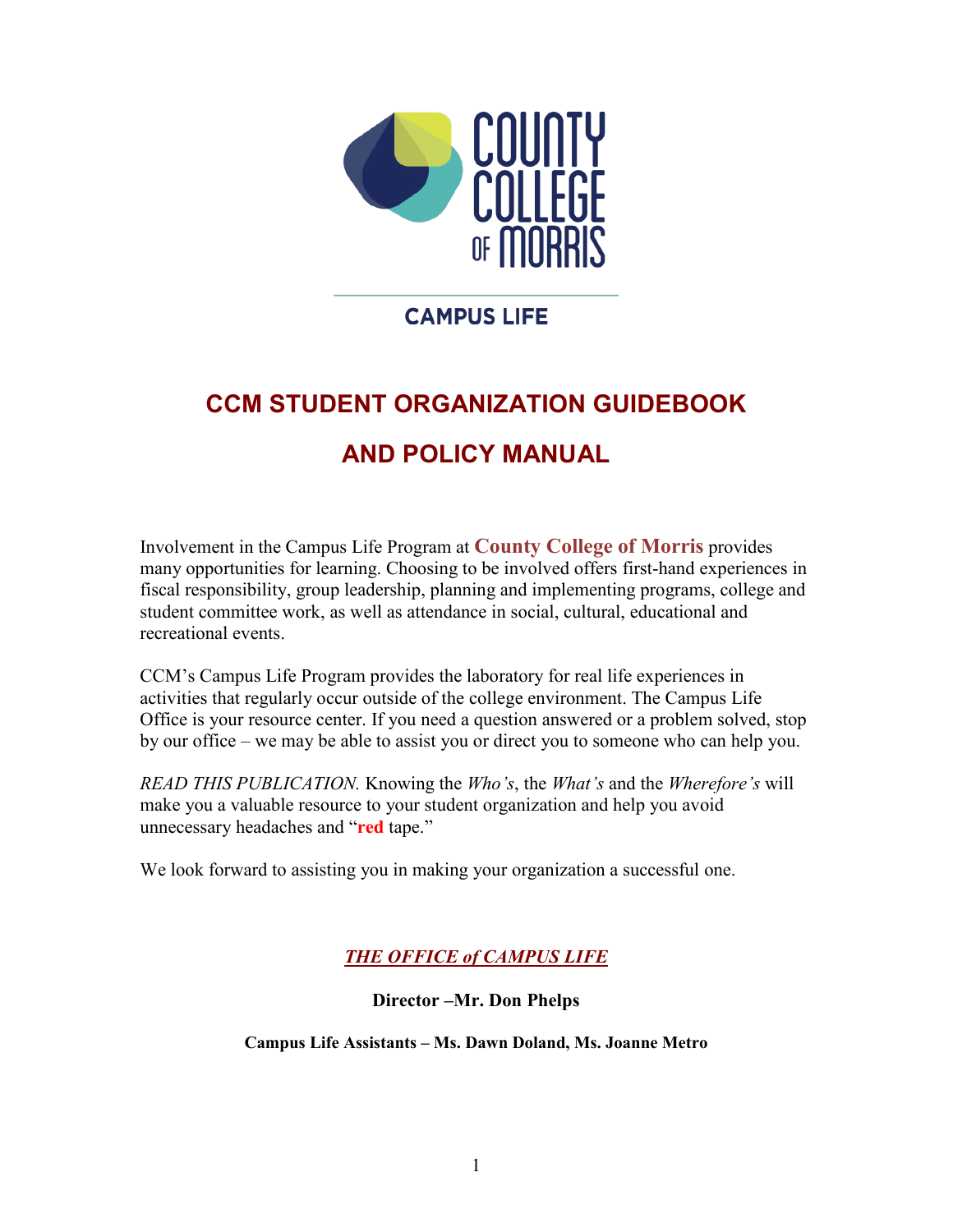

## **CAMPUS LIFE**

# **CCM STUDENT ORGANIZATION GUIDEBOOK AND POLICY MANUAL**

Involvement in the Campus Life Program at **County College of Morris** provides many opportunities for learning. Choosing to be involved offers first-hand experiences in fiscal responsibility, group leadership, planning and implementing programs, college and student committee work, as well as attendance in social, cultural, educational and recreational events.

CCM's Campus Life Program provides the laboratory for real life experiences in activities that regularly occur outside of the college environment. The Campus Life Office is your resource center. If you need a question answered or a problem solved, stop by our office – we may be able to assist you or direct you to someone who can help you.

*READ THIS PUBLICATION.* Knowing the *Who's*, the *What's* and the *Wherefore's* will make you a valuable resource to your student organization and help you avoid unnecessary headaches and "**red** tape."

We look forward to assisting you in making your organization a successful one.

*THE OFFICE of CAMPUS LIFE* 

**Director –Mr. Don Phelps**

**Campus Life Assistants – Ms. Dawn Doland, Ms. Joanne Metro**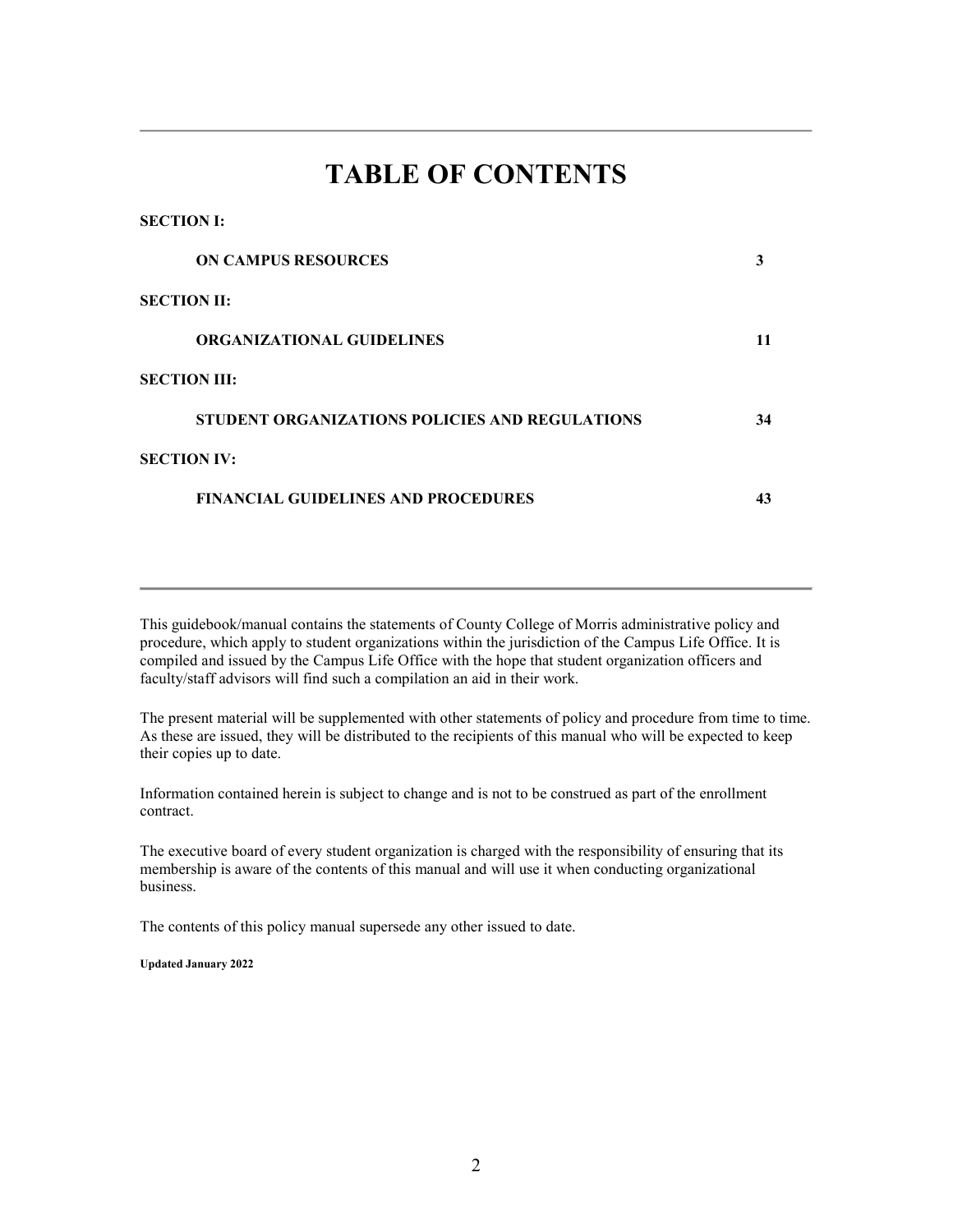## **TABLE OF CONTENTS**

| 920 1101 1.                                           |    |
|-------------------------------------------------------|----|
| <b>ON CAMPUS RESOURCES</b>                            | 3  |
| <b>SECTION II:</b>                                    |    |
| <b>ORGANIZATIONAL GUIDELINES</b>                      | 11 |
| <b>SECTION III:</b>                                   |    |
| <b>STUDENT ORGANIZATIONS POLICIES AND REGULATIONS</b> | 34 |
| <b>SECTION IV:</b>                                    |    |
| <b>FINANCIAL GUIDELINES AND PROCEDURES</b>            | 43 |
|                                                       |    |

This guidebook/manual contains the statements of County College of Morris administrative policy and procedure, which apply to student organizations within the jurisdiction of the Campus Life Office. It is compiled and issued by the Campus Life Office with the hope that student organization officers and faculty/staff advisors will find such a compilation an aid in their work.

The present material will be supplemented with other statements of policy and procedure from time to time. As these are issued, they will be distributed to the recipients of this manual who will be expected to keep their copies up to date.

Information contained herein is subject to change and is not to be construed as part of the enrollment contract.

The executive board of every student organization is charged with the responsibility of ensuring that its membership is aware of the contents of this manual and will use it when conducting organizational business.

The contents of this policy manual supersede any other issued to date.

**Updated January 2022**

**SECTION I:**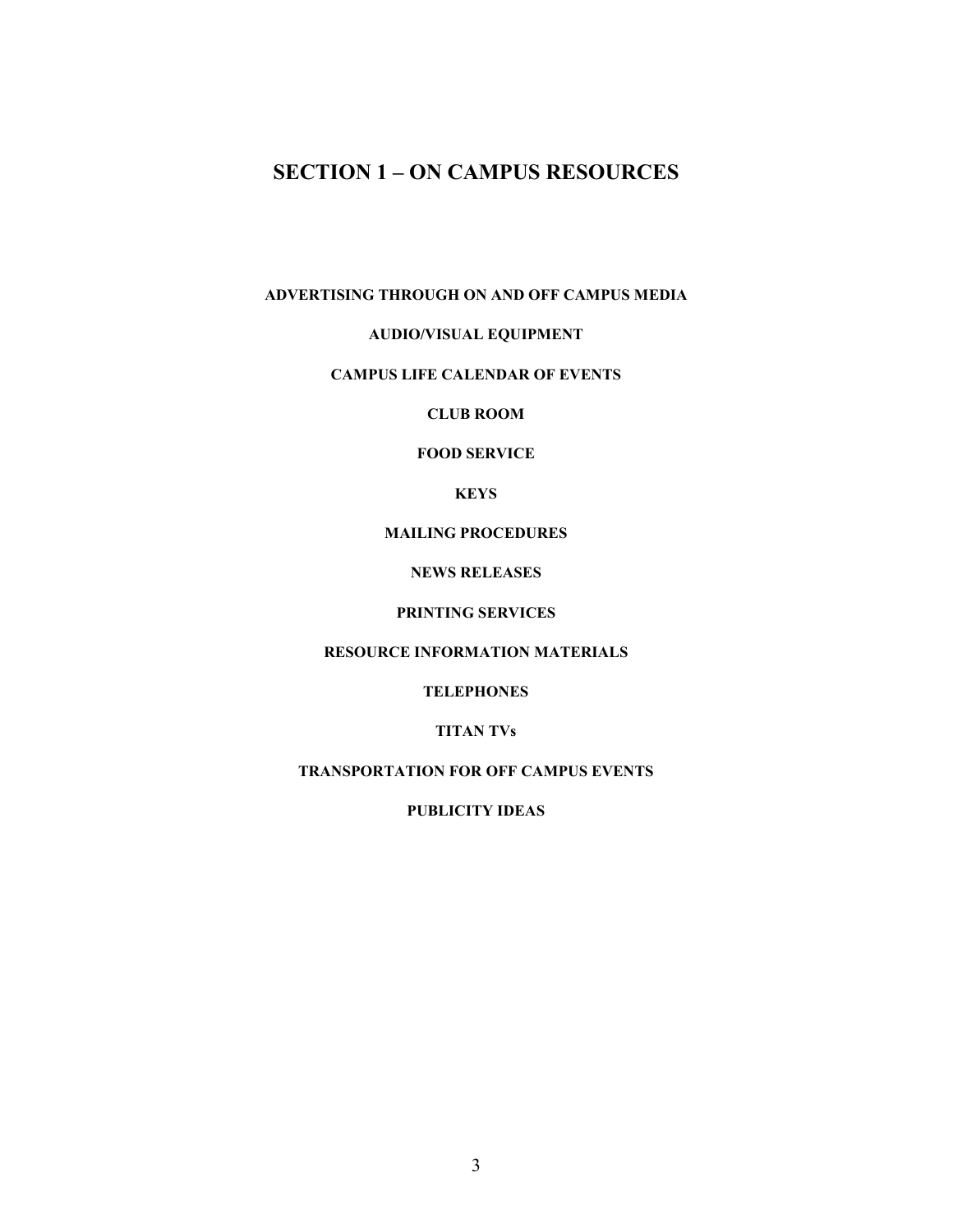## **SECTION 1 – ON CAMPUS RESOURCES**

#### **ADVERTISING THROUGH ON AND OFF CAMPUS MEDIA**

#### **AUDIO/VISUAL EQUIPMENT**

#### **CAMPUS LIFE CALENDAR OF EVENTS**

**CLUB ROOM**

#### **FOOD SERVICE**

**KEYS**

#### **MAILING PROCEDURES**

#### **NEWS RELEASES**

#### **PRINTING SERVICES**

#### **RESOURCE INFORMATION MATERIALS**

#### **TELEPHONES**

#### **TITAN TVs**

#### **TRANSPORTATION FOR OFF CAMPUS EVENTS**

#### **PUBLICITY IDEAS**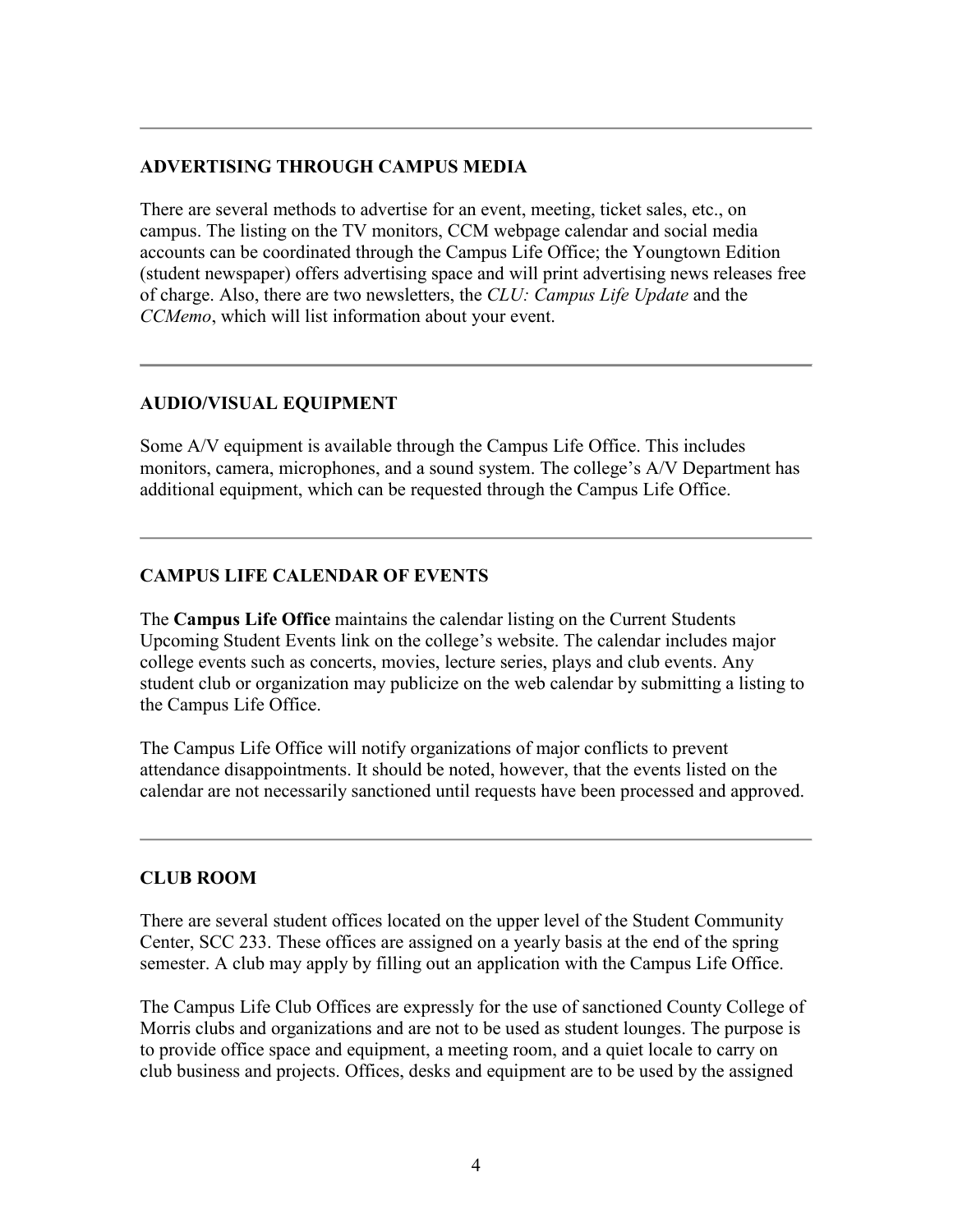#### **ADVERTISING THROUGH CAMPUS MEDIA**

There are several methods to advertise for an event, meeting, ticket sales, etc., on campus. The listing on the TV monitors, CCM webpage calendar and social media accounts can be coordinated through the Campus Life Office; the Youngtown Edition (student newspaper) offers advertising space and will print advertising news releases free of charge. Also, there are two newsletters, the *CLU: Campus Life Update* and the *CCMemo*, which will list information about your event.

### **AUDIO/VISUAL EQUIPMENT**

Some A/V equipment is available through the Campus Life Office. This includes monitors, camera, microphones, and a sound system. The college's A/V Department has additional equipment, which can be requested through the Campus Life Office.

### **CAMPUS LIFE CALENDAR OF EVENTS**

The **Campus Life Office** maintains the calendar listing on the Current Students Upcoming Student Events link on the college's website. The calendar includes major college events such as concerts, movies, lecture series, plays and club events. Any student club or organization may publicize on the web calendar by submitting a listing to the Campus Life Office.

The Campus Life Office will notify organizations of major conflicts to prevent attendance disappointments. It should be noted, however, that the events listed on the calendar are not necessarily sanctioned until requests have been processed and approved.

#### **CLUB ROOM**

There are several student offices located on the upper level of the Student Community Center, SCC 233. These offices are assigned on a yearly basis at the end of the spring semester. A club may apply by filling out an application with the Campus Life Office.

The Campus Life Club Offices are expressly for the use of sanctioned County College of Morris clubs and organizations and are not to be used as student lounges. The purpose is to provide office space and equipment, a meeting room, and a quiet locale to carry on club business and projects. Offices, desks and equipment are to be used by the assigned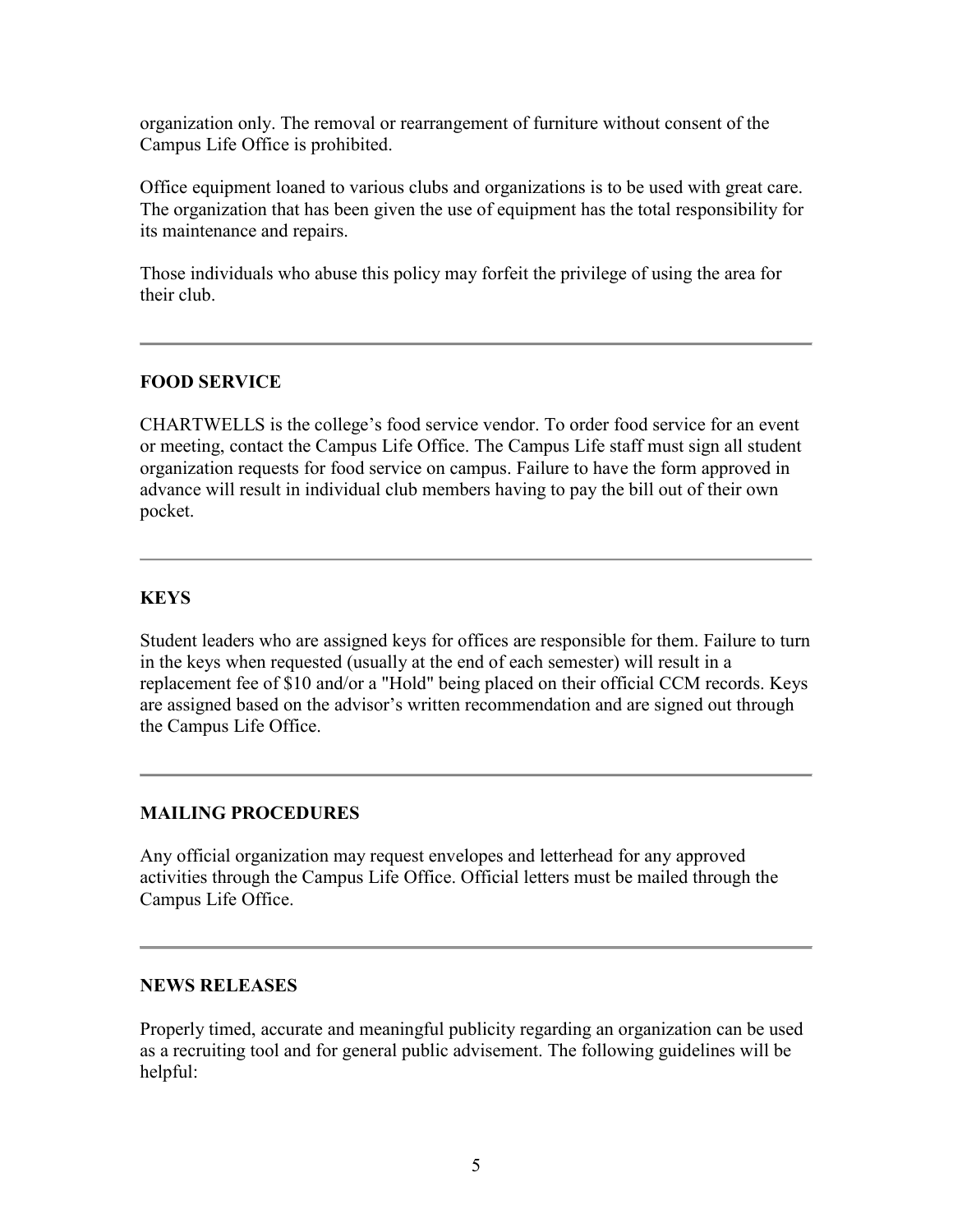organization only. The removal or rearrangement of furniture without consent of the Campus Life Office is prohibited.

Office equipment loaned to various clubs and organizations is to be used with great care. The organization that has been given the use of equipment has the total responsibility for its maintenance and repairs.

Those individuals who abuse this policy may forfeit the privilege of using the area for their club.

### **FOOD SERVICE**

CHARTWELLS is the college's food service vendor. To order food service for an event or meeting, contact the Campus Life Office. The Campus Life staff must sign all student organization requests for food service on campus. Failure to have the form approved in advance will result in individual club members having to pay the bill out of their own pocket.

#### **KEYS**

Student leaders who are assigned keys for offices are responsible for them. Failure to turn in the keys when requested (usually at the end of each semester) will result in a replacement fee of \$10 and/or a "Hold" being placed on their official CCM records. Keys are assigned based on the advisor's written recommendation and are signed out through the Campus Life Office.

#### **MAILING PROCEDURES**

Any official organization may request envelopes and letterhead for any approved activities through the Campus Life Office. Official letters must be mailed through the Campus Life Office.

#### **NEWS RELEASES**

Properly timed, accurate and meaningful publicity regarding an organization can be used as a recruiting tool and for general public advisement. The following guidelines will be helpful: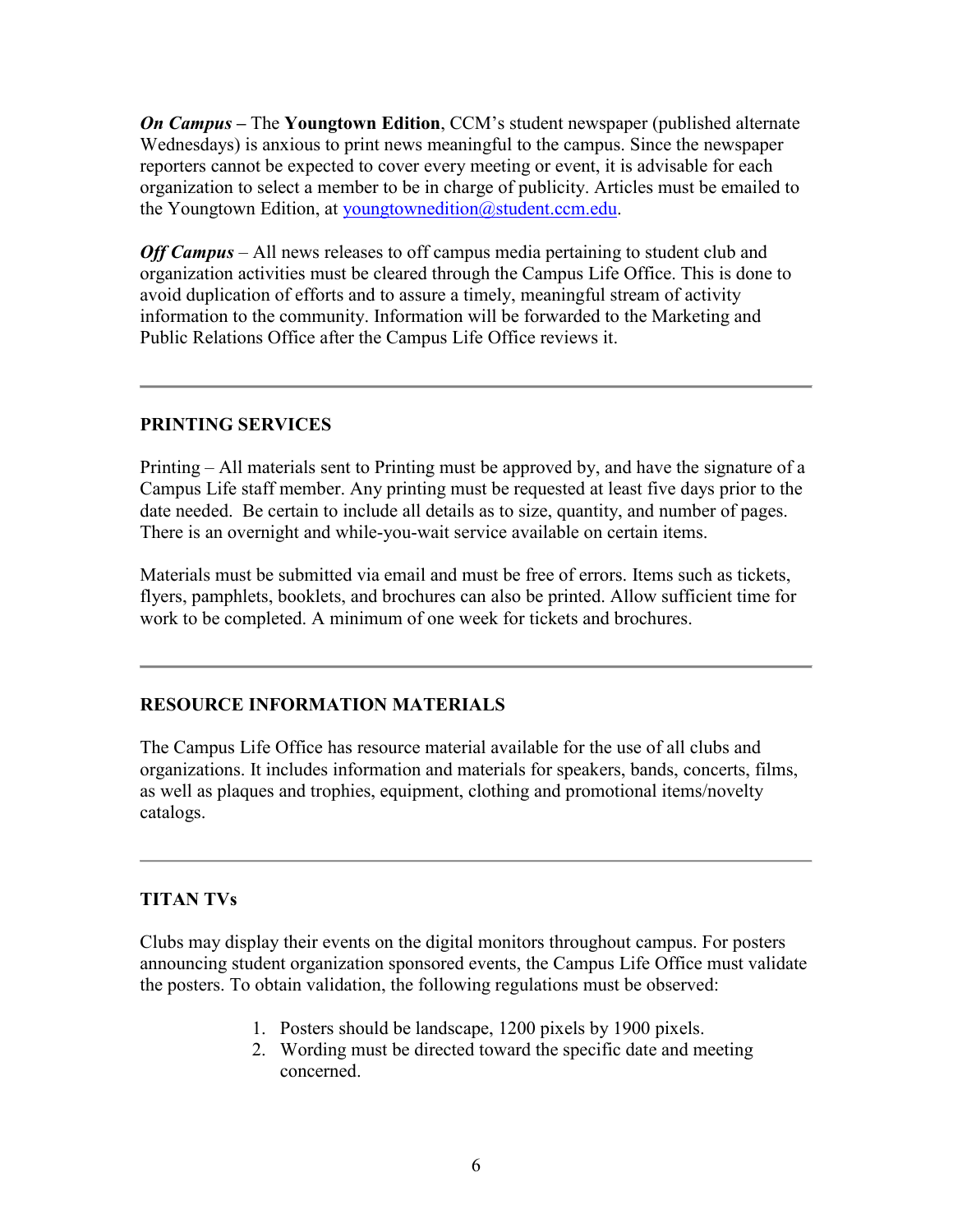*On Campus* **–** The **Youngtown Edition**, CCM's student newspaper (published alternate Wednesdays) is anxious to print news meaningful to the campus. Since the newspaper reporters cannot be expected to cover every meeting or event, it is advisable for each organization to select a member to be in charge of publicity. Articles must be emailed to the Youngtown Edition, at [youngtownedition@student.ccm.edu.](mailto:youngtownedition@student.ccm.edu)

*Off Campus* – All news releases to off campus media pertaining to student club and organization activities must be cleared through the Campus Life Office. This is done to avoid duplication of efforts and to assure a timely, meaningful stream of activity information to the community. Information will be forwarded to the Marketing and Public Relations Office after the Campus Life Office reviews it.

#### **PRINTING SERVICES**

Printing – All materials sent to Printing must be approved by, and have the signature of a Campus Life staff member. Any printing must be requested at least five days prior to the date needed. Be certain to include all details as to size, quantity, and number of pages. There is an overnight and while-you-wait service available on certain items.

Materials must be submitted via email and must be free of errors. Items such as tickets, flyers, pamphlets, booklets, and brochures can also be printed. Allow sufficient time for work to be completed. A minimum of one week for tickets and brochures.

#### **RESOURCE INFORMATION MATERIALS**

The Campus Life Office has resource material available for the use of all clubs and organizations. It includes information and materials for speakers, bands, concerts, films, as well as plaques and trophies, equipment, clothing and promotional items/novelty catalogs.

#### **TITAN TVs**

Clubs may display their events on the digital monitors throughout campus. For posters announcing student organization sponsored events, the Campus Life Office must validate the posters. To obtain validation, the following regulations must be observed:

- 1. Posters should be landscape, 1200 pixels by 1900 pixels.
- 2. Wording must be directed toward the specific date and meeting concerned.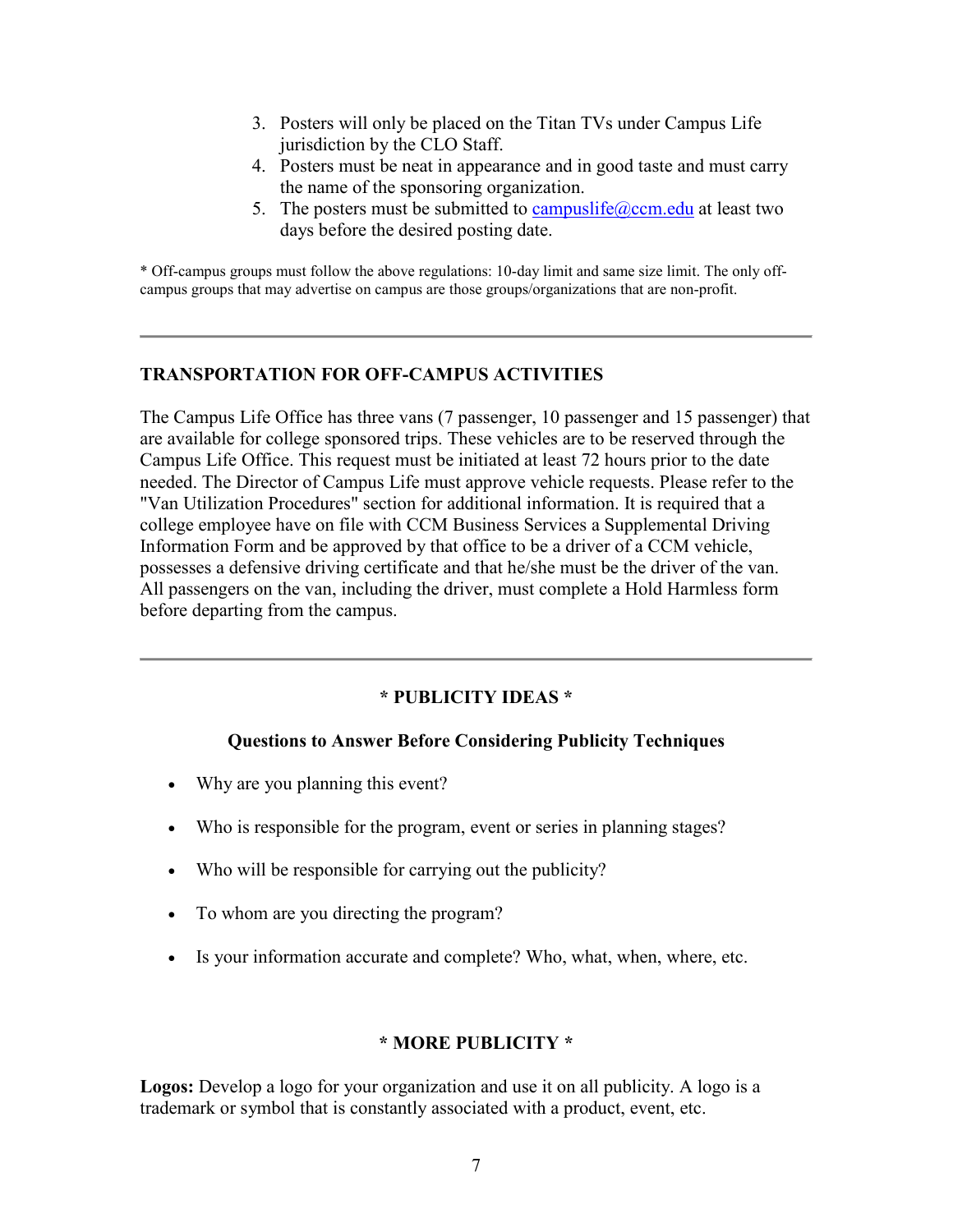- 3. Posters will only be placed on the Titan TVs under Campus Life jurisdiction by the CLO Staff.
- 4. Posters must be neat in appearance and in good taste and must carry the name of the sponsoring organization.
- 5. The posters must be submitted to [campuslife@ccm.edu](mailto:campuslife@ccm.edu) at least two days before the desired posting date.

\* Off-campus groups must follow the above regulations: 10-day limit and same size limit. The only offcampus groups that may advertise on campus are those groups/organizations that are non-profit.

#### **TRANSPORTATION FOR OFF-CAMPUS ACTIVITIES**

The Campus Life Office has three vans (7 passenger, 10 passenger and 15 passenger) that are available for college sponsored trips. These vehicles are to be reserved through the Campus Life Office. This request must be initiated at least 72 hours prior to the date needed. The Director of Campus Life must approve vehicle requests. Please refer to the "Van Utilization Procedures" section for additional information. It is required that a college employee have on file with CCM Business Services a Supplemental Driving Information Form and be approved by that office to be a driver of a CCM vehicle, possesses a defensive driving certificate and that he/she must be the driver of the van. All passengers on the van, including the driver, must complete a Hold Harmless form before departing from the campus.

### **\* PUBLICITY IDEAS \***

### **Questions to Answer Before Considering Publicity Techniques**

- Why are you planning this event?
- Who is responsible for the program, event or series in planning stages?
- Who will be responsible for carrying out the publicity?
- To whom are you directing the program?
- Is your information accurate and complete? Who, what, when, where, etc.

#### **\* MORE PUBLICITY \***

**Logos:** Develop a logo for your organization and use it on all publicity. A logo is a trademark or symbol that is constantly associated with a product, event, etc.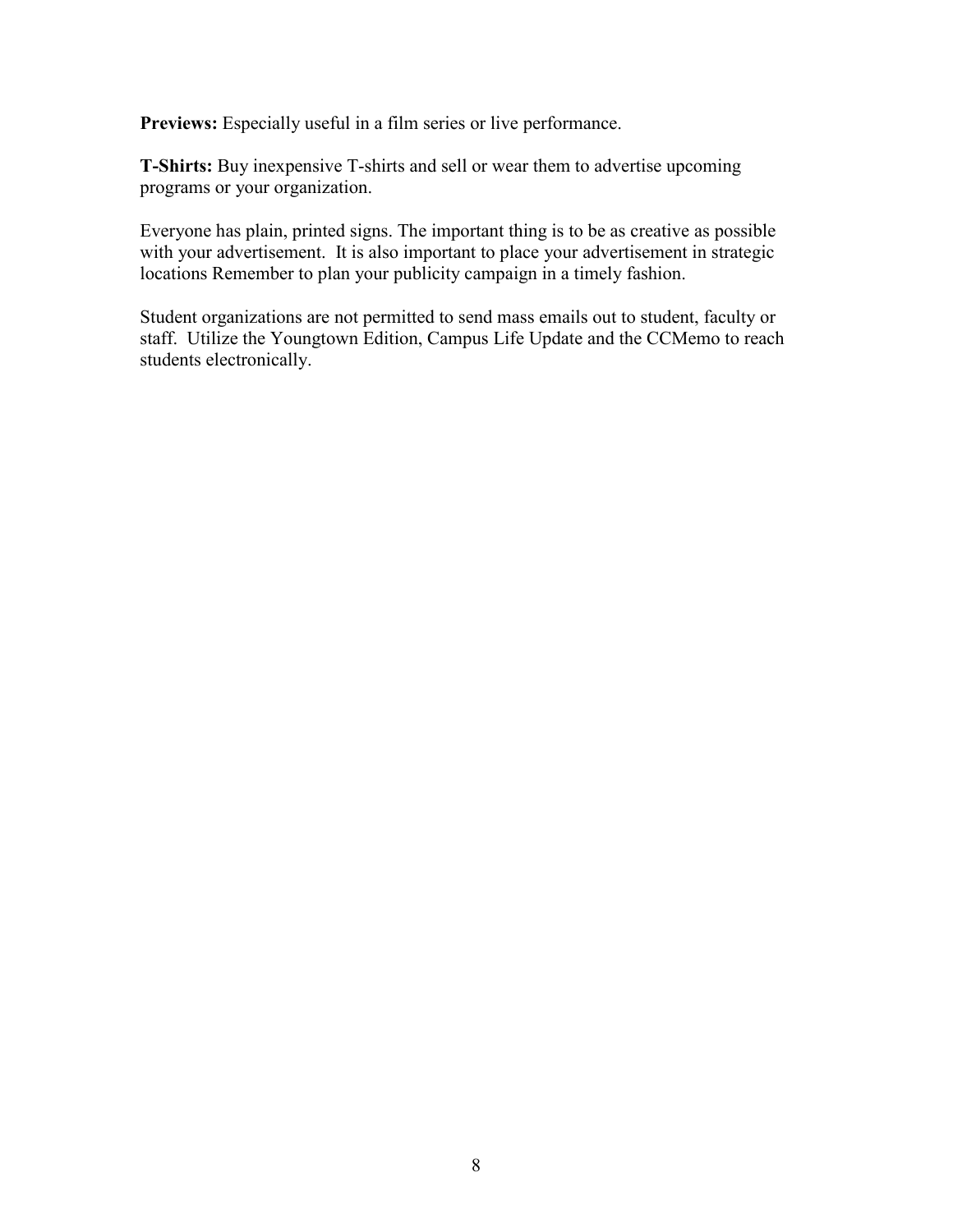**Previews:** Especially useful in a film series or live performance.

**T-Shirts:** Buy inexpensive T-shirts and sell or wear them to advertise upcoming programs or your organization.

Everyone has plain, printed signs. The important thing is to be as creative as possible with your advertisement. It is also important to place your advertisement in strategic locations Remember to plan your publicity campaign in a timely fashion.

Student organizations are not permitted to send mass emails out to student, faculty or staff. Utilize the Youngtown Edition, Campus Life Update and the CCMemo to reach students electronically.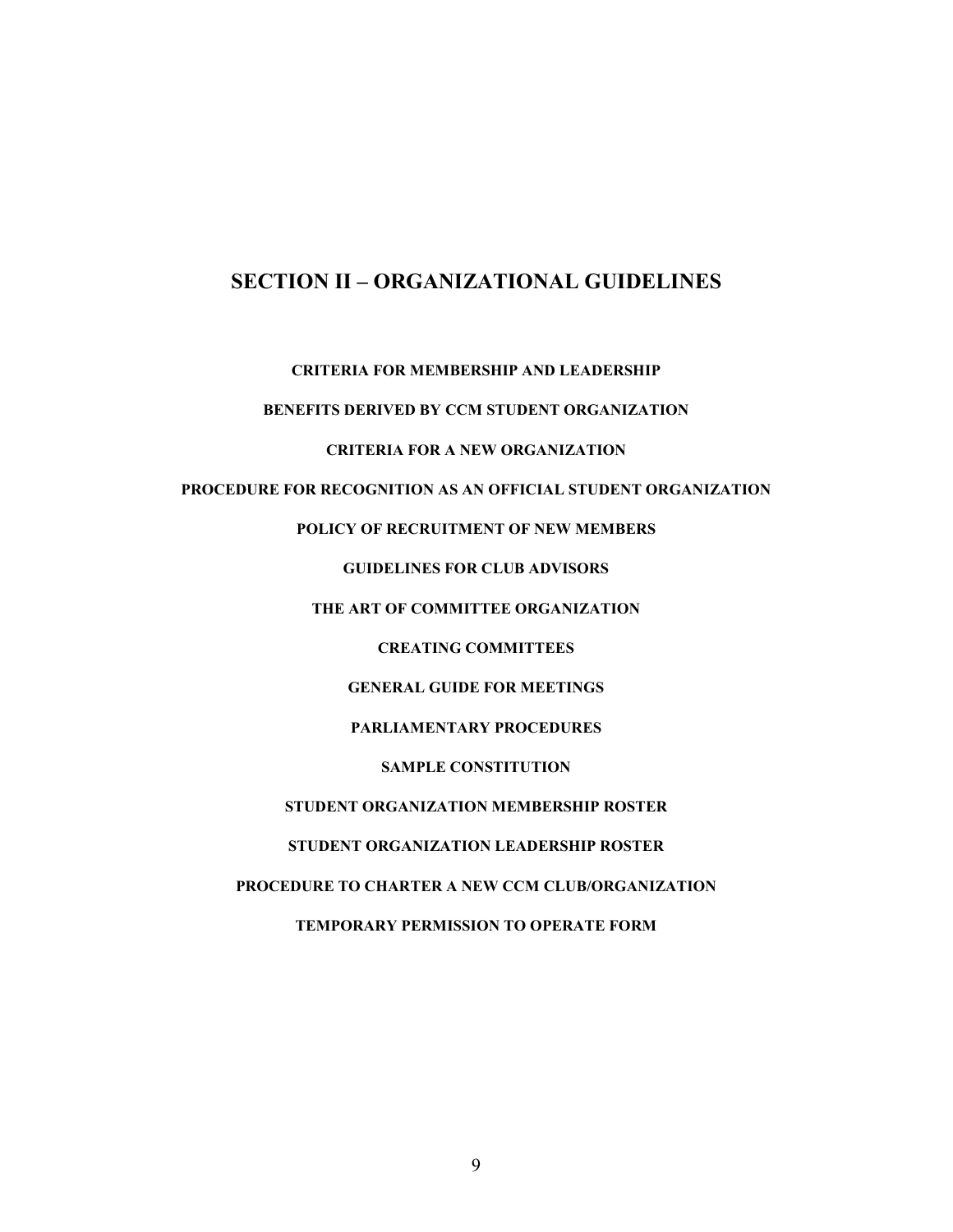## **SECTION II – ORGANIZATIONAL GUIDELINES**

**CRITERIA FOR MEMBERSHIP AND LEADERSHIP** 

**BENEFITS DERIVED BY CCM STUDENT ORGANIZATION** 

**CRITERIA FOR A NEW ORGANIZATION** 

**PROCEDURE FOR RECOGNITION AS AN OFFICIAL STUDENT ORGANIZATION**

**POLICY OF RECRUITMENT OF NEW MEMBERS**

**GUIDELINES FOR CLUB ADVISORS** 

**THE ART OF COMMITTEE ORGANIZATION** 

**CREATING COMMITTEES**

**GENERAL GUIDE FOR MEETINGS** 

**PARLIAMENTARY PROCEDURES** 

**SAMPLE CONSTITUTION** 

**STUDENT ORGANIZATION MEMBERSHIP ROSTER** 

**STUDENT ORGANIZATION LEADERSHIP ROSTER** 

**PROCEDURE TO CHARTER A NEW CCM CLUB/ORGANIZATION** 

**TEMPORARY PERMISSION TO OPERATE FORM**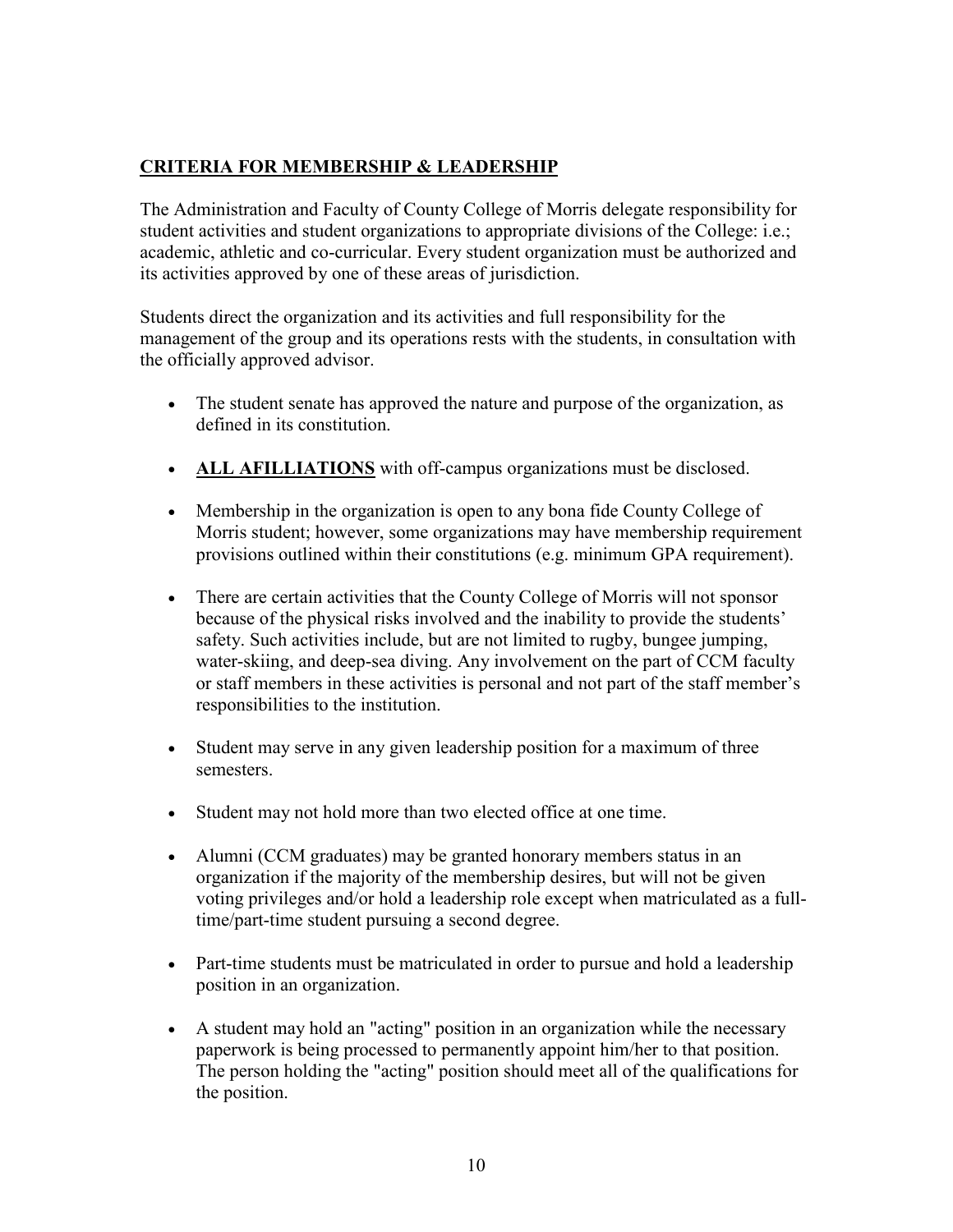## **[CRITERIA FOR MEMBERSHIP & LEADERSHIP](http://www.ccm.edu/campuslife/PolicyManual.html#CRITERIA%20FOR%20MEMBERSHIP%20&%20LEADERSHIP)**

The Administration and Faculty of County College of Morris delegate responsibility for student activities and student organizations to appropriate divisions of the College: i.e.; academic, athletic and co-curricular. Every student organization must be authorized and its activities approved by one of these areas of jurisdiction.

Students direct the organization and its activities and full responsibility for the management of the group and its operations rests with the students, in consultation with the officially approved advisor.

- The student senate has approved the nature and purpose of the organization, as defined in its constitution.
- **ALL AFILLIATIONS** with off-campus organizations must be disclosed.
- Membership in the organization is open to any bona fide County College of Morris student; however, some organizations may have membership requirement provisions outlined within their constitutions (e.g. minimum GPA requirement).
- There are certain activities that the County College of Morris will not sponsor because of the physical risks involved and the inability to provide the students' safety. Such activities include, but are not limited to rugby, bungee jumping, water-skiing, and deep-sea diving. Any involvement on the part of CCM faculty or staff members in these activities is personal and not part of the staff member's responsibilities to the institution.
- Student may serve in any given leadership position for a maximum of three semesters.
- Student may not hold more than two elected office at one time.
- Alumni (CCM graduates) may be granted honorary members status in an organization if the majority of the membership desires, but will not be given voting privileges and/or hold a leadership role except when matriculated as a fulltime/part-time student pursuing a second degree.
- Part-time students must be matriculated in order to pursue and hold a leadership position in an organization.
- A student may hold an "acting" position in an organization while the necessary paperwork is being processed to permanently appoint him/her to that position. The person holding the "acting" position should meet all of the qualifications for the position.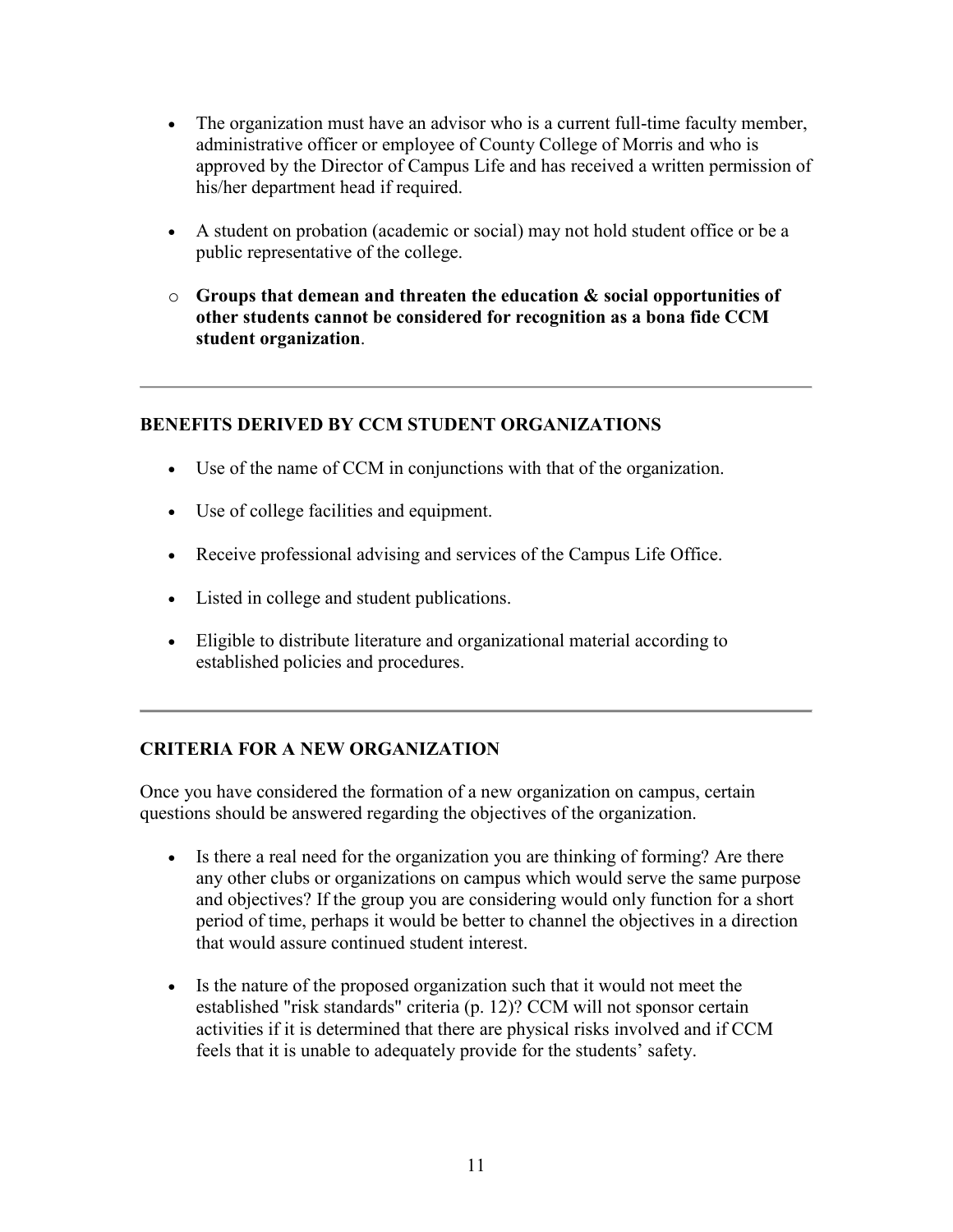- The organization must have an advisor who is a current full-time faculty member, administrative officer or employee of County College of Morris and who is approved by the Director of Campus Life and has received a written permission of his/her department head if required.
- A student on probation (academic or social) may not hold student office or be a public representative of the college.
- o **Groups that demean and threaten the education & social opportunities of other students cannot be considered for recognition as a bona fide CCM student organization**.

### **BENEFITS DERIVED BY CCM STUDENT ORGANIZATIONS**

- Use of the name of CCM in conjunctions with that of the organization.
- Use of college facilities and equipment.
- Receive professional advising and services of the Campus Life Office.
- Listed in college and student publications.
- Eligible to distribute literature and organizational material according to established policies and procedures.

## **CRITERIA FOR A NEW ORGANIZATION**

Once you have considered the formation of a new organization on campus, certain questions should be answered regarding the objectives of the organization.

- Is there a real need for the organization you are thinking of forming? Are there any other clubs or organizations on campus which would serve the same purpose and objectives? If the group you are considering would only function for a short period of time, perhaps it would be better to channel the objectives in a direction that would assure continued student interest.
- Is the nature of the proposed organization such that it would not meet the established "risk standards" criteria (p. 12)? CCM will not sponsor certain activities if it is determined that there are physical risks involved and if CCM feels that it is unable to adequately provide for the students' safety.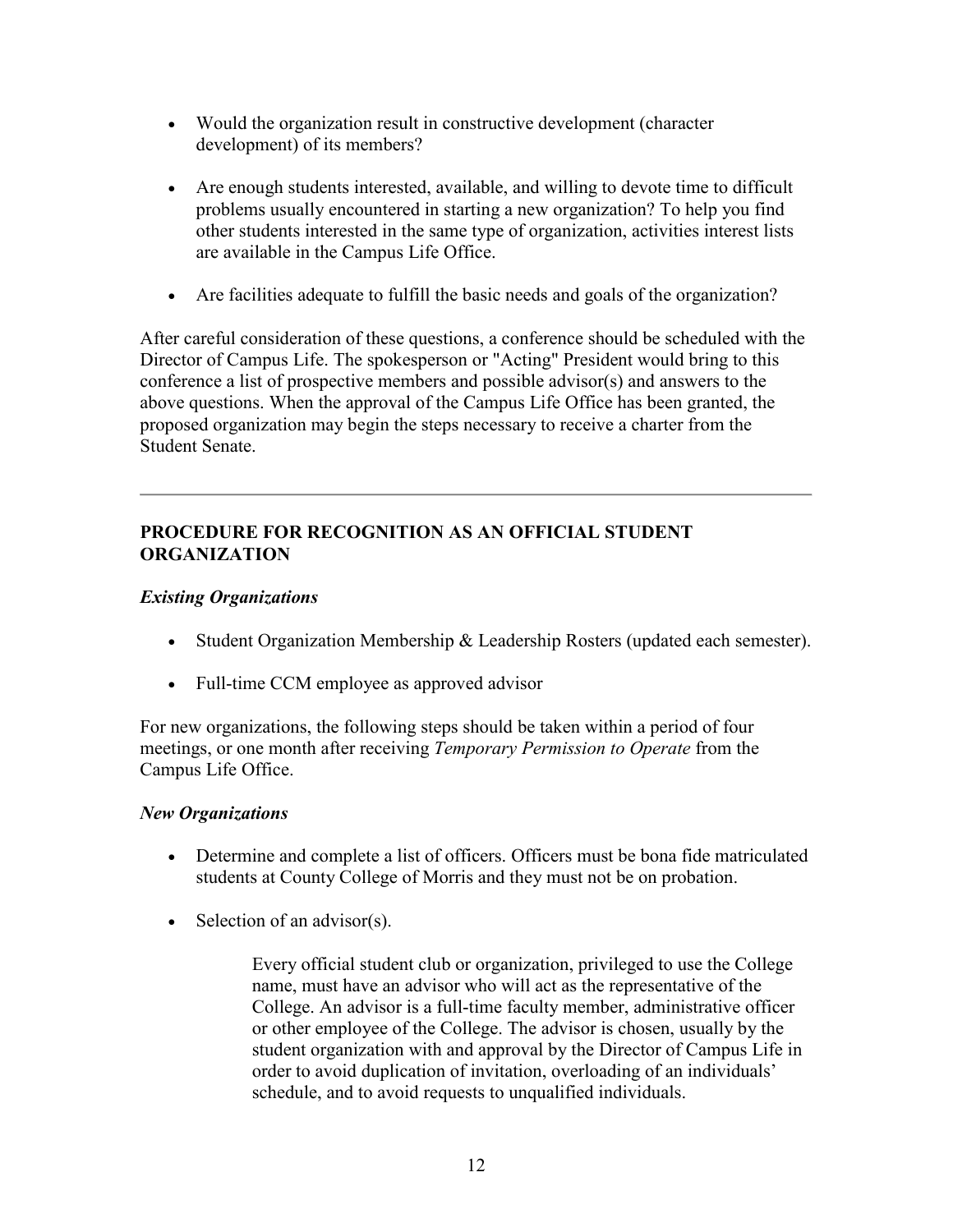- Would the organization result in constructive development (character development) of its members?
- Are enough students interested, available, and willing to devote time to difficult problems usually encountered in starting a new organization? To help you find other students interested in the same type of organization, activities interest lists are available in the Campus Life Office.
- Are facilities adequate to fulfill the basic needs and goals of the organization?

After careful consideration of these questions, a conference should be scheduled with the Director of Campus Life. The spokesperson or "Acting" President would bring to this conference a list of prospective members and possible advisor(s) and answers to the above questions. When the approval of the Campus Life Office has been granted, the proposed organization may begin the steps necessary to receive a charter from the Student Senate.

## **PROCEDURE FOR RECOGNITION AS AN OFFICIAL STUDENT ORGANIZATION**

## *Existing Organizations*

- Student Organization Membership & Leadership Rosters (updated each semester).
- Full-time CCM employee as approved advisor

For new organizations, the following steps should be taken within a period of four meetings, or one month after receiving *Temporary Permission to Operate* from the Campus Life Office.

### *New Organizations*

- Determine and complete a list of officers. Officers must be bona fide matriculated students at County College of Morris and they must not be on probation.
- Selection of an advisor(s).

Every official student club or organization, privileged to use the College name, must have an advisor who will act as the representative of the College. An advisor is a full-time faculty member, administrative officer or other employee of the College. The advisor is chosen, usually by the student organization with and approval by the Director of Campus Life in order to avoid duplication of invitation, overloading of an individuals' schedule, and to avoid requests to unqualified individuals.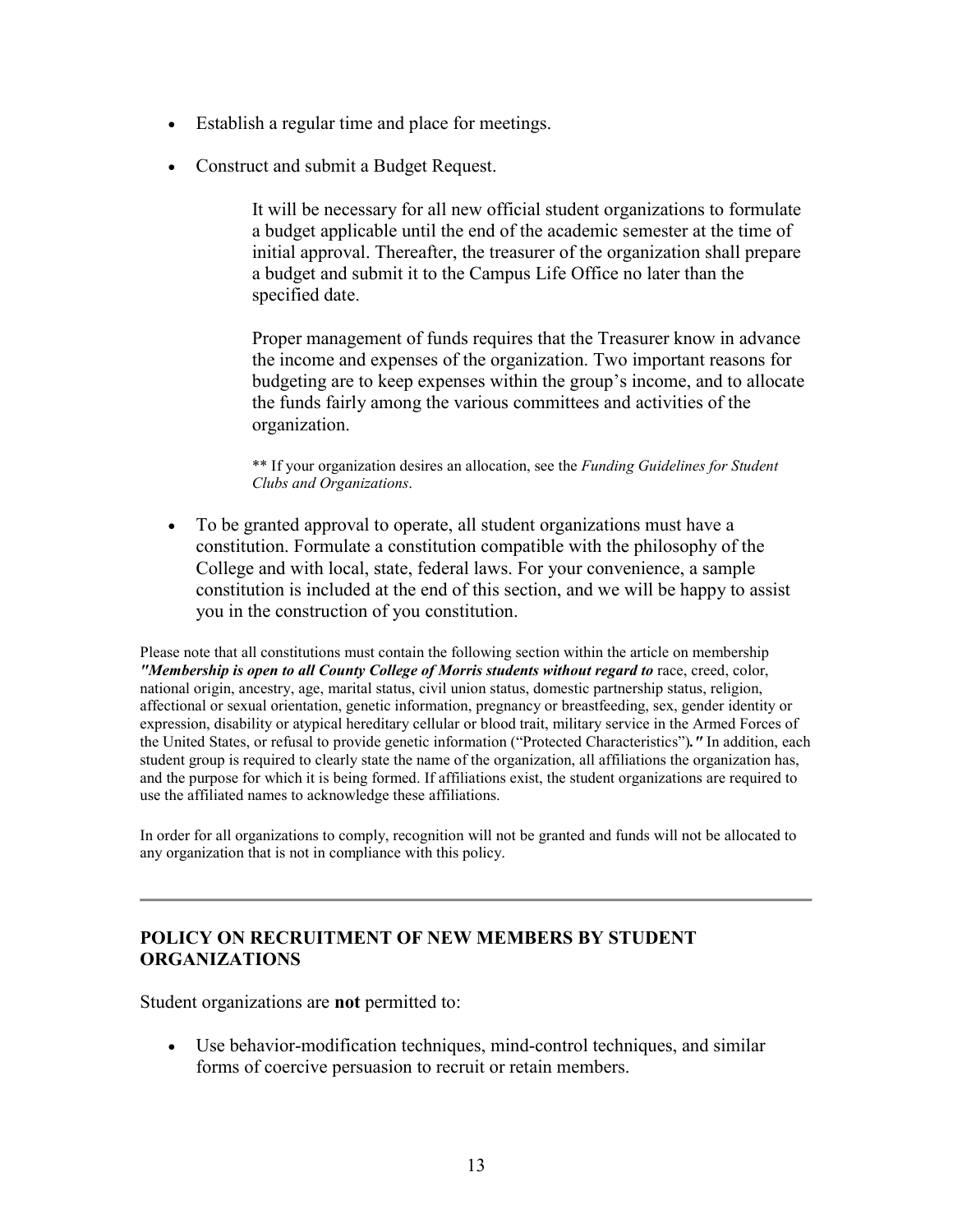- Establish a regular time and place for meetings.
- Construct and submit a Budget Request.

It will be necessary for all new official student organizations to formulate a budget applicable until the end of the academic semester at the time of initial approval. Thereafter, the treasurer of the organization shall prepare a budget and submit it to the Campus Life Office no later than the specified date.

Proper management of funds requires that the Treasurer know in advance the income and expenses of the organization. Two important reasons for budgeting are to keep expenses within the group's income, and to allocate the funds fairly among the various committees and activities of the organization.

\*\* If your organization desires an allocation, see the *Funding Guidelines for Student Clubs and Organizations*.

• To be granted approval to operate, all student organizations must have a constitution. Formulate a constitution compatible with the philosophy of the College and with local, state, federal laws. For your convenience, a sample constitution is included at the end of this section, and we will be happy to assist you in the construction of you constitution.

Please note that all constitutions must contain the following section within the article on membership *"Membership is open to all County College of Morris students without regard to race, creed, color,* national origin, ancestry, age, marital status, civil union status, domestic partnership status, religion, affectional or sexual orientation, genetic information, pregnancy or breastfeeding, sex, gender identity or expression, disability or atypical hereditary cellular or blood trait, military service in the Armed Forces of the United States, or refusal to provide genetic information ("Protected Characteristics")*."* In addition, each student group is required to clearly state the name of the organization, all affiliations the organization has, and the purpose for which it is being formed. If affiliations exist, the student organizations are required to use the affiliated names to acknowledge these affiliations.

In order for all organizations to comply, recognition will not be granted and funds will not be allocated to any organization that is not in compliance with this policy.

## **POLICY ON RECRUITMENT OF NEW MEMBERS BY STUDENT ORGANIZATIONS**

Student organizations are **not** permitted to:

• Use behavior-modification techniques, mind-control techniques, and similar forms of coercive persuasion to recruit or retain members.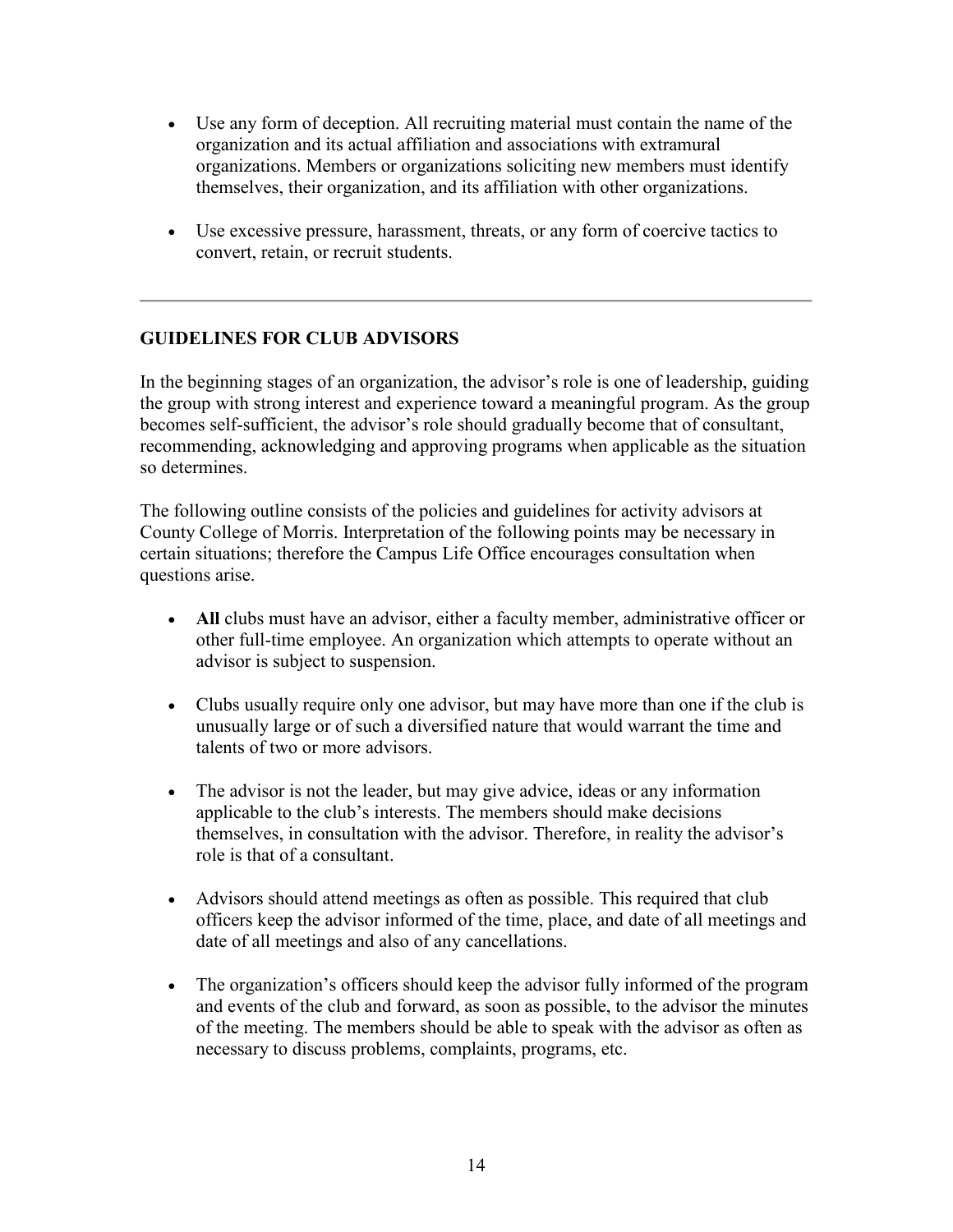- Use any form of deception. All recruiting material must contain the name of the organization and its actual affiliation and associations with extramural organizations. Members or organizations soliciting new members must identify themselves, their organization, and its affiliation with other organizations.
- Use excessive pressure, harassment, threats, or any form of coercive tactics to convert, retain, or recruit students.

### **GUIDELINES FOR CLUB ADVISORS**

In the beginning stages of an organization, the advisor's role is one of leadership, guiding the group with strong interest and experience toward a meaningful program. As the group becomes self-sufficient, the advisor's role should gradually become that of consultant, recommending, acknowledging and approving programs when applicable as the situation so determines.

The following outline consists of the policies and guidelines for activity advisors at County College of Morris. Interpretation of the following points may be necessary in certain situations; therefore the Campus Life Office encourages consultation when questions arise.

- **All** clubs must have an advisor, either a faculty member, administrative officer or other full-time employee. An organization which attempts to operate without an advisor is subject to suspension.
- Clubs usually require only one advisor, but may have more than one if the club is unusually large or of such a diversified nature that would warrant the time and talents of two or more advisors.
- The advisor is not the leader, but may give advice, ideas or any information applicable to the club's interests. The members should make decisions themselves, in consultation with the advisor. Therefore, in reality the advisor's role is that of a consultant.
- Advisors should attend meetings as often as possible. This required that club officers keep the advisor informed of the time, place, and date of all meetings and date of all meetings and also of any cancellations.
- The organization's officers should keep the advisor fully informed of the program and events of the club and forward, as soon as possible, to the advisor the minutes of the meeting. The members should be able to speak with the advisor as often as necessary to discuss problems, complaints, programs, etc.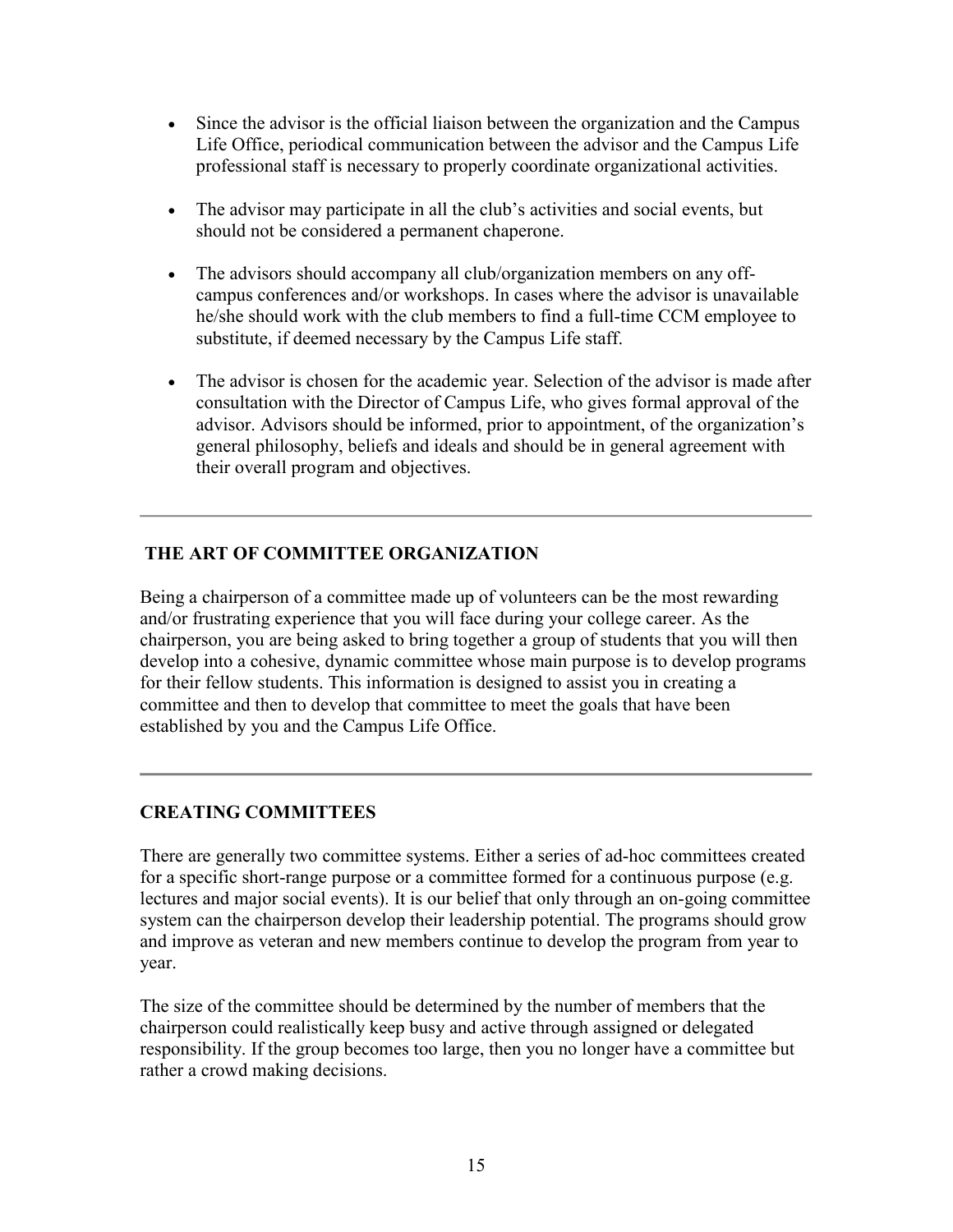- Since the advisor is the official liaison between the organization and the Campus Life Office, periodical communication between the advisor and the Campus Life professional staff is necessary to properly coordinate organizational activities.
- The advisor may participate in all the club's activities and social events, but should not be considered a permanent chaperone.
- The advisors should accompany all club/organization members on any offcampus conferences and/or workshops. In cases where the advisor is unavailable he/she should work with the club members to find a full-time CCM employee to substitute, if deemed necessary by the Campus Life staff.
- The advisor is chosen for the academic year. Selection of the advisor is made after consultation with the Director of Campus Life, who gives formal approval of the advisor. Advisors should be informed, prior to appointment, of the organization's general philosophy, beliefs and ideals and should be in general agreement with their overall program and objectives.

## **THE ART OF COMMITTEE ORGANIZATION**

Being a chairperson of a committee made up of volunteers can be the most rewarding and/or frustrating experience that you will face during your college career. As the chairperson, you are being asked to bring together a group of students that you will then develop into a cohesive, dynamic committee whose main purpose is to develop programs for their fellow students. This information is designed to assist you in creating a committee and then to develop that committee to meet the goals that have been established by you and the Campus Life Office.

## **CREATING COMMITTEES**

There are generally two committee systems. Either a series of ad-hoc committees created for a specific short-range purpose or a committee formed for a continuous purpose (e.g. lectures and major social events). It is our belief that only through an on-going committee system can the chairperson develop their leadership potential. The programs should grow and improve as veteran and new members continue to develop the program from year to year.

The size of the committee should be determined by the number of members that the chairperson could realistically keep busy and active through assigned or delegated responsibility. If the group becomes too large, then you no longer have a committee but rather a crowd making decisions.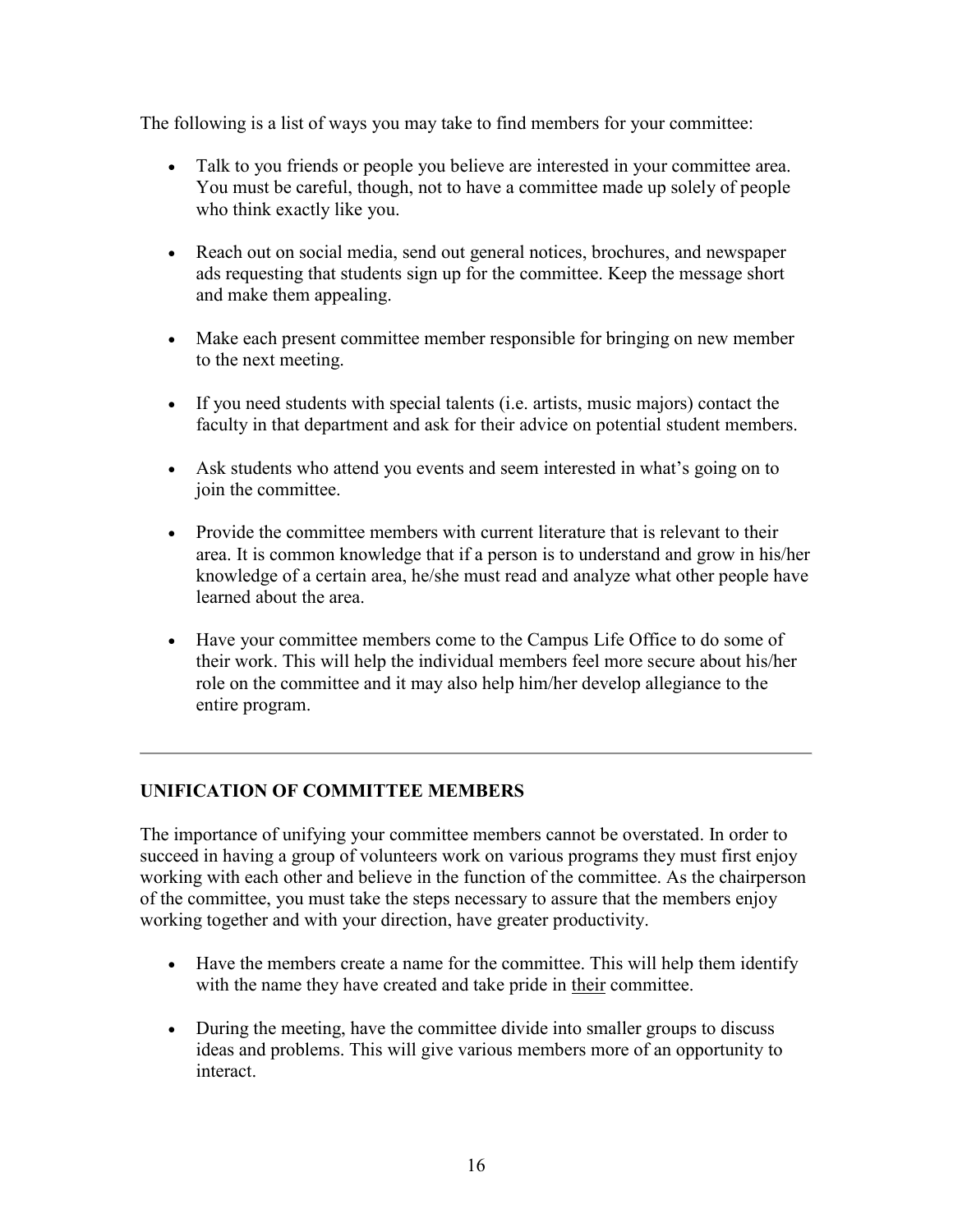The following is a list of ways you may take to find members for your committee:

- Talk to you friends or people you believe are interested in your committee area. You must be careful, though, not to have a committee made up solely of people who think exactly like you.
- Reach out on social media, send out general notices, brochures, and newspaper ads requesting that students sign up for the committee. Keep the message short and make them appealing.
- Make each present committee member responsible for bringing on new member to the next meeting.
- If you need students with special talents (i.e. artists, music majors) contact the faculty in that department and ask for their advice on potential student members.
- Ask students who attend you events and seem interested in what's going on to join the committee.
- Provide the committee members with current literature that is relevant to their area. It is common knowledge that if a person is to understand and grow in his/her knowledge of a certain area, he/she must read and analyze what other people have learned about the area.
- Have your committee members come to the Campus Life Office to do some of their work. This will help the individual members feel more secure about his/her role on the committee and it may also help him/her develop allegiance to the entire program.

## **UNIFICATION OF COMMITTEE MEMBERS**

The importance of unifying your committee members cannot be overstated. In order to succeed in having a group of volunteers work on various programs they must first enjoy working with each other and believe in the function of the committee. As the chairperson of the committee, you must take the steps necessary to assure that the members enjoy working together and with your direction, have greater productivity.

- Have the members create a name for the committee. This will help them identify with the name they have created and take pride in their committee.
- During the meeting, have the committee divide into smaller groups to discuss ideas and problems. This will give various members more of an opportunity to interact.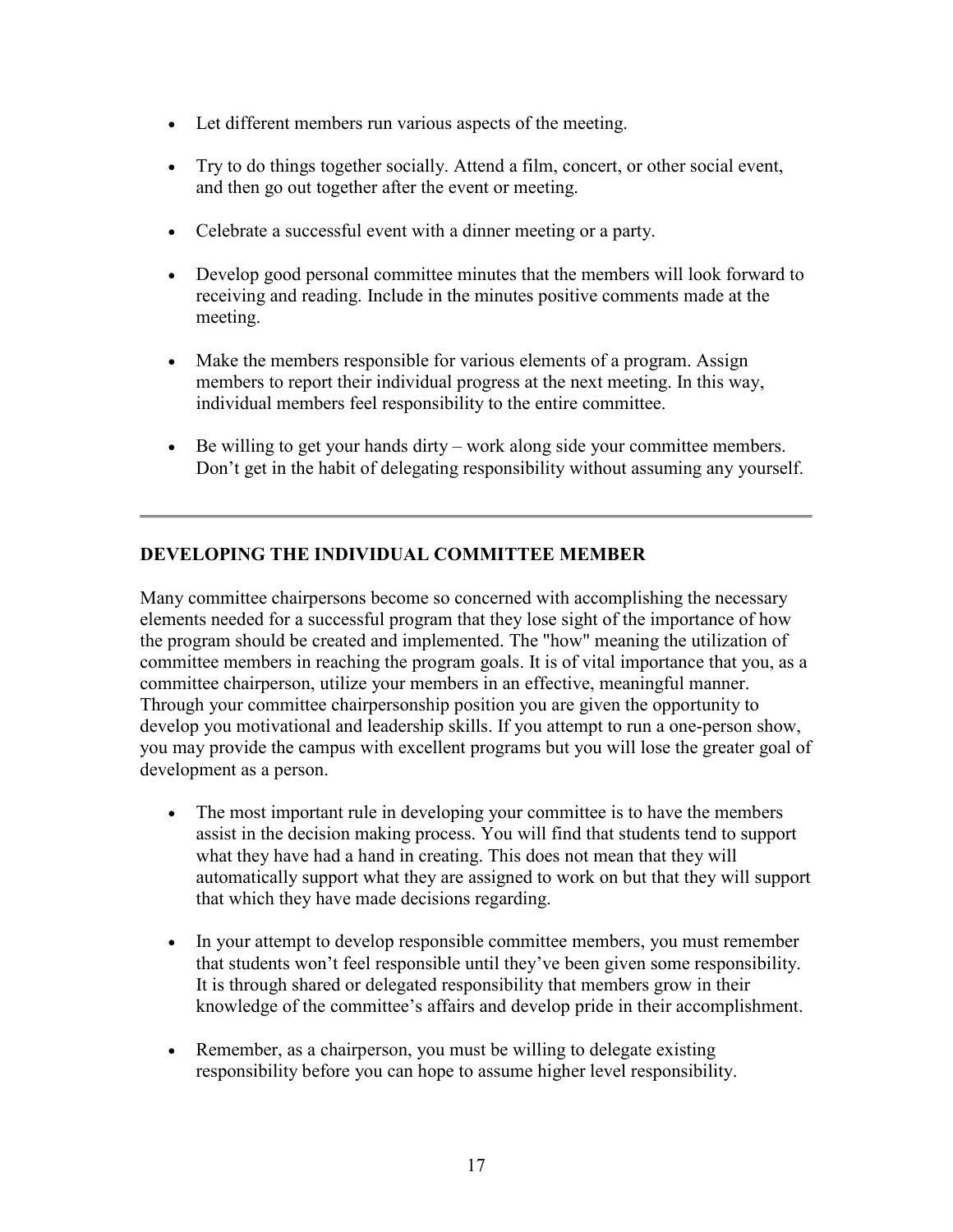- Let different members run various aspects of the meeting.
- Try to do things together socially. Attend a film, concert, or other social event, and then go out together after the event or meeting.
- Celebrate a successful event with a dinner meeting or a party.
- Develop good personal committee minutes that the members will look forward to receiving and reading. Include in the minutes positive comments made at the meeting.
- Make the members responsible for various elements of a program. Assign members to report their individual progress at the next meeting. In this way, individual members feel responsibility to the entire committee.
- Be willing to get your hands dirty work along side your committee members. Don't get in the habit of delegating responsibility without assuming any yourself.

### **DEVELOPING THE INDIVIDUAL COMMITTEE MEMBER**

Many committee chairpersons become so concerned with accomplishing the necessary elements needed for a successful program that they lose sight of the importance of how the program should be created and implemented. The "how" meaning the utilization of committee members in reaching the program goals. It is of vital importance that you, as a committee chairperson, utilize your members in an effective, meaningful manner. Through your committee chairpersonship position you are given the opportunity to develop you motivational and leadership skills. If you attempt to run a one-person show, you may provide the campus with excellent programs but you will lose the greater goal of development as a person.

- The most important rule in developing your committee is to have the members assist in the decision making process. You will find that students tend to support what they have had a hand in creating. This does not mean that they will automatically support what they are assigned to work on but that they will support that which they have made decisions regarding.
- In your attempt to develop responsible committee members, you must remember that students won't feel responsible until they've been given some responsibility. It is through shared or delegated responsibility that members grow in their knowledge of the committee's affairs and develop pride in their accomplishment.
- Remember, as a chairperson, you must be willing to delegate existing responsibility before you can hope to assume higher level responsibility.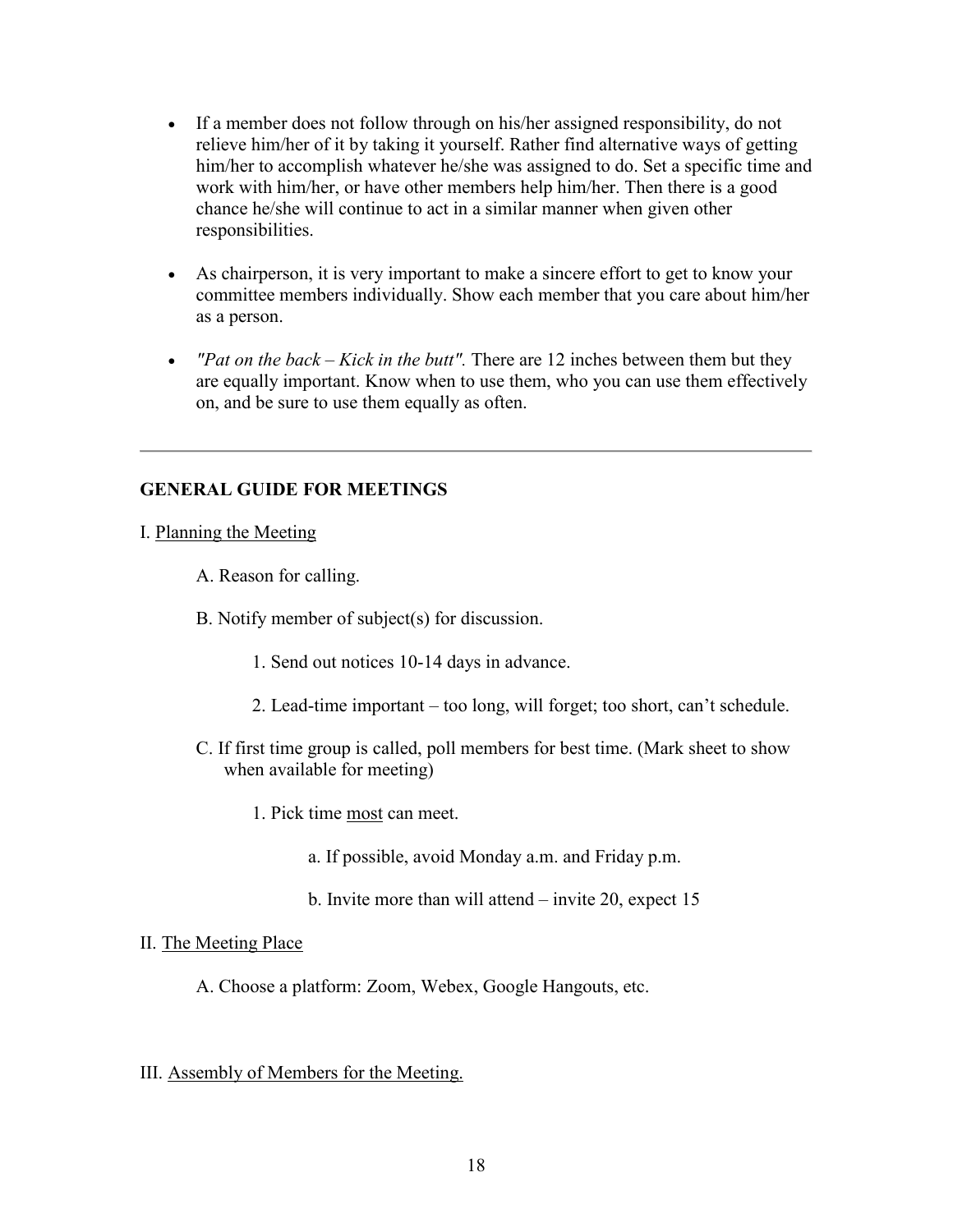- If a member does not follow through on his/her assigned responsibility, do not relieve him/her of it by taking it yourself. Rather find alternative ways of getting him/her to accomplish whatever he/she was assigned to do. Set a specific time and work with him/her, or have other members help him/her. Then there is a good chance he/she will continue to act in a similar manner when given other responsibilities.
- As chairperson, it is very important to make a sincere effort to get to know your committee members individually. Show each member that you care about him/her as a person.
- *"Pat on the back – Kick in the butt".* There are 12 inches between them but they are equally important. Know when to use them, who you can use them effectively on, and be sure to use them equally as often.

#### **GENERAL GUIDE FOR MEETINGS**

#### I. Planning the Meeting

A. Reason for calling.

B. Notify member of subject(s) for discussion.

- 1. Send out notices 10-14 days in advance.
- 2. Lead-time important too long, will forget; too short, can't schedule.
- C. If first time group is called, poll members for best time. (Mark sheet to show when available for meeting)
	- 1. Pick time most can meet.
		- a. If possible, avoid Monday a.m. and Friday p.m.
		- b. Invite more than will attend invite 20, expect 15

#### II. The Meeting Place

A. Choose a platform: Zoom, Webex, Google Hangouts, etc.

### III. Assembly of Members for the Meeting.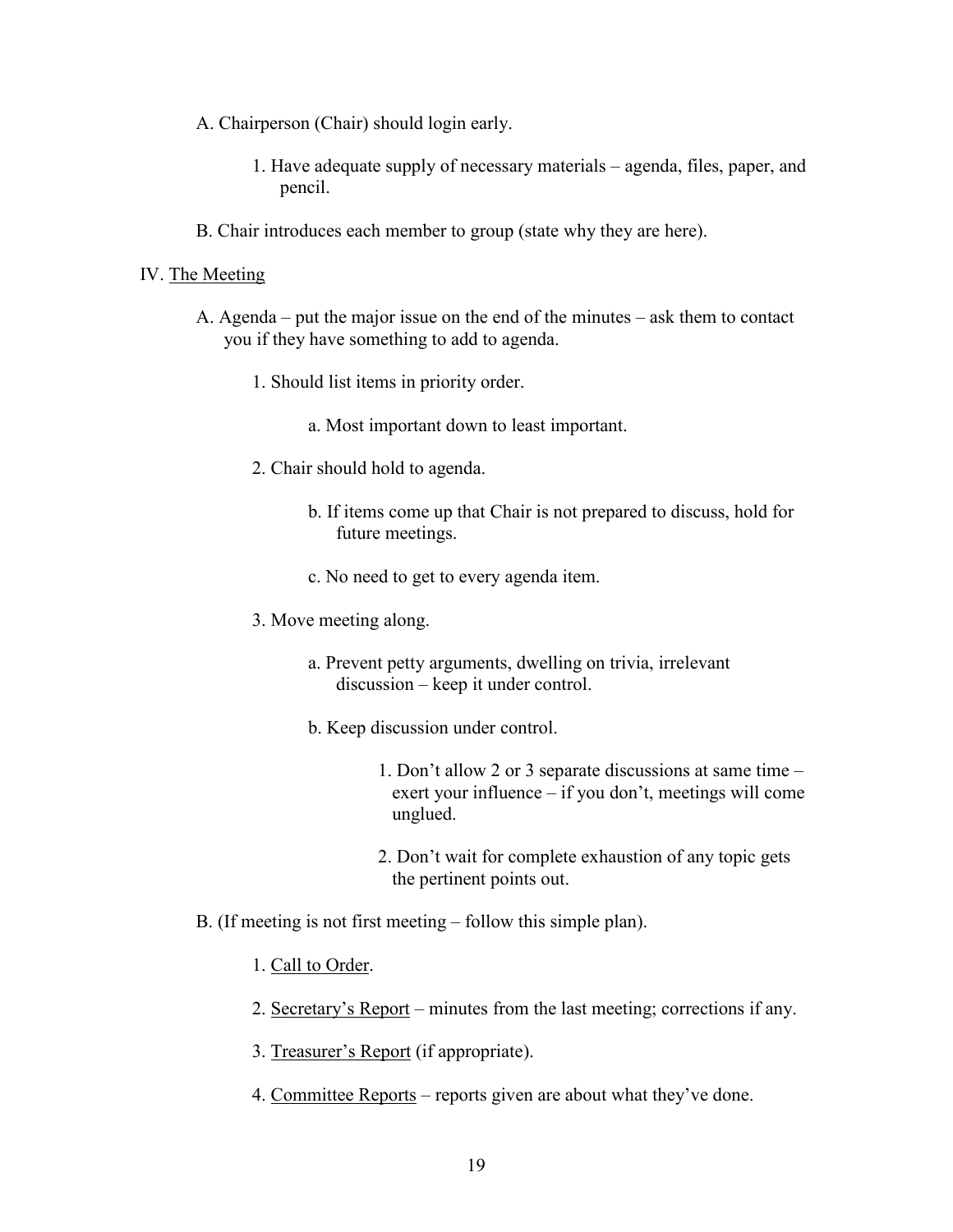- A. Chairperson (Chair) should login early.
	- 1. Have adequate supply of necessary materials agenda, files, paper, and pencil.
- B. Chair introduces each member to group (state why they are here).

#### IV. The Meeting

- A. Agenda put the major issue on the end of the minutes ask them to contact you if they have something to add to agenda.
	- 1. Should list items in priority order.
		- a. Most important down to least important.
	- 2. Chair should hold to agenda.
		- b. If items come up that Chair is not prepared to discuss, hold for future meetings.
		- c. No need to get to every agenda item.
	- 3. Move meeting along.
		- a. Prevent petty arguments, dwelling on trivia, irrelevant discussion – keep it under control.
		- b. Keep discussion under control.
			- 1. Don't allow 2 or 3 separate discussions at same time exert your influence – if you don't, meetings will come unglued.
			- 2. Don't wait for complete exhaustion of any topic gets the pertinent points out.
- B. (If meeting is not first meeting follow this simple plan).
	- 1. Call to Order.
	- 2. Secretary's Report minutes from the last meeting; corrections if any.
	- 3. Treasurer's Report (if appropriate).
	- 4. Committee Reports reports given are about what they've done.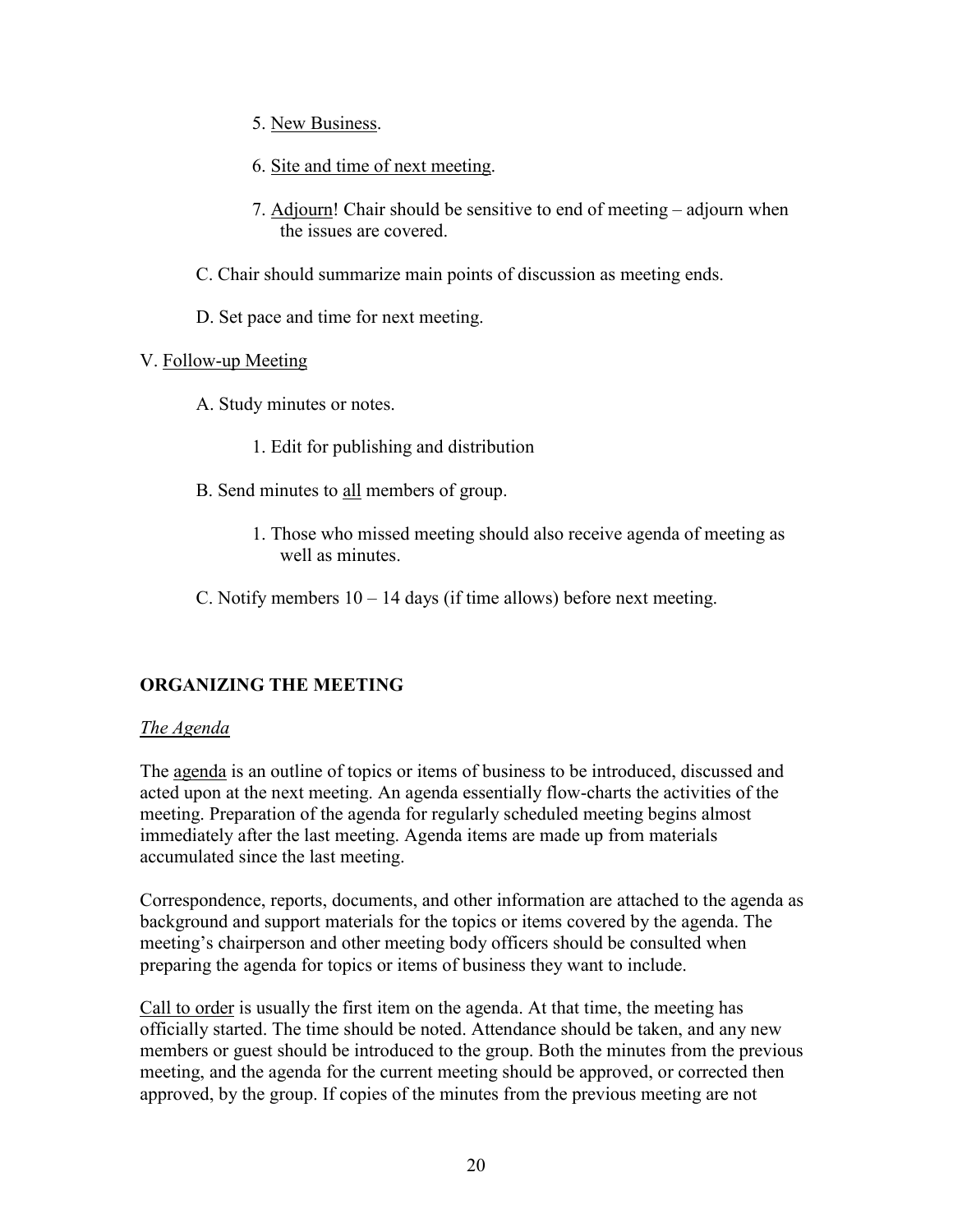- 5. New Business.
- 6. Site and time of next meeting.
- 7. Adjourn! Chair should be sensitive to end of meeting adjourn when the issues are covered.
- C. Chair should summarize main points of discussion as meeting ends.
- D. Set pace and time for next meeting.

#### V. Follow-up Meeting

- A. Study minutes or notes.
	- 1. Edit for publishing and distribution
- B. Send minutes to all members of group.
	- 1. Those who missed meeting should also receive agenda of meeting as well as minutes.
- C. Notify members  $10 14$  days (if time allows) before next meeting.

### **ORGANIZING THE MEETING**

#### *The Agenda*

The agenda is an outline of topics or items of business to be introduced, discussed and acted upon at the next meeting. An agenda essentially flow-charts the activities of the meeting. Preparation of the agenda for regularly scheduled meeting begins almost immediately after the last meeting. Agenda items are made up from materials accumulated since the last meeting.

Correspondence, reports, documents, and other information are attached to the agenda as background and support materials for the topics or items covered by the agenda. The meeting's chairperson and other meeting body officers should be consulted when preparing the agenda for topics or items of business they want to include.

Call to order is usually the first item on the agenda. At that time, the meeting has officially started. The time should be noted. Attendance should be taken, and any new members or guest should be introduced to the group. Both the minutes from the previous meeting, and the agenda for the current meeting should be approved, or corrected then approved, by the group. If copies of the minutes from the previous meeting are not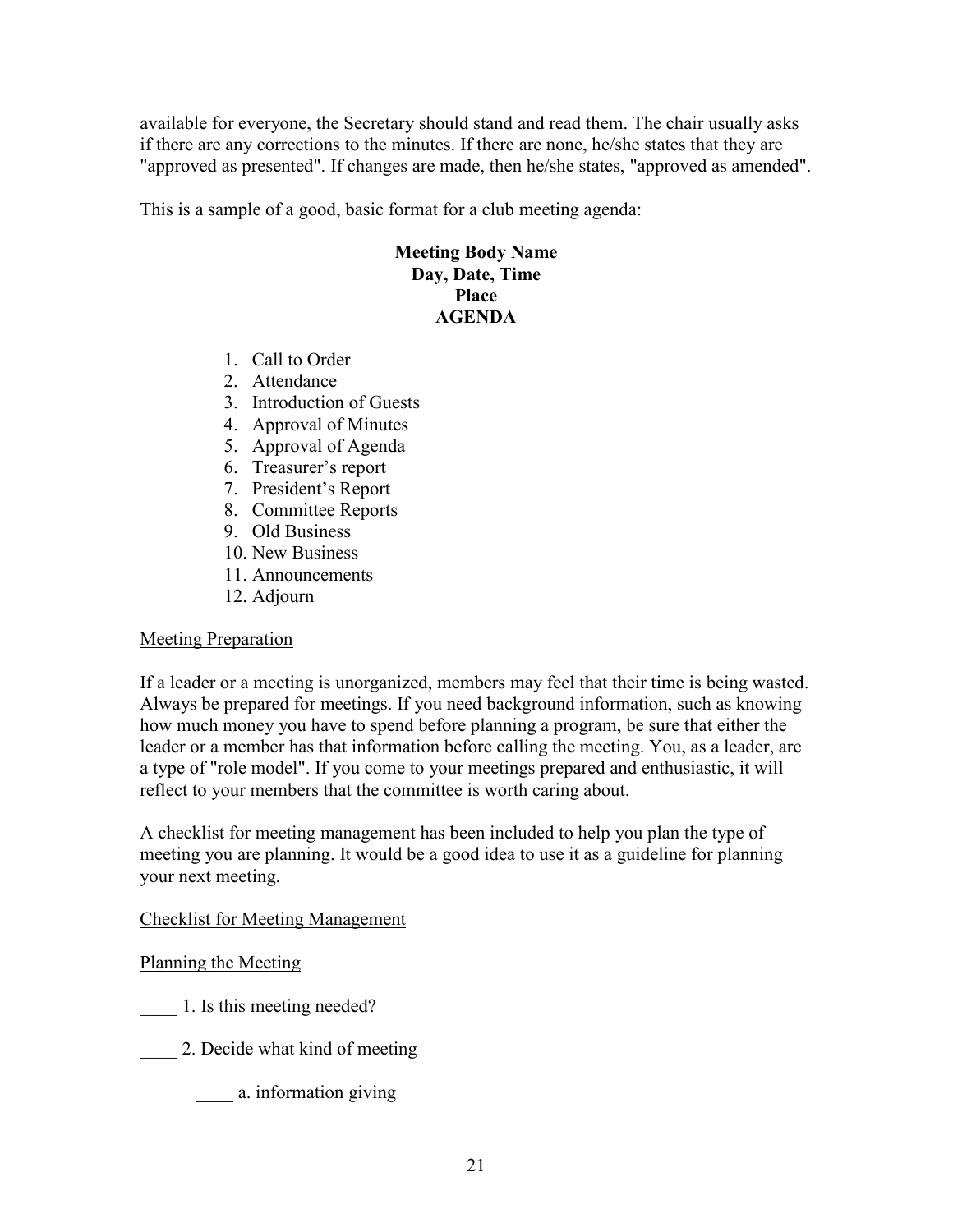available for everyone, the Secretary should stand and read them. The chair usually asks if there are any corrections to the minutes. If there are none, he/she states that they are "approved as presented". If changes are made, then he/she states, "approved as amended".

This is a sample of a good, basic format for a club meeting agenda:

#### **Meeting Body Name Day, Date, Time Place AGENDA**

- 1. Call to Order
- 2. Attendance
- 3. Introduction of Guests
- 4. Approval of Minutes
- 5. Approval of Agenda
- 6. Treasurer's report
- 7. President's Report
- 8. Committee Reports
- 9. Old Business
- 10. New Business
- 11. Announcements
- 12. Adjourn

#### Meeting Preparation

If a leader or a meeting is unorganized, members may feel that their time is being wasted. Always be prepared for meetings. If you need background information, such as knowing how much money you have to spend before planning a program, be sure that either the leader or a member has that information before calling the meeting. You, as a leader, are a type of "role model". If you come to your meetings prepared and enthusiastic, it will reflect to your members that the committee is worth caring about.

A checklist for meeting management has been included to help you plan the type of meeting you are planning. It would be a good idea to use it as a guideline for planning your next meeting.

#### Checklist for Meeting Management

Planning the Meeting

- \_\_\_\_ 1. Is this meeting needed?
- 2. Decide what kind of meeting
	- \_\_\_\_ a. information giving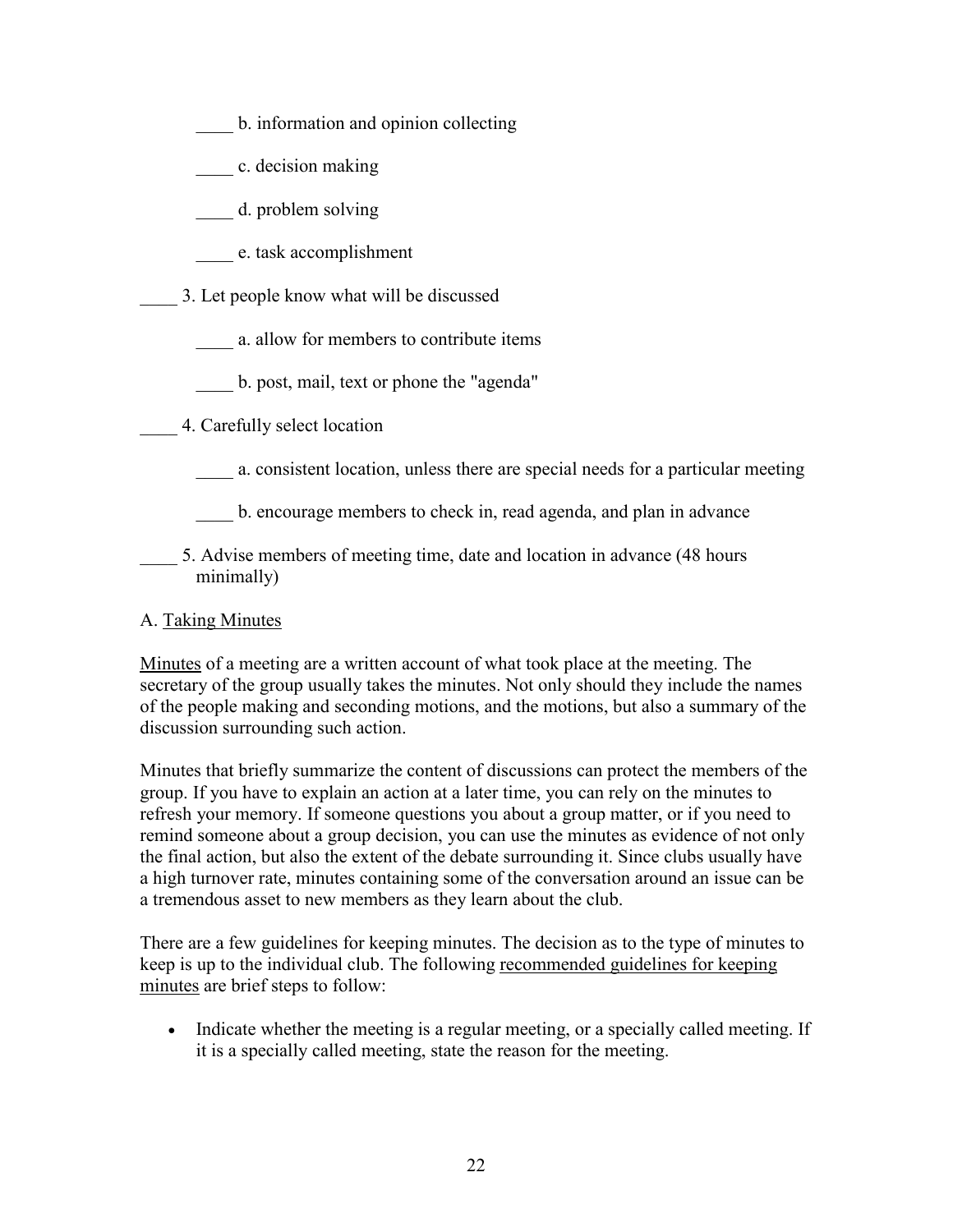- b. information and opinion collecting
- \_\_\_\_ c. decision making
- d. problem solving
- \_\_\_\_ e. task accomplishment
- \_\_\_\_ 3. Let people know what will be discussed
	- \_\_\_\_ a. allow for members to contribute items
	- \_\_\_\_ b. post, mail, text or phone the "agenda"
- \_\_\_\_ 4. Carefully select location
	- \_\_\_\_ a. consistent location, unless there are special needs for a particular meeting
	- b. encourage members to check in, read agenda, and plan in advance
- 5. Advise members of meeting time, date and location in advance (48 hours minimally)

### A. Taking Minutes

Minutes of a meeting are a written account of what took place at the meeting. The secretary of the group usually takes the minutes. Not only should they include the names of the people making and seconding motions, and the motions, but also a summary of the discussion surrounding such action.

Minutes that briefly summarize the content of discussions can protect the members of the group. If you have to explain an action at a later time, you can rely on the minutes to refresh your memory. If someone questions you about a group matter, or if you need to remind someone about a group decision, you can use the minutes as evidence of not only the final action, but also the extent of the debate surrounding it. Since clubs usually have a high turnover rate, minutes containing some of the conversation around an issue can be a tremendous asset to new members as they learn about the club.

There are a few guidelines for keeping minutes. The decision as to the type of minutes to keep is up to the individual club. The following recommended guidelines for keeping minutes are brief steps to follow:

• Indicate whether the meeting is a regular meeting, or a specially called meeting. If it is a specially called meeting, state the reason for the meeting.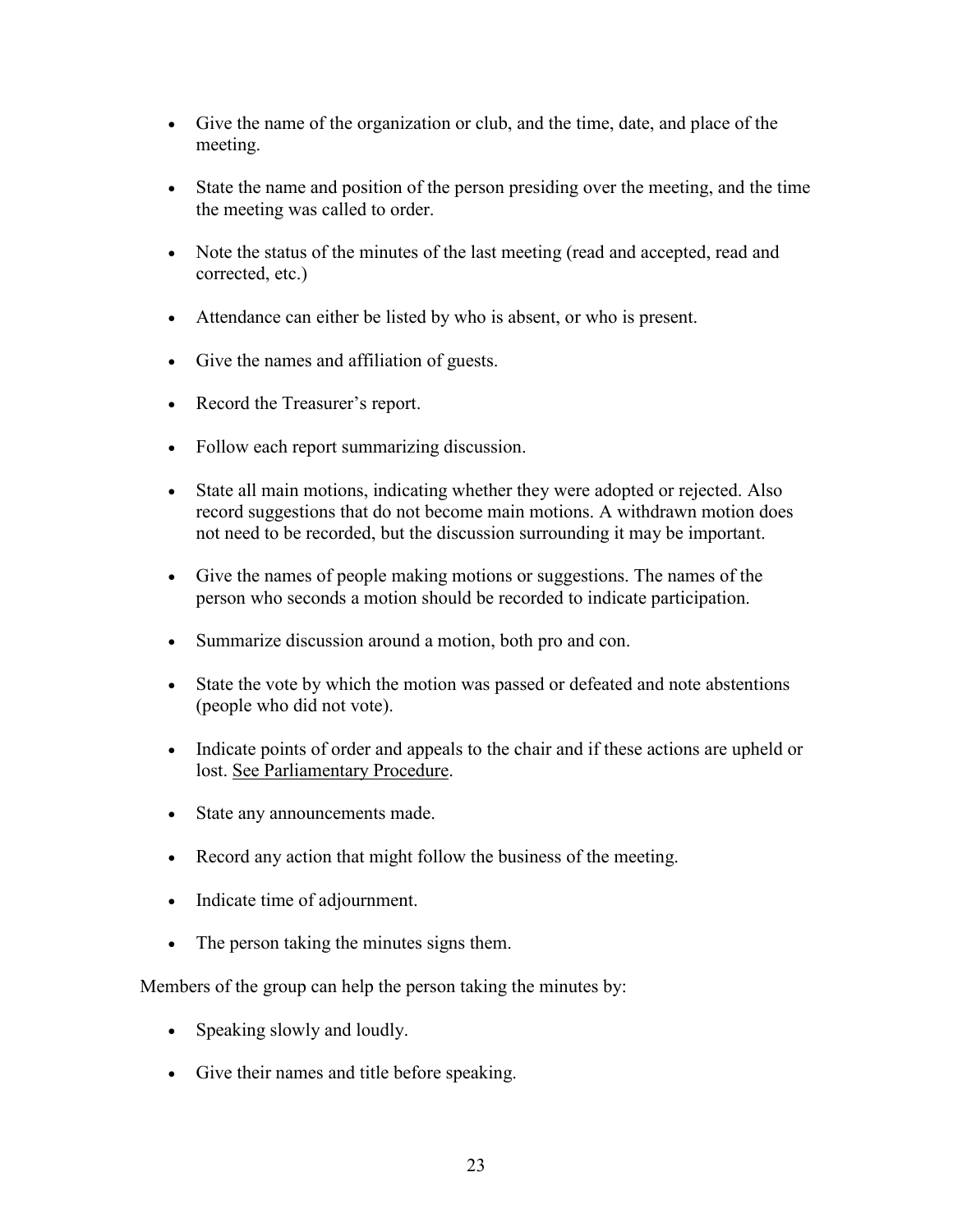- Give the name of the organization or club, and the time, date, and place of the meeting.
- State the name and position of the person presiding over the meeting, and the time the meeting was called to order.
- Note the status of the minutes of the last meeting (read and accepted, read and corrected, etc.)
- Attendance can either be listed by who is absent, or who is present.
- Give the names and affiliation of guests.
- Record the Treasurer's report.
- Follow each report summarizing discussion.
- State all main motions, indicating whether they were adopted or rejected. Also record suggestions that do not become main motions. A withdrawn motion does not need to be recorded, but the discussion surrounding it may be important.
- Give the names of people making motions or suggestions. The names of the person who seconds a motion should be recorded to indicate participation.
- Summarize discussion around a motion, both pro and con.
- State the vote by which the motion was passed or defeated and note abstentions (people who did not vote).
- Indicate points of order and appeals to the chair and if these actions are upheld or lost. See Parliamentary Procedure.
- State any announcements made.
- Record any action that might follow the business of the meeting.
- Indicate time of adjournment.
- The person taking the minutes signs them.

Members of the group can help the person taking the minutes by:

- Speaking slowly and loudly.
- Give their names and title before speaking.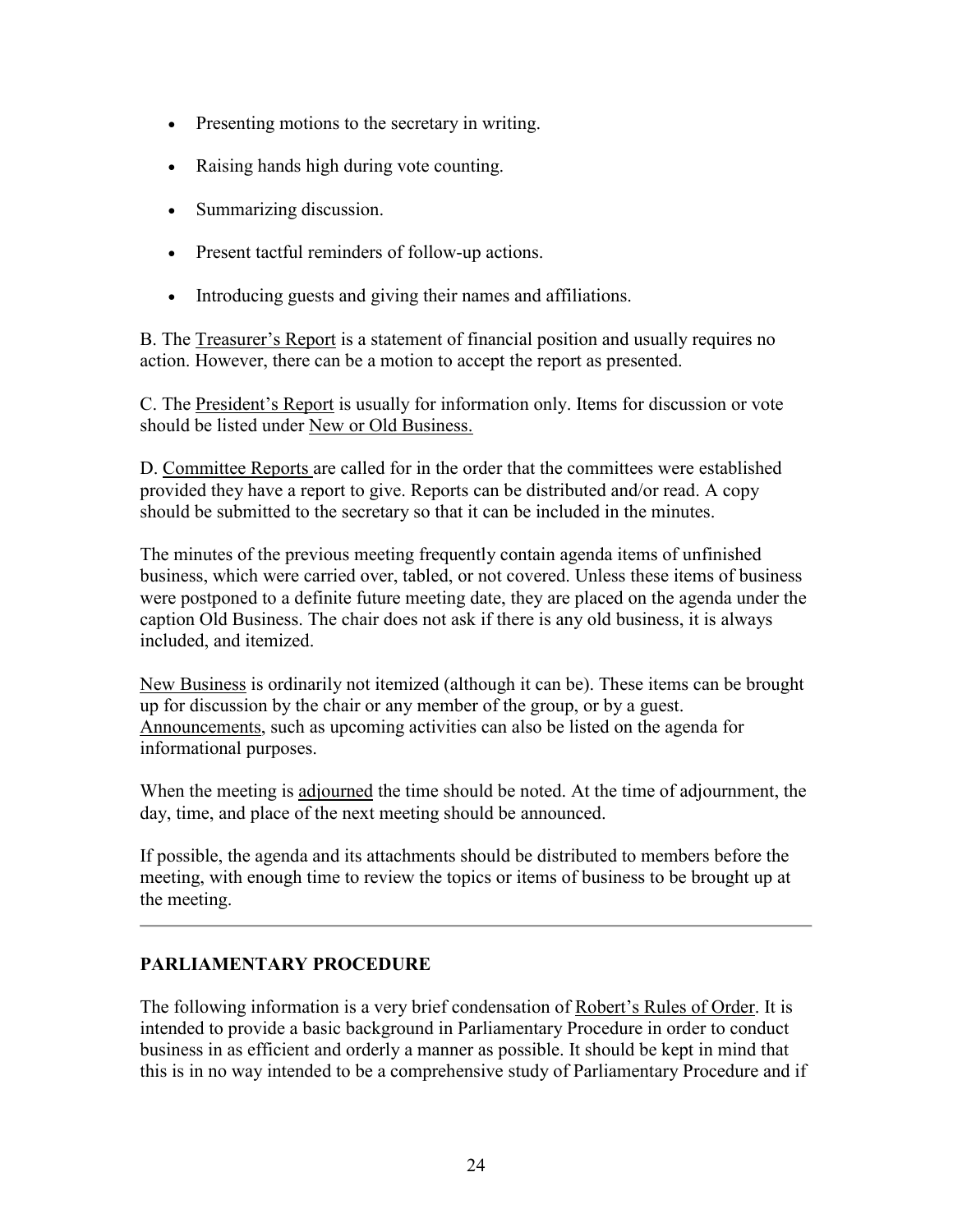- Presenting motions to the secretary in writing.
- Raising hands high during vote counting.
- Summarizing discussion.
- Present tactful reminders of follow-up actions.
- Introducing guests and giving their names and affiliations.

B. The Treasurer's Report is a statement of financial position and usually requires no action. However, there can be a motion to accept the report as presented.

C. The President's Report is usually for information only. Items for discussion or vote should be listed under New or Old Business.

D. Committee Reports are called for in the order that the committees were established provided they have a report to give. Reports can be distributed and/or read. A copy should be submitted to the secretary so that it can be included in the minutes.

The minutes of the previous meeting frequently contain agenda items of unfinished business, which were carried over, tabled, or not covered. Unless these items of business were postponed to a definite future meeting date, they are placed on the agenda under the caption Old Business. The chair does not ask if there is any old business, it is always included, and itemized.

New Business is ordinarily not itemized (although it can be). These items can be brought up for discussion by the chair or any member of the group, or by a guest. Announcements, such as upcoming activities can also be listed on the agenda for informational purposes.

When the meeting is adjourned the time should be noted. At the time of adjournment, the day, time, and place of the next meeting should be announced.

If possible, the agenda and its attachments should be distributed to members before the meeting, with enough time to review the topics or items of business to be brought up at the meeting.

### **PARLIAMENTARY PROCEDURE**

The following information is a very brief condensation of Robert's Rules of Order. It is intended to provide a basic background in Parliamentary Procedure in order to conduct business in as efficient and orderly a manner as possible. It should be kept in mind that this is in no way intended to be a comprehensive study of Parliamentary Procedure and if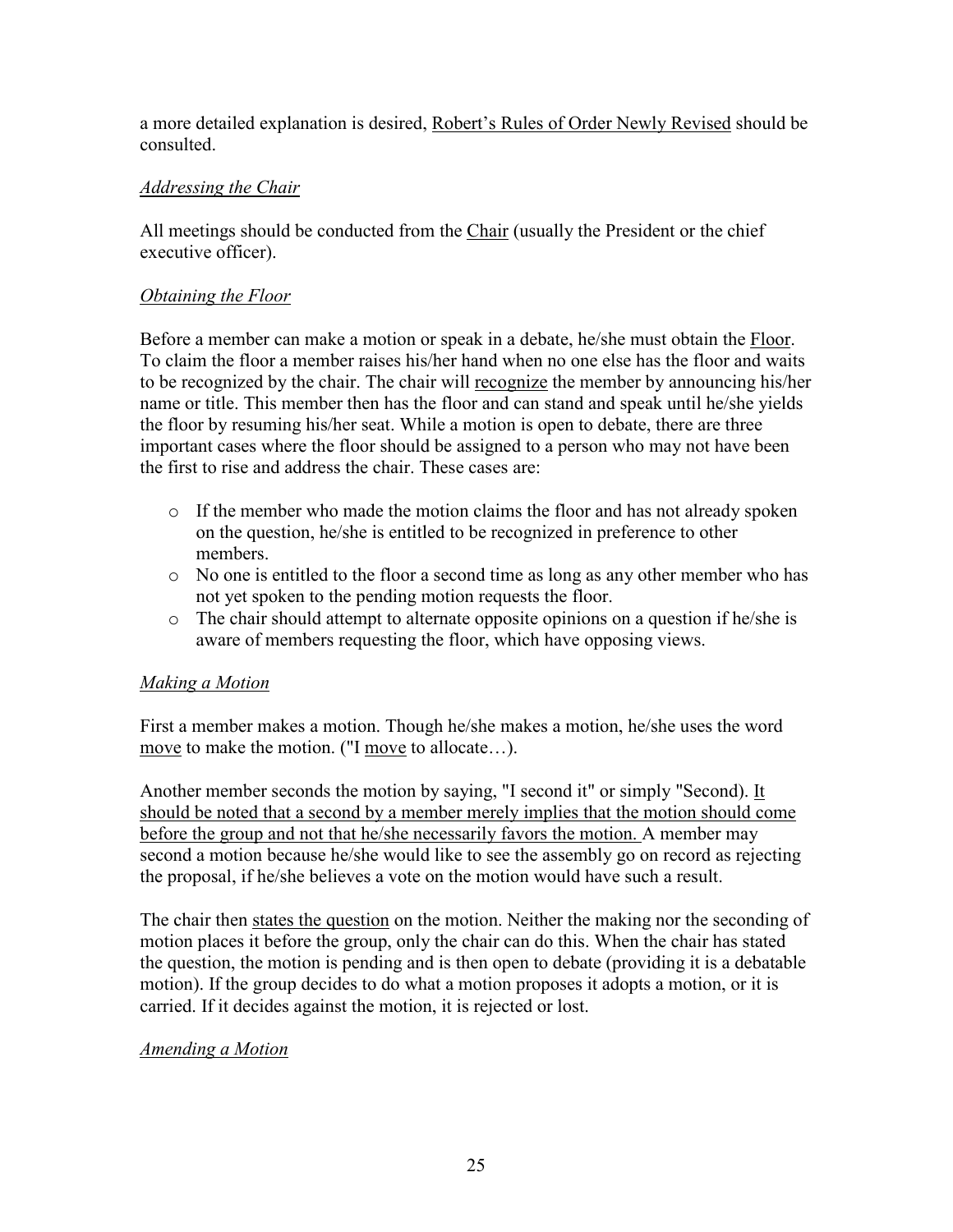a more detailed explanation is desired, Robert's Rules of Order Newly Revised should be consulted.

## *Addressing the Chair*

All meetings should be conducted from the Chair (usually the President or the chief executive officer).

## *Obtaining the Floor*

Before a member can make a motion or speak in a debate, he/she must obtain the Floor. To claim the floor a member raises his/her hand when no one else has the floor and waits to be recognized by the chair. The chair will recognize the member by announcing his/her name or title. This member then has the floor and can stand and speak until he/she yields the floor by resuming his/her seat. While a motion is open to debate, there are three important cases where the floor should be assigned to a person who may not have been the first to rise and address the chair. These cases are:

- $\circ$  If the member who made the motion claims the floor and has not already spoken on the question, he/she is entitled to be recognized in preference to other members.
- o No one is entitled to the floor a second time as long as any other member who has not yet spoken to the pending motion requests the floor.
- o The chair should attempt to alternate opposite opinions on a question if he/she is aware of members requesting the floor, which have opposing views.

### *Making a Motion*

First a member makes a motion. Though he/she makes a motion, he/she uses the word move to make the motion. ("I move to allocate...).

Another member seconds the motion by saying, "I second it" or simply "Second). It should be noted that a second by a member merely implies that the motion should come before the group and not that he/she necessarily favors the motion. A member may second a motion because he/she would like to see the assembly go on record as rejecting the proposal, if he/she believes a vote on the motion would have such a result.

The chair then states the question on the motion. Neither the making nor the seconding of motion places it before the group, only the chair can do this. When the chair has stated the question, the motion is pending and is then open to debate (providing it is a debatable motion). If the group decides to do what a motion proposes it adopts a motion, or it is carried. If it decides against the motion, it is rejected or lost.

### *Amending a Motion*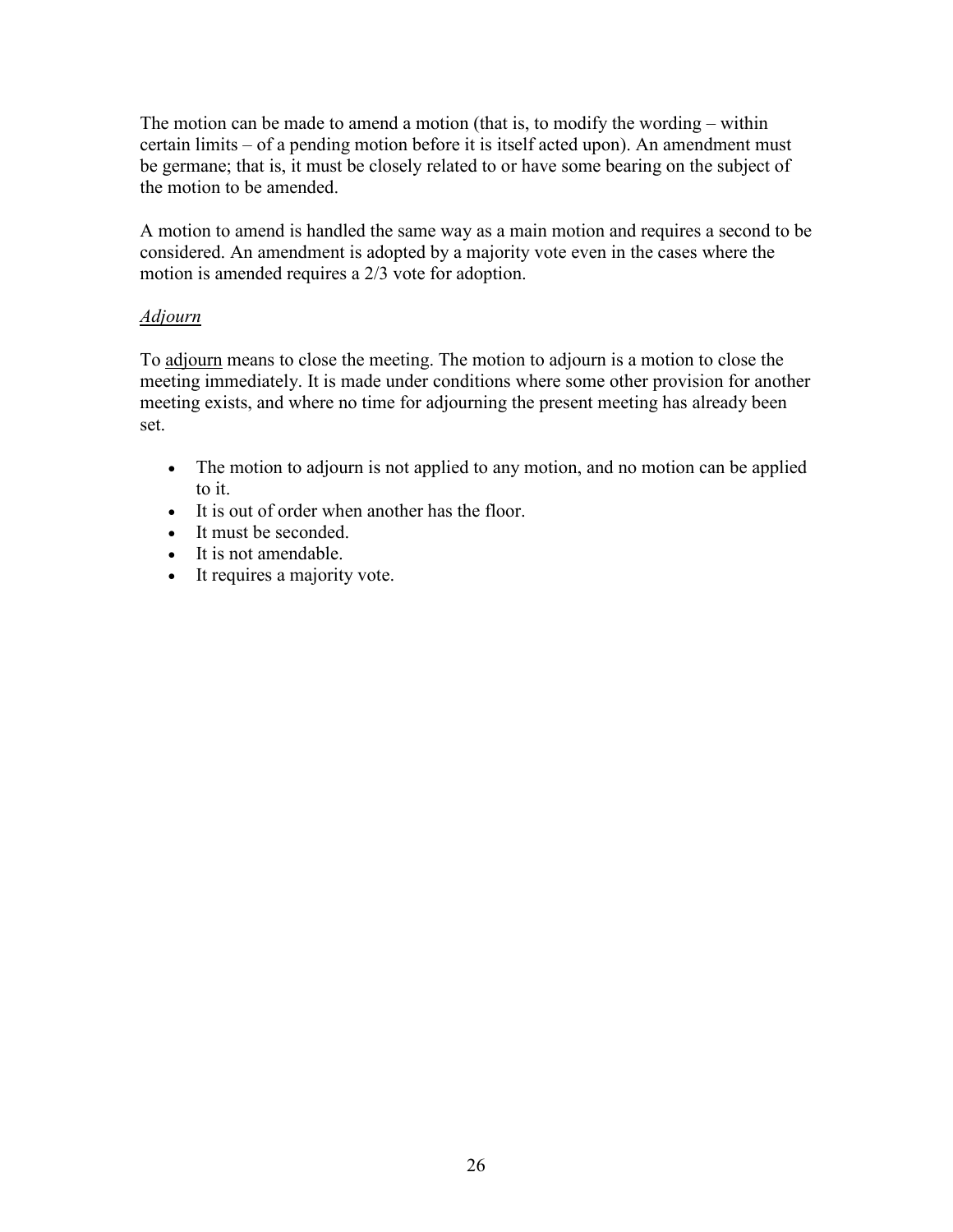The motion can be made to amend a motion (that is, to modify the wording – within certain limits – of a pending motion before it is itself acted upon). An amendment must be germane; that is, it must be closely related to or have some bearing on the subject of the motion to be amended.

A motion to amend is handled the same way as a main motion and requires a second to be considered. An amendment is adopted by a majority vote even in the cases where the motion is amended requires a 2/3 vote for adoption.

### *Adjourn*

To adjourn means to close the meeting. The motion to adjourn is a motion to close the meeting immediately. It is made under conditions where some other provision for another meeting exists, and where no time for adjourning the present meeting has already been set.

- The motion to adjourn is not applied to any motion, and no motion can be applied to it.
- It is out of order when another has the floor.
- It must be seconded.
- It is not amendable.
- It requires a majority vote.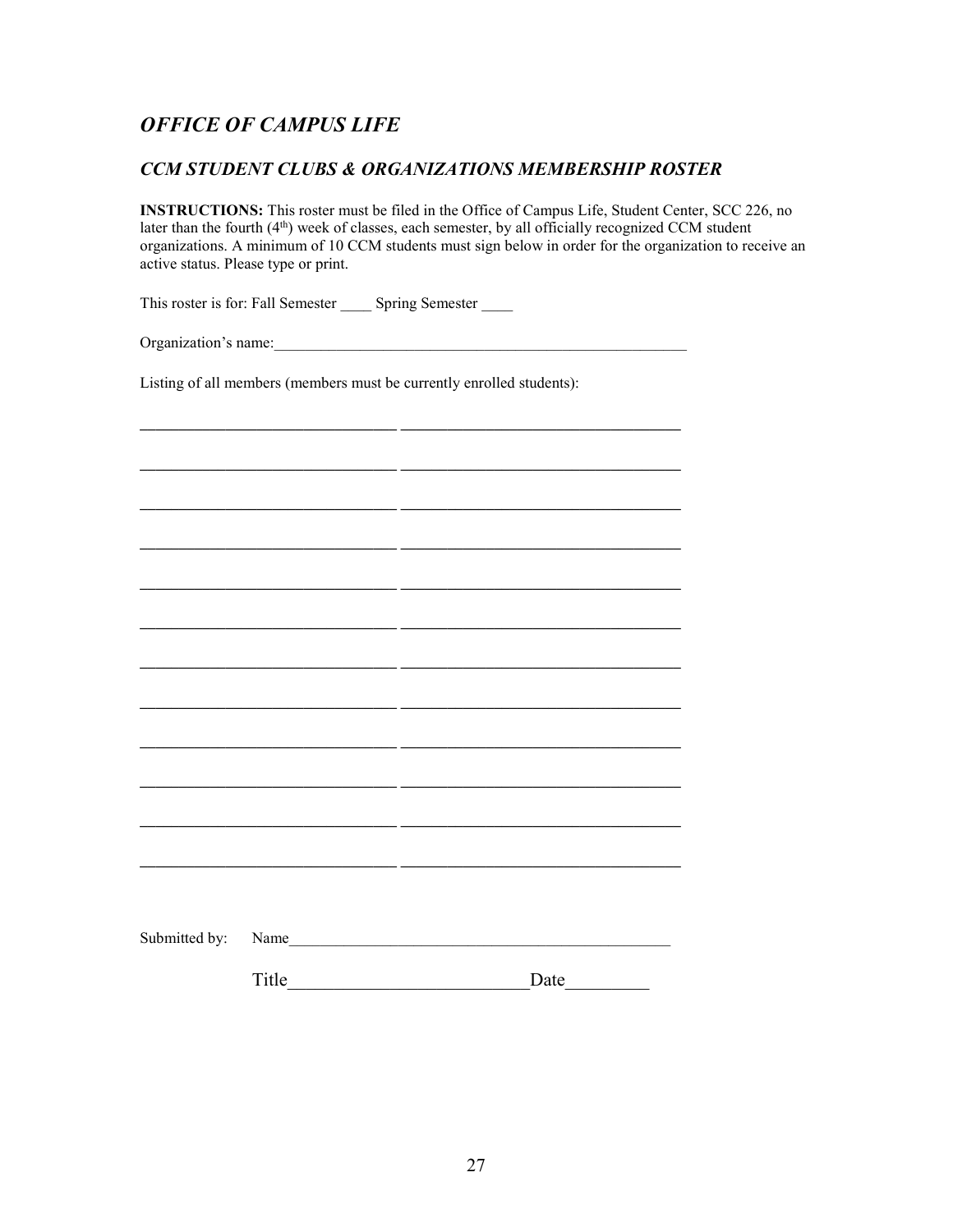#### *CCM STUDENT CLUBS & ORGANIZATIONS MEMBERSHIP ROSTER*

**INSTRUCTIONS:** This roster must be filed in the Office of Campus Life, Student Center, SCC 226, no later than the fourth  $(4<sup>th</sup>)$  week of classes, each semester, by all officially recognized CCM student organizations. A minimum of 10 CCM students must sign below in order for the organization to receive an active status. Please type or print.

This roster is for: Fall Semester Spring Semester

Organization's name:

Listing of all members (members must be currently enrolled students):

**\_\_\_\_\_\_\_\_\_\_\_\_\_\_\_\_\_\_\_\_\_\_\_\_\_\_\_\_\_\_\_\_\_ \_\_\_\_\_\_\_\_\_\_\_\_\_\_\_\_\_\_\_\_\_\_\_\_\_\_\_\_\_\_\_\_\_\_\_\_**

| Submitted by: Name |      |
|--------------------|------|
| Title              | Date |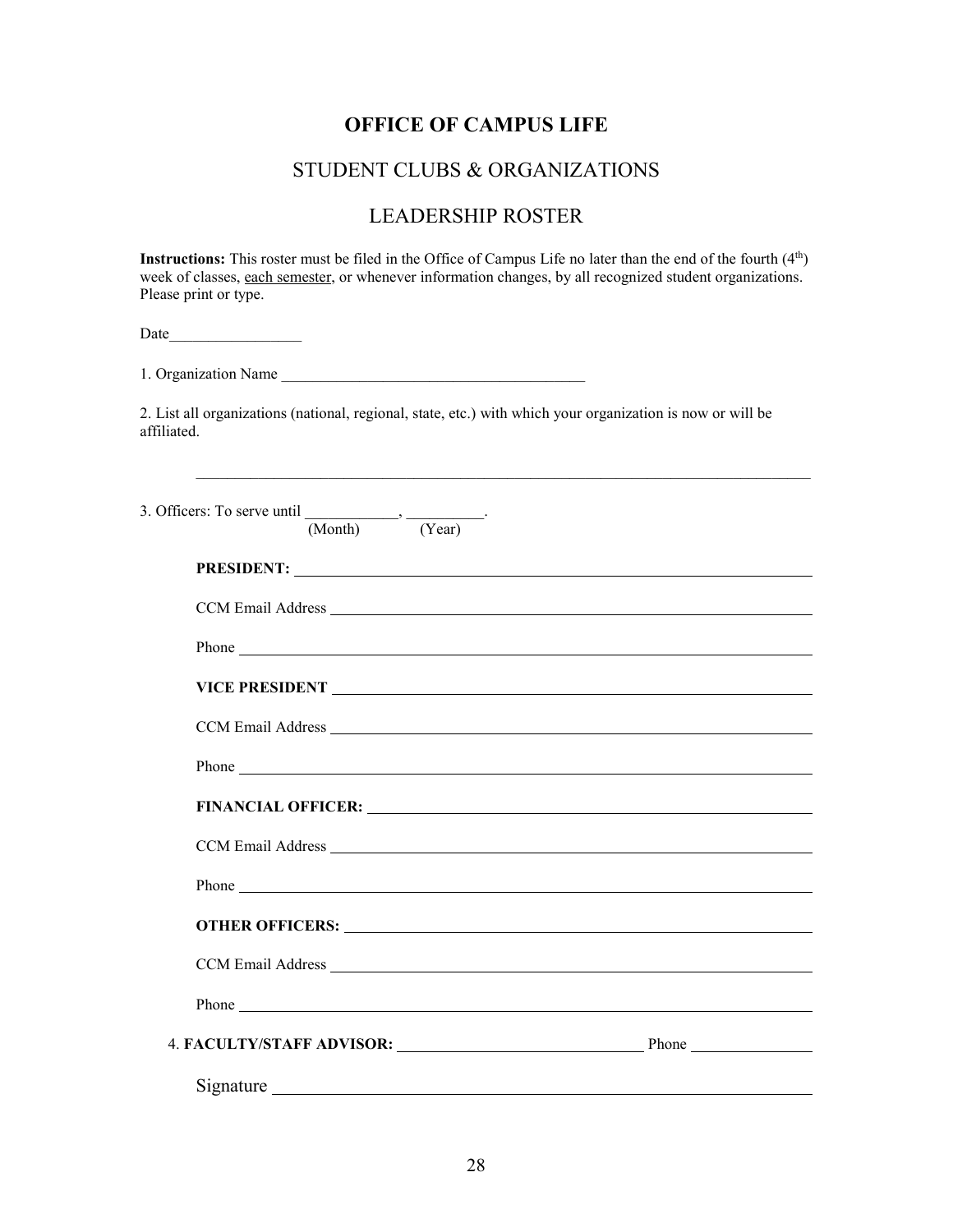### STUDENT CLUBS & ORGANIZATIONS

## LEADERSHIP ROSTER

**Instructions:** This roster must be filed in the Office of Campus Life no later than the end of the fourth (4<sup>th</sup>) week of classes, each semester, or whenever information changes, by all recognized student organizations. Please print or type.

Date\_\_\_\_\_\_\_\_\_\_\_\_\_\_\_\_\_

1. Organization Name

2. List all organizations (national, regional, state, etc.) with which your organization is now or will be affiliated.

\_\_\_\_\_\_\_\_\_\_\_\_\_\_\_\_\_\_\_\_\_\_\_\_\_\_\_\_\_\_\_\_\_\_\_\_\_\_\_\_\_\_\_\_\_\_\_\_\_\_\_\_\_\_\_\_\_\_\_\_\_\_\_\_\_\_\_\_\_\_\_\_\_\_\_\_\_\_\_

| 3. Officers: To serve until $\frac{\cdot}{(\text{Month})}$ $\cdot \frac{\cdot}{(\text{Year})}$ . |                                                                                                                                                                                                                               |                                                                                                                                                                                                                                      |  |
|--------------------------------------------------------------------------------------------------|-------------------------------------------------------------------------------------------------------------------------------------------------------------------------------------------------------------------------------|--------------------------------------------------------------------------------------------------------------------------------------------------------------------------------------------------------------------------------------|--|
|                                                                                                  |                                                                                                                                                                                                                               |                                                                                                                                                                                                                                      |  |
|                                                                                                  |                                                                                                                                                                                                                               |                                                                                                                                                                                                                                      |  |
|                                                                                                  | Phone has a series of the series of the series of the series of the series of the series of the series of the series of the series of the series of the series of the series of the series of the series of the series of the |                                                                                                                                                                                                                                      |  |
|                                                                                                  |                                                                                                                                                                                                                               |                                                                                                                                                                                                                                      |  |
|                                                                                                  |                                                                                                                                                                                                                               |                                                                                                                                                                                                                                      |  |
|                                                                                                  |                                                                                                                                                                                                                               |                                                                                                                                                                                                                                      |  |
|                                                                                                  |                                                                                                                                                                                                                               |                                                                                                                                                                                                                                      |  |
|                                                                                                  |                                                                                                                                                                                                                               |                                                                                                                                                                                                                                      |  |
|                                                                                                  |                                                                                                                                                                                                                               |                                                                                                                                                                                                                                      |  |
|                                                                                                  |                                                                                                                                                                                                                               |                                                                                                                                                                                                                                      |  |
|                                                                                                  |                                                                                                                                                                                                                               |                                                                                                                                                                                                                                      |  |
|                                                                                                  |                                                                                                                                                                                                                               | Phone <u>contains and the containing of the containing of the containing of the containing of the containing of the containing of the containing of the containing of the containing of the containing of the containing of the </u> |  |
|                                                                                                  |                                                                                                                                                                                                                               | 4. FACULTY/STAFF ADVISOR: Phone                                                                                                                                                                                                      |  |
|                                                                                                  |                                                                                                                                                                                                                               |                                                                                                                                                                                                                                      |  |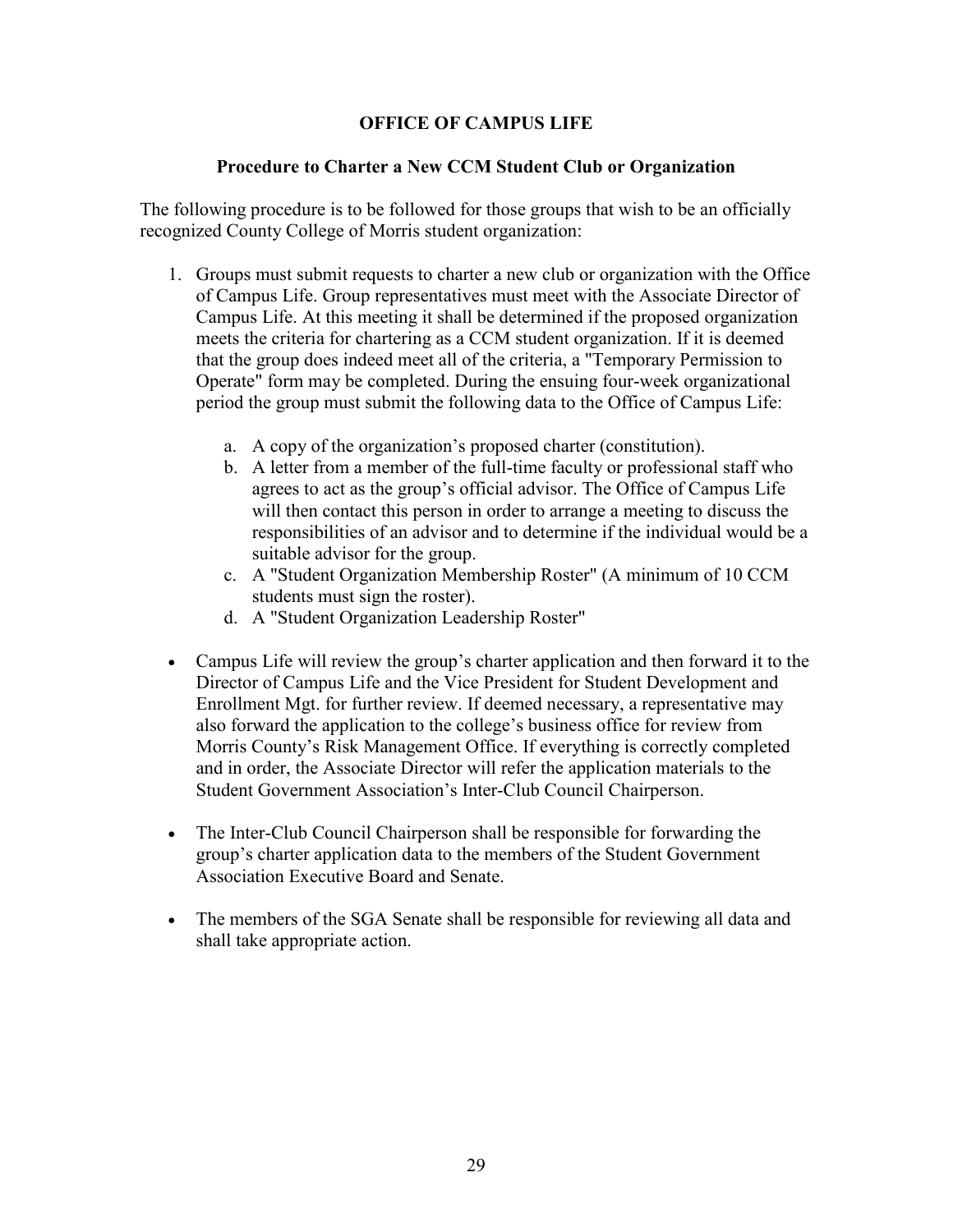#### **Procedure to Charter a New CCM Student Club or Organization**

The following procedure is to be followed for those groups that wish to be an officially recognized County College of Morris student organization:

- 1. Groups must submit requests to charter a new club or organization with the Office of Campus Life. Group representatives must meet with the Associate Director of Campus Life. At this meeting it shall be determined if the proposed organization meets the criteria for chartering as a CCM student organization. If it is deemed that the group does indeed meet all of the criteria, a "Temporary Permission to Operate" form may be completed. During the ensuing four-week organizational period the group must submit the following data to the Office of Campus Life:
	- a. A copy of the organization's proposed charter (constitution).
	- b. A letter from a member of the full-time faculty or professional staff who agrees to act as the group's official advisor. The Office of Campus Life will then contact this person in order to arrange a meeting to discuss the responsibilities of an advisor and to determine if the individual would be a suitable advisor for the group.
	- c. A "Student Organization Membership Roster" (A minimum of 10 CCM students must sign the roster).
	- d. A "Student Organization Leadership Roster"
- Campus Life will review the group's charter application and then forward it to the Director of Campus Life and the Vice President for Student Development and Enrollment Mgt. for further review. If deemed necessary, a representative may also forward the application to the college's business office for review from Morris County's Risk Management Office. If everything is correctly completed and in order, the Associate Director will refer the application materials to the Student Government Association's Inter-Club Council Chairperson.
- The Inter-Club Council Chairperson shall be responsible for forwarding the group's charter application data to the members of the Student Government Association Executive Board and Senate.
- The members of the SGA Senate shall be responsible for reviewing all data and shall take appropriate action.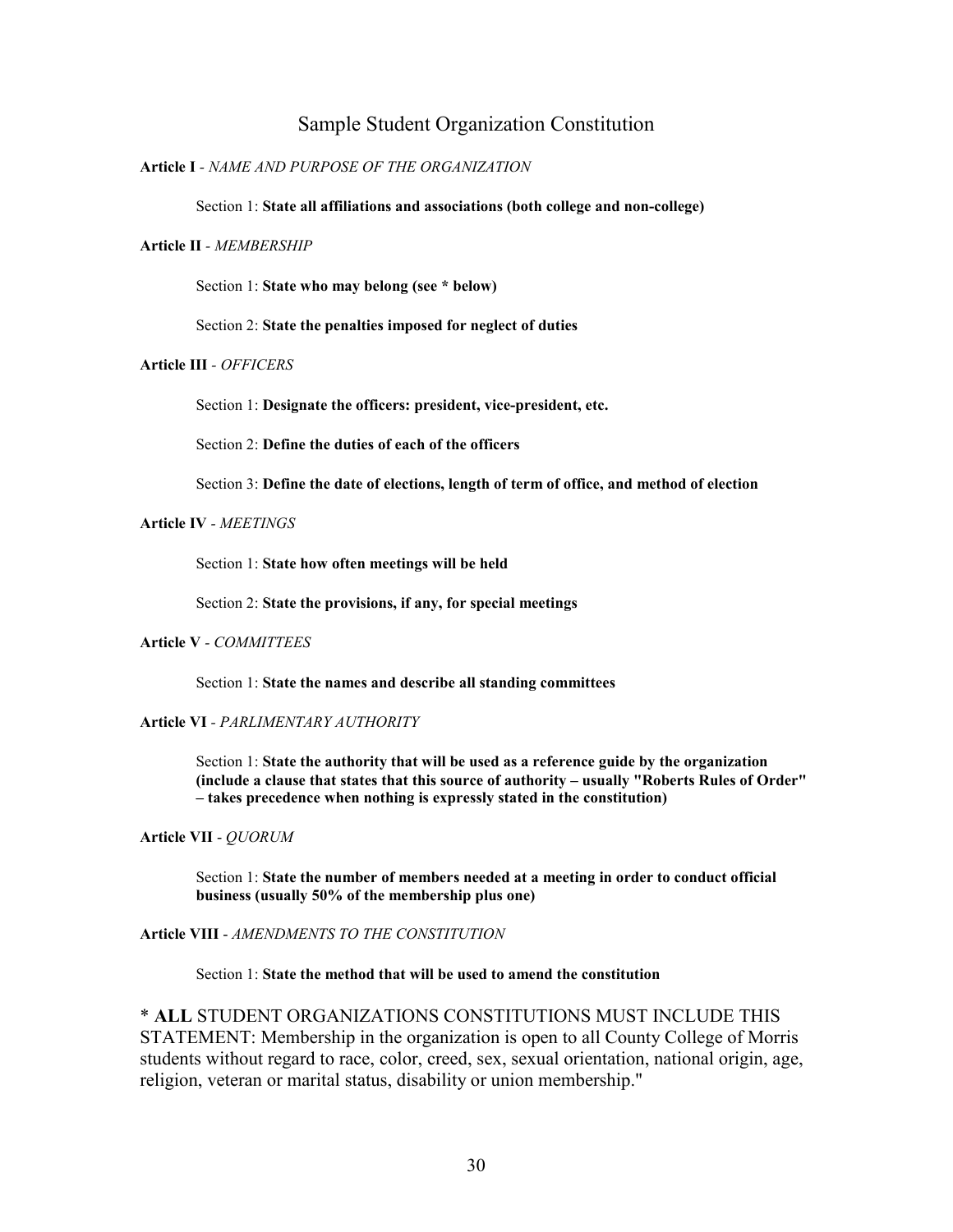#### Sample Student Organization Constitution

#### **Article I** *- NAME AND PURPOSE OF THE ORGANIZATION*

Section 1: **State all affiliations and associations (both college and non-college)**

#### **Article II** *- MEMBERSHIP*

Section 1: **State who may belong (see \* below)**

Section 2: **State the penalties imposed for neglect of duties**

#### **Article III** *- OFFICERS*

Section 1: **Designate the officers: president, vice-president, etc.**

Section 2: **Define the duties of each of the officers**

Section 3: **Define the date of elections, length of term of office, and method of election**

**Article IV** *- MEETINGS*

Section 1: **State how often meetings will be held**

Section 2: **State the provisions, if any, for special meetings**

#### **Article V** *- COMMITTEES*

Section 1: **State the names and describe all standing committees**

**Article VI** *- PARLIMENTARY AUTHORITY*

Section 1: **State the authority that will be used as a reference guide by the organization (include a clause that states that this source of authority – usually "Roberts Rules of Order" – takes precedence when nothing is expressly stated in the constitution)**

**Article VII** - *QUORUM*

Section 1: **State the number of members needed at a meeting in order to conduct official business (usually 50% of the membership plus one)**

**Article VIII** - *AMENDMENTS TO THE CONSTITUTION*

Section 1: **State the method that will be used to amend the constitution**

\* **ALL** STUDENT ORGANIZATIONS CONSTITUTIONS MUST INCLUDE THIS STATEMENT: Membership in the organization is open to all County College of Morris students without regard to race, color, creed, sex, sexual orientation, national origin, age, religion, veteran or marital status, disability or union membership."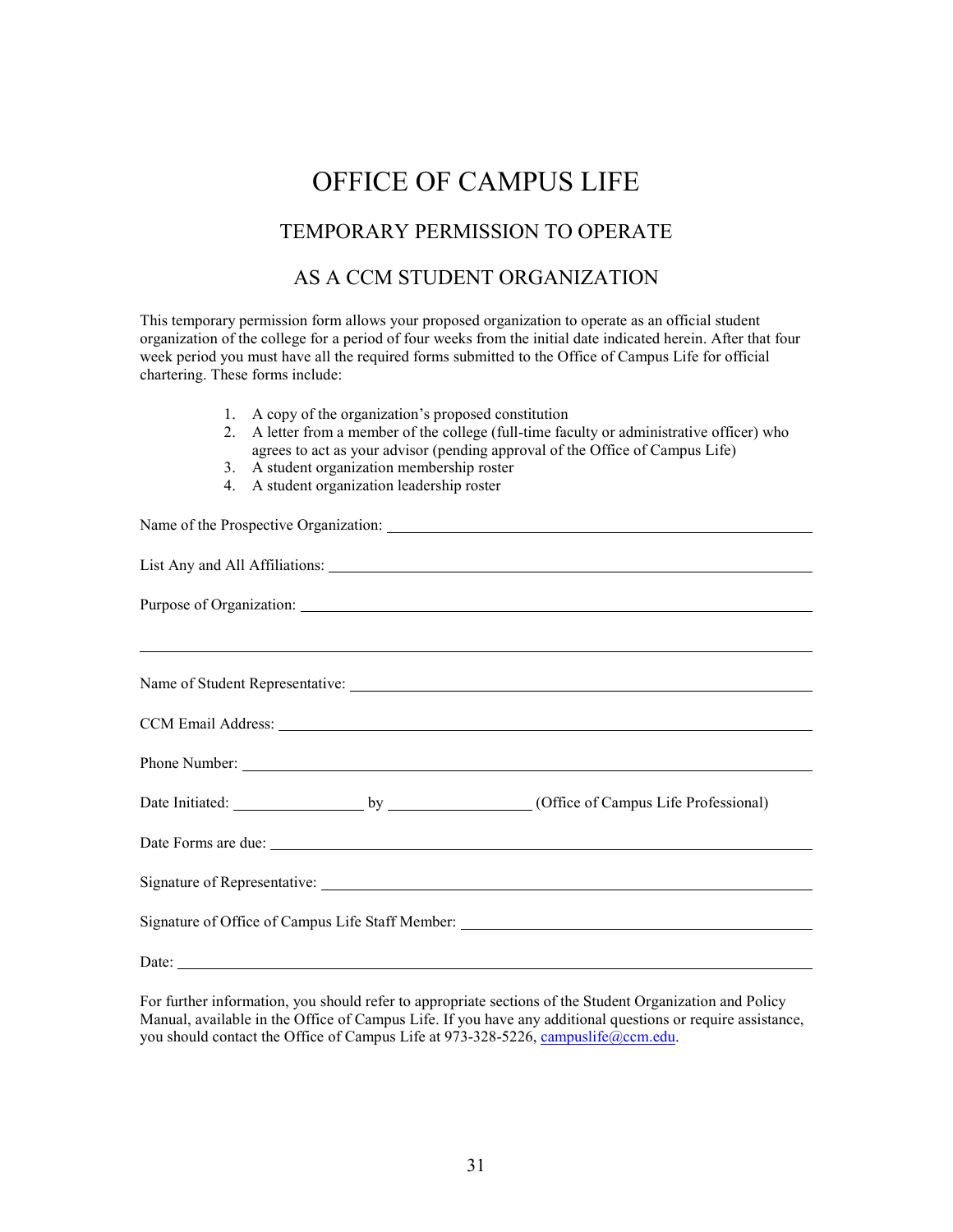## TEMPORARY PERMISSION TO OPERATE

#### AS A CCM STUDENT ORGANIZATION

This temporary permission form allows your proposed organization to operate as an official student organization of the college for a period of four weeks from the initial date indicated herein. After that four week period you must have all the required forms submitted to the Office of Campus Life for official chartering. These forms include:

- 1. A copy of the organization's proposed constitution
- 2. A letter from a member of the college (full-time faculty or administrative officer) who agrees to act as your advisor (pending approval of the Office of Campus Life)
- 3. A student organization membership roster
- 4. A student organization leadership roster

|  | Purpose of Organization: New York Changes and Security and Security and Security and Security and Security and Security and Security and Security and Security and Security and Security and Security and Security and Securit |
|--|--------------------------------------------------------------------------------------------------------------------------------------------------------------------------------------------------------------------------------|
|  |                                                                                                                                                                                                                                |
|  |                                                                                                                                                                                                                                |
|  |                                                                                                                                                                                                                                |
|  |                                                                                                                                                                                                                                |
|  |                                                                                                                                                                                                                                |
|  |                                                                                                                                                                                                                                |
|  |                                                                                                                                                                                                                                |
|  |                                                                                                                                                                                                                                |
|  |                                                                                                                                                                                                                                |

For further information, you should refer to appropriate sections of the Student Organization and Policy Manual, available in the Office of Campus Life. If you have any additional questions or require assistance, you should contact the Office of Campus Life at 973-328-5226[, campuslife@ccm.edu.](mailto:campuslife@ccm.edu)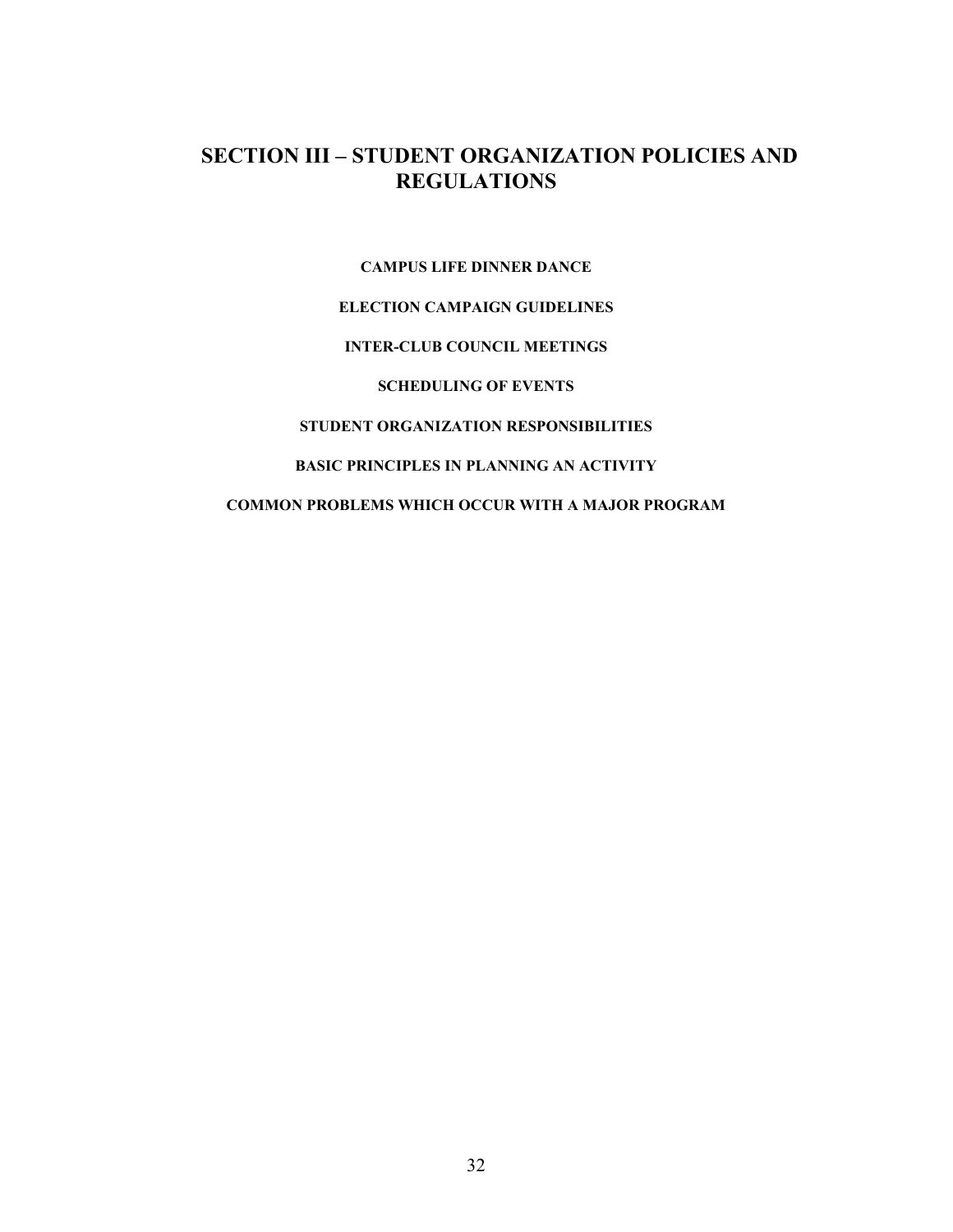## **SECTION III – STUDENT ORGANIZATION POLICIES AND REGULATIONS**

**CAMPUS LIFE DINNER DANCE** 

**ELECTION CAMPAIGN GUIDELINES** 

#### **INTER-CLUB COUNCIL MEETINGS**

**SCHEDULING OF EVENTS** 

**STUDENT ORGANIZATION RESPONSIBILITIES**

#### **BASIC PRINCIPLES IN PLANNING AN ACTIVITY**

**COMMON PROBLEMS WHICH OCCUR WITH A MAJOR PROGRAM**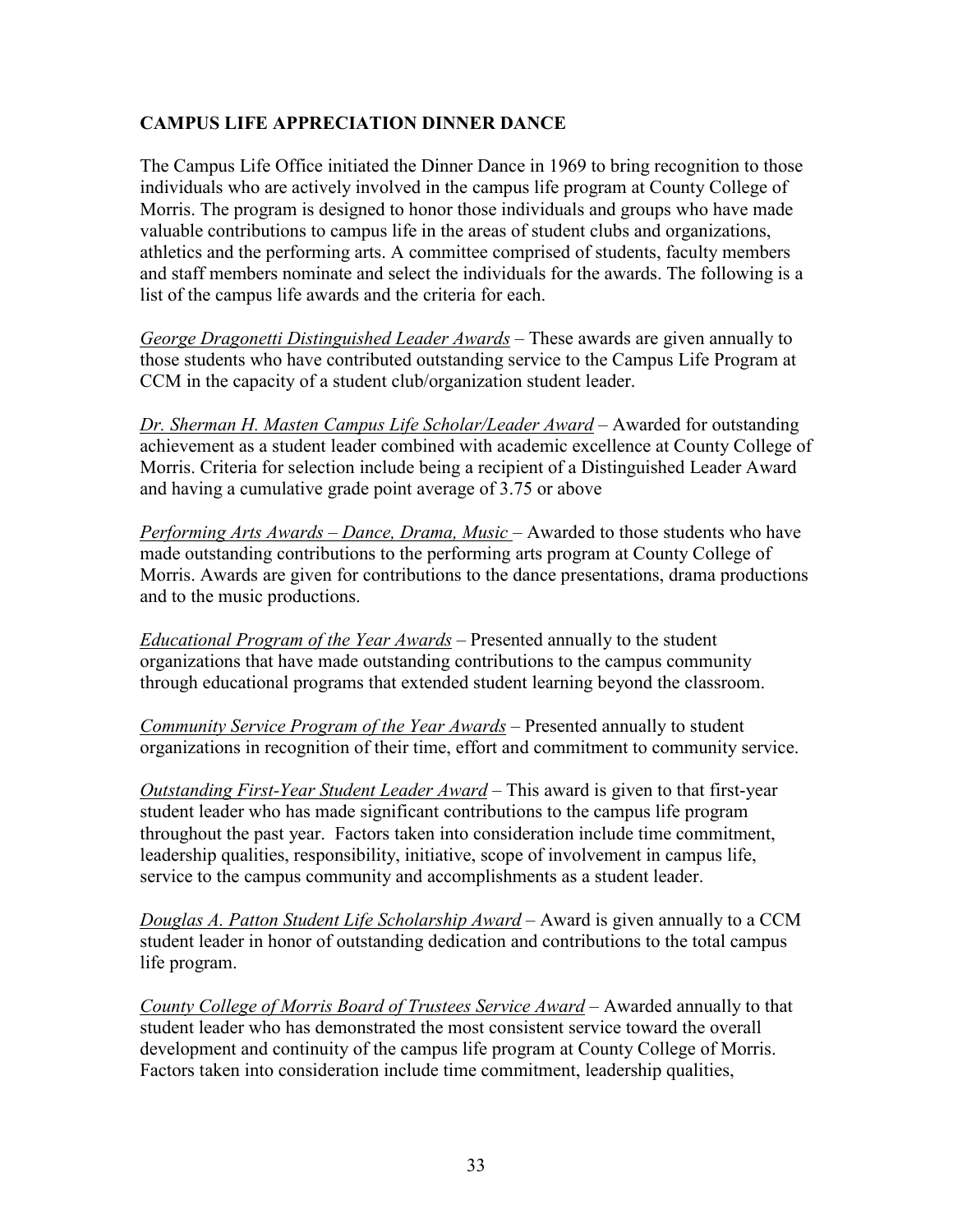### **CAMPUS LIFE APPRECIATION DINNER DANCE**

The Campus Life Office initiated the Dinner Dance in 1969 to bring recognition to those individuals who are actively involved in the campus life program at County College of Morris. The program is designed to honor those individuals and groups who have made valuable contributions to campus life in the areas of student clubs and organizations, athletics and the performing arts. A committee comprised of students, faculty members and staff members nominate and select the individuals for the awards. The following is a list of the campus life awards and the criteria for each.

*George Dragonetti Distinguished Leader Awards* – These awards are given annually to those students who have contributed outstanding service to the Campus Life Program at CCM in the capacity of a student club/organization student leader.

*Dr. Sherman H. Masten Campus Life Scholar/Leader Award* – Awarded for outstanding achievement as a student leader combined with academic excellence at County College of Morris. Criteria for selection include being a recipient of a Distinguished Leader Award and having a cumulative grade point average of 3.75 or above

*Performing Arts Awards – Dance, Drama, Music* – Awarded to those students who have made outstanding contributions to the performing arts program at County College of Morris. Awards are given for contributions to the dance presentations, drama productions and to the music productions.

*Educational Program of the Year Awards* – Presented annually to the student organizations that have made outstanding contributions to the campus community through educational programs that extended student learning beyond the classroom.

*Community Service Program of the Year Awards* – Presented annually to student organizations in recognition of their time, effort and commitment to community service.

*Outstanding First-Year Student Leader Award* – This award is given to that first-year student leader who has made significant contributions to the campus life program throughout the past year. Factors taken into consideration include time commitment, leadership qualities, responsibility, initiative, scope of involvement in campus life, service to the campus community and accomplishments as a student leader.

*Douglas A. Patton Student Life Scholarship Award* – Award is given annually to a CCM student leader in honor of outstanding dedication and contributions to the total campus life program.

*County College of Morris Board of Trustees Service Award* – Awarded annually to that student leader who has demonstrated the most consistent service toward the overall development and continuity of the campus life program at County College of Morris. Factors taken into consideration include time commitment, leadership qualities,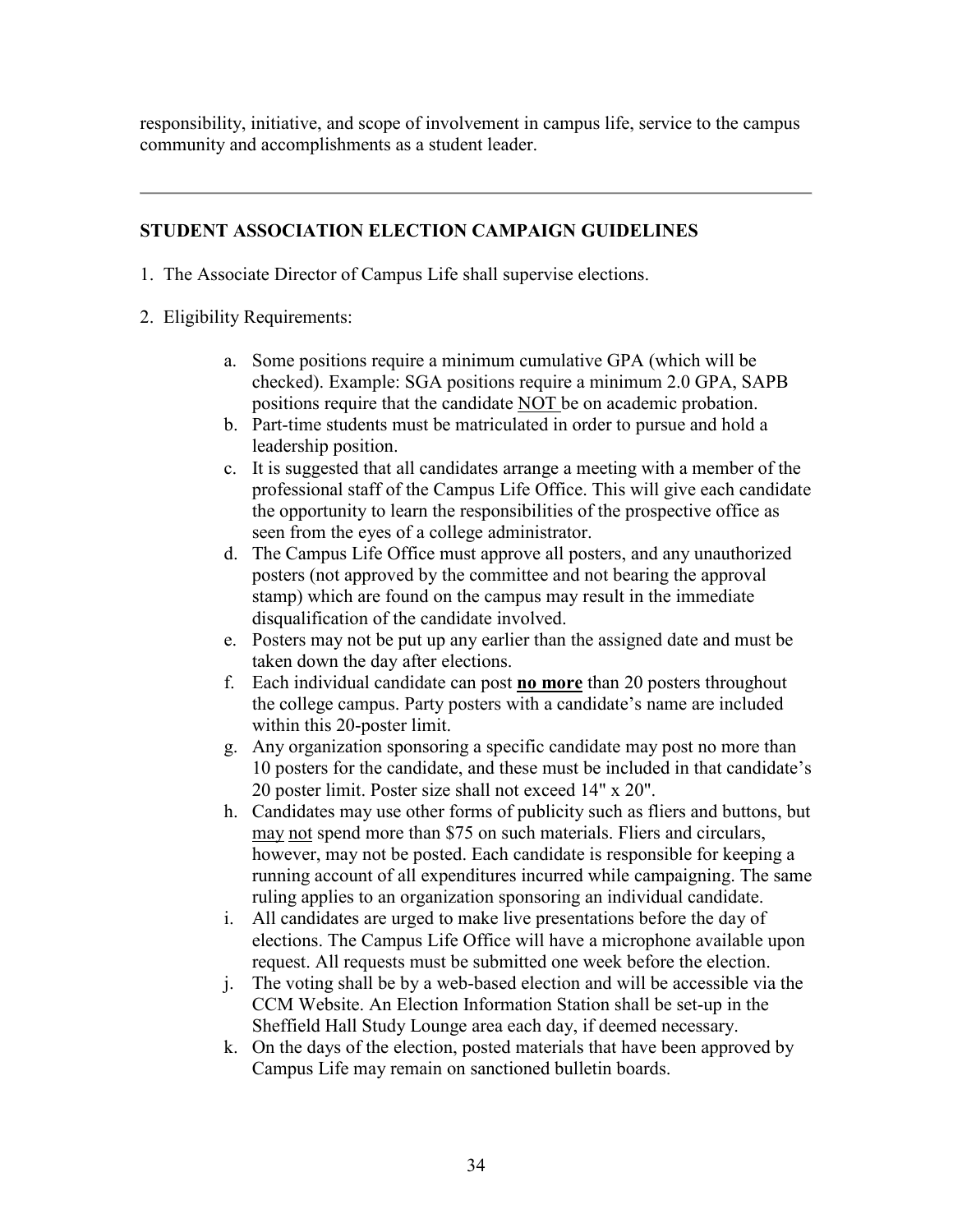responsibility, initiative, and scope of involvement in campus life, service to the campus community and accomplishments as a student leader.

## **STUDENT ASSOCIATION ELECTION CAMPAIGN GUIDELINES**

- 1. The Associate Director of Campus Life shall supervise elections.
- 2. Eligibility Requirements:
	- a. Some positions require a minimum cumulative GPA (which will be checked). Example: SGA positions require a minimum 2.0 GPA, SAPB positions require that the candidate NOT be on academic probation.
	- b. Part-time students must be matriculated in order to pursue and hold a leadership position.
	- c. It is suggested that all candidates arrange a meeting with a member of the professional staff of the Campus Life Office. This will give each candidate the opportunity to learn the responsibilities of the prospective office as seen from the eyes of a college administrator.
	- d. The Campus Life Office must approve all posters, and any unauthorized posters (not approved by the committee and not bearing the approval stamp) which are found on the campus may result in the immediate disqualification of the candidate involved.
	- e. Posters may not be put up any earlier than the assigned date and must be taken down the day after elections.
	- f. Each individual candidate can post **no more** than 20 posters throughout the college campus. Party posters with a candidate's name are included within this 20-poster limit.
	- g. Any organization sponsoring a specific candidate may post no more than 10 posters for the candidate, and these must be included in that candidate's 20 poster limit. Poster size shall not exceed 14" x 20".
	- h. Candidates may use other forms of publicity such as fliers and buttons, but may not spend more than \$75 on such materials. Fliers and circulars, however, may not be posted. Each candidate is responsible for keeping a running account of all expenditures incurred while campaigning. The same ruling applies to an organization sponsoring an individual candidate.
	- i. All candidates are urged to make live presentations before the day of elections. The Campus Life Office will have a microphone available upon request. All requests must be submitted one week before the election.
	- j. The voting shall be by a web-based election and will be accessible via the CCM Website. An Election Information Station shall be set-up in the Sheffield Hall Study Lounge area each day, if deemed necessary.
	- k. On the days of the election, posted materials that have been approved by Campus Life may remain on sanctioned bulletin boards.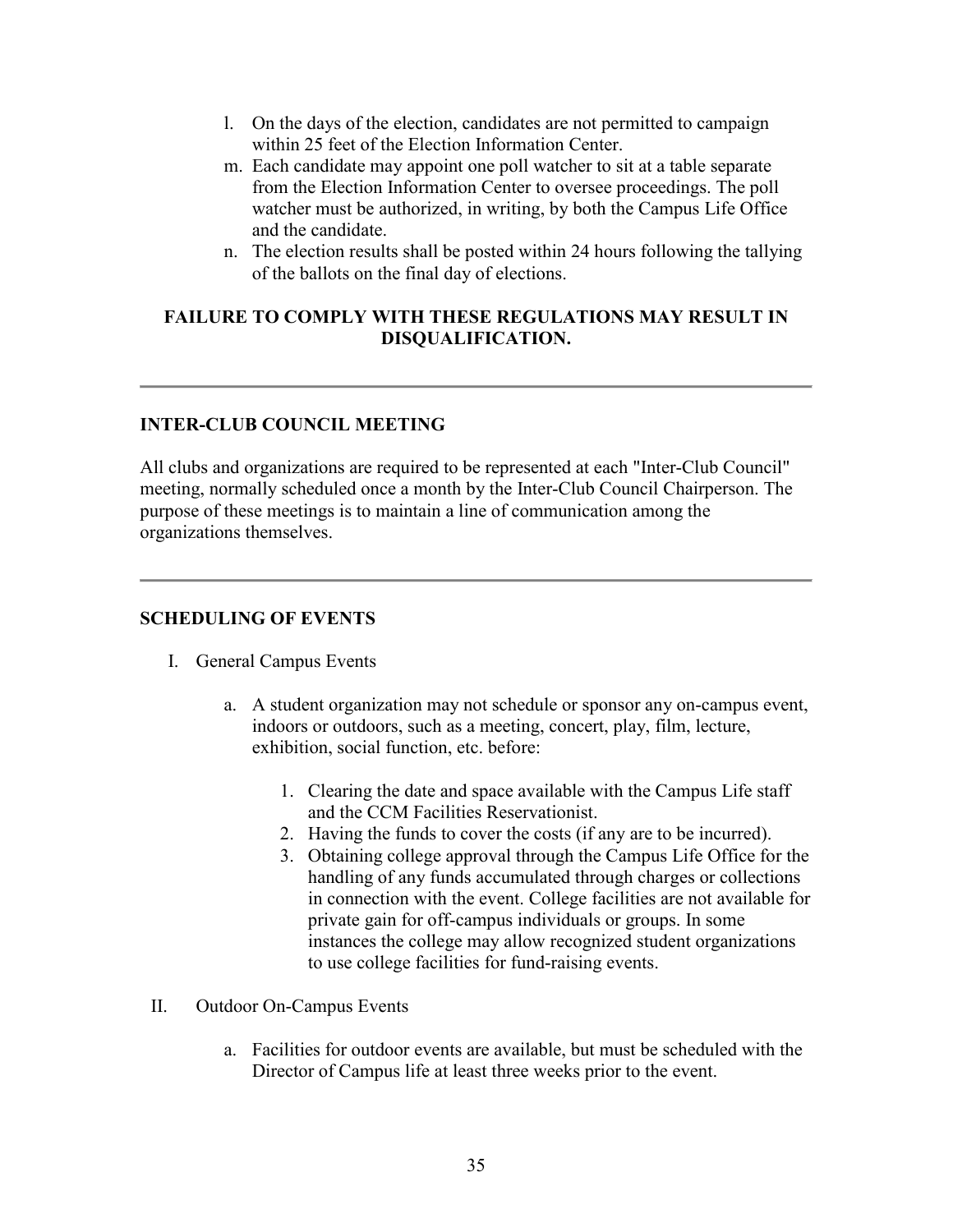- l. On the days of the election, candidates are not permitted to campaign within 25 feet of the Election Information Center.
- m. Each candidate may appoint one poll watcher to sit at a table separate from the Election Information Center to oversee proceedings. The poll watcher must be authorized, in writing, by both the Campus Life Office and the candidate.
- n. The election results shall be posted within 24 hours following the tallying of the ballots on the final day of elections.

#### **FAILURE TO COMPLY WITH THESE REGULATIONS MAY RESULT IN DISQUALIFICATION.**

### **INTER-CLUB COUNCIL MEETING**

All clubs and organizations are required to be represented at each "Inter-Club Council" meeting, normally scheduled once a month by the Inter-Club Council Chairperson. The purpose of these meetings is to maintain a line of communication among the organizations themselves.

#### **SCHEDULING OF EVENTS**

- I. General Campus Events
	- a. A student organization may not schedule or sponsor any on-campus event, indoors or outdoors, such as a meeting, concert, play, film, lecture, exhibition, social function, etc. before:
		- 1. Clearing the date and space available with the Campus Life staff and the CCM Facilities Reservationist.
		- 2. Having the funds to cover the costs (if any are to be incurred).
		- 3. Obtaining college approval through the Campus Life Office for the handling of any funds accumulated through charges or collections in connection with the event. College facilities are not available for private gain for off-campus individuals or groups. In some instances the college may allow recognized student organizations to use college facilities for fund-raising events.
- II. Outdoor On-Campus Events
	- a. Facilities for outdoor events are available, but must be scheduled with the Director of Campus life at least three weeks prior to the event.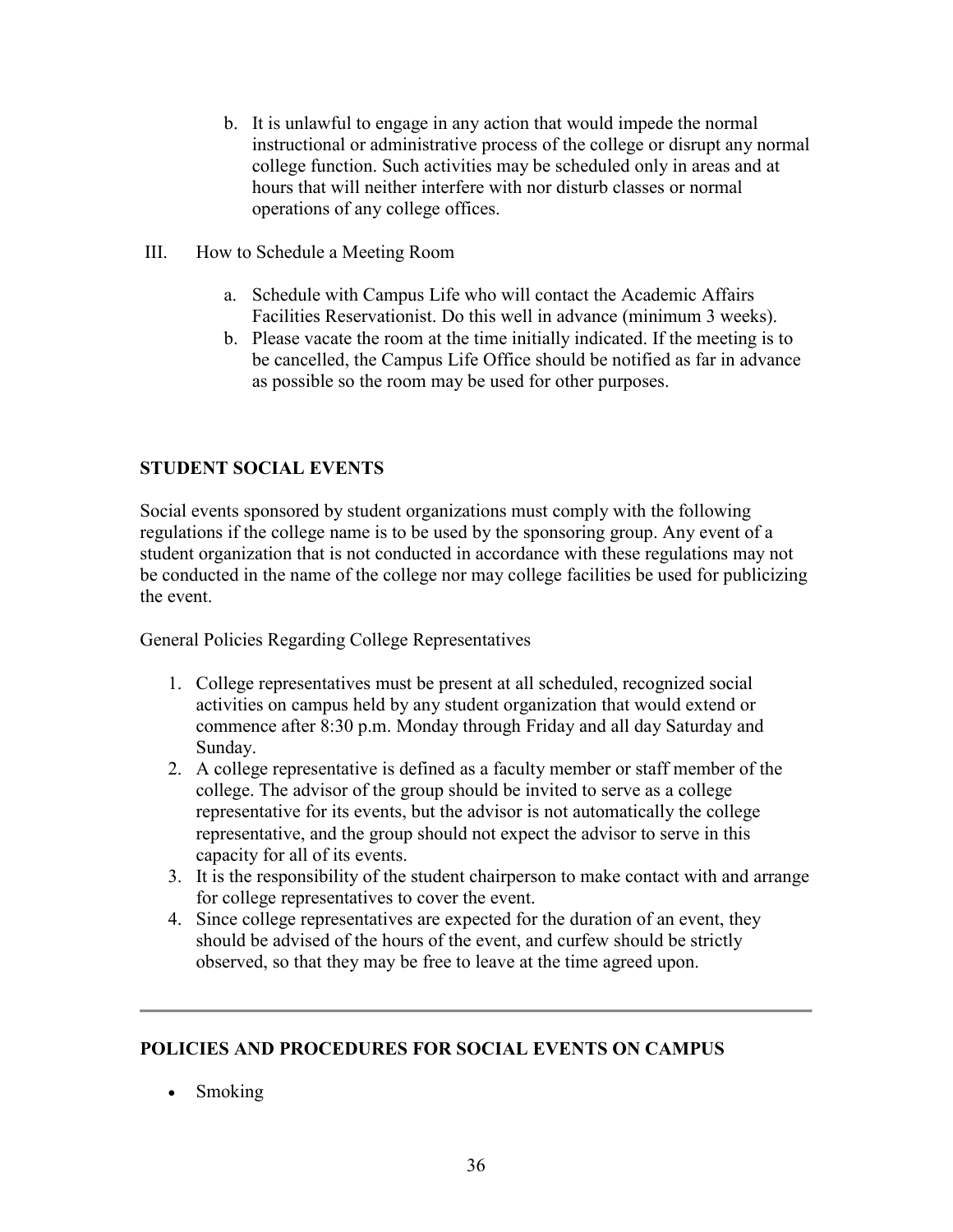- b. It is unlawful to engage in any action that would impede the normal instructional or administrative process of the college or disrupt any normal college function. Such activities may be scheduled only in areas and at hours that will neither interfere with nor disturb classes or normal operations of any college offices.
- III. How to Schedule a Meeting Room
	- a. Schedule with Campus Life who will contact the Academic Affairs Facilities Reservationist. Do this well in advance (minimum 3 weeks).
	- b. Please vacate the room at the time initially indicated. If the meeting is to be cancelled, the Campus Life Office should be notified as far in advance as possible so the room may be used for other purposes.

## **STUDENT SOCIAL EVENTS**

Social events sponsored by student organizations must comply with the following regulations if the college name is to be used by the sponsoring group. Any event of a student organization that is not conducted in accordance with these regulations may not be conducted in the name of the college nor may college facilities be used for publicizing the event.

General Policies Regarding College Representatives

- 1. College representatives must be present at all scheduled, recognized social activities on campus held by any student organization that would extend or commence after 8:30 p.m. Monday through Friday and all day Saturday and Sunday.
- 2. A college representative is defined as a faculty member or staff member of the college. The advisor of the group should be invited to serve as a college representative for its events, but the advisor is not automatically the college representative, and the group should not expect the advisor to serve in this capacity for all of its events.
- 3. It is the responsibility of the student chairperson to make contact with and arrange for college representatives to cover the event.
- 4. Since college representatives are expected for the duration of an event, they should be advised of the hours of the event, and curfew should be strictly observed, so that they may be free to leave at the time agreed upon.

## **POLICIES AND PROCEDURES FOR SOCIAL EVENTS ON CAMPUS**

• Smoking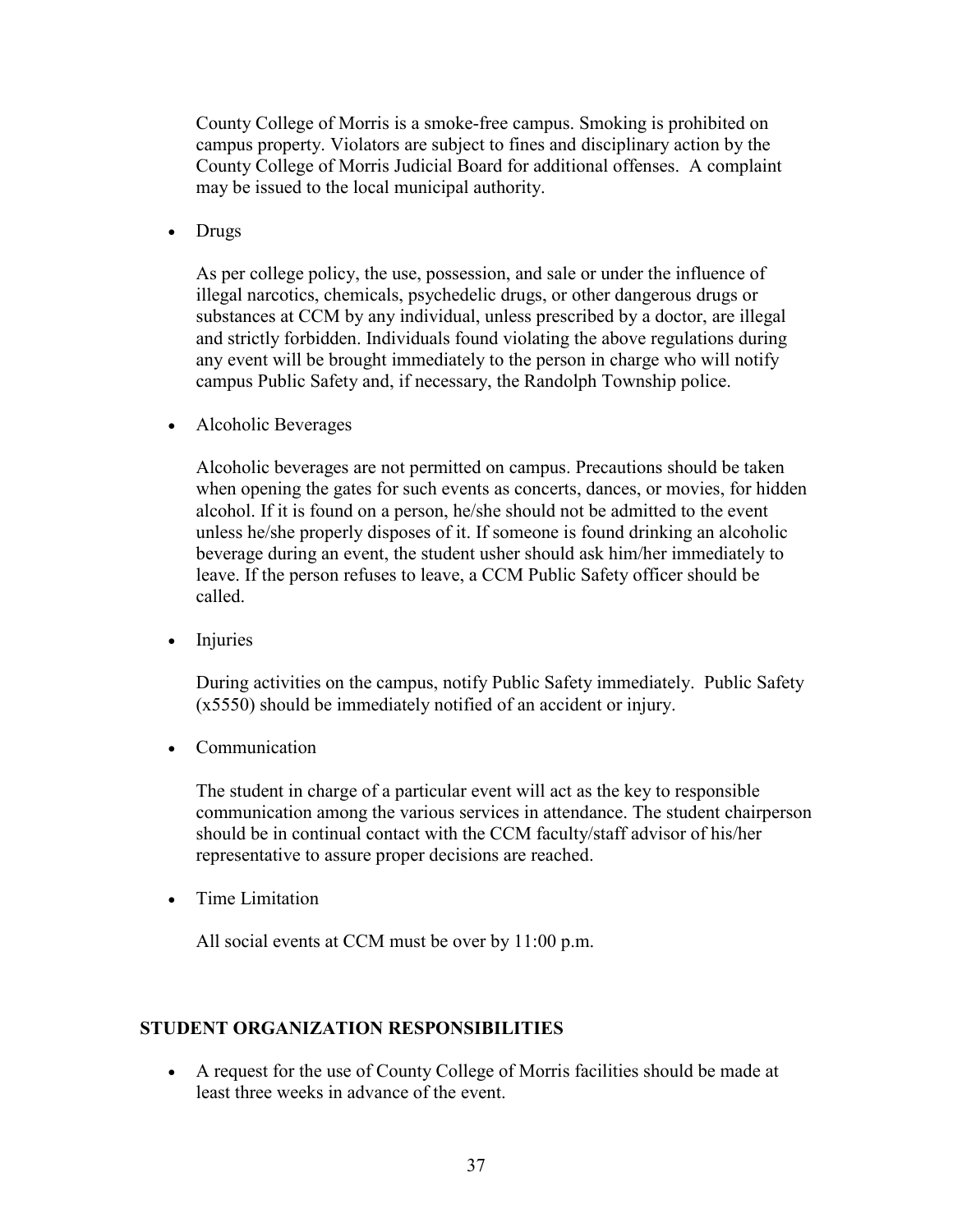County College of Morris is a smoke-free campus. Smoking is prohibited on campus property. Violators are subject to fines and disciplinary action by the County College of Morris Judicial Board for additional offenses. A complaint may be issued to the local municipal authority.

• Drugs

As per college policy, the use, possession, and sale or under the influence of illegal narcotics, chemicals, psychedelic drugs, or other dangerous drugs or substances at CCM by any individual, unless prescribed by a doctor, are illegal and strictly forbidden. Individuals found violating the above regulations during any event will be brought immediately to the person in charge who will notify campus Public Safety and, if necessary, the Randolph Township police.

• Alcoholic Beverages

Alcoholic beverages are not permitted on campus. Precautions should be taken when opening the gates for such events as concerts, dances, or movies, for hidden alcohol. If it is found on a person, he/she should not be admitted to the event unless he/she properly disposes of it. If someone is found drinking an alcoholic beverage during an event, the student usher should ask him/her immediately to leave. If the person refuses to leave, a CCM Public Safety officer should be called.

• Injuries

During activities on the campus, notify Public Safety immediately. Public Safety (x5550) should be immediately notified of an accident or injury.

• Communication

The student in charge of a particular event will act as the key to responsible communication among the various services in attendance. The student chairperson should be in continual contact with the CCM faculty/staff advisor of his/her representative to assure proper decisions are reached.

• Time Limitation

All social events at CCM must be over by 11:00 p.m.

### **STUDENT ORGANIZATION RESPONSIBILITIES**

• A request for the use of County College of Morris facilities should be made at least three weeks in advance of the event.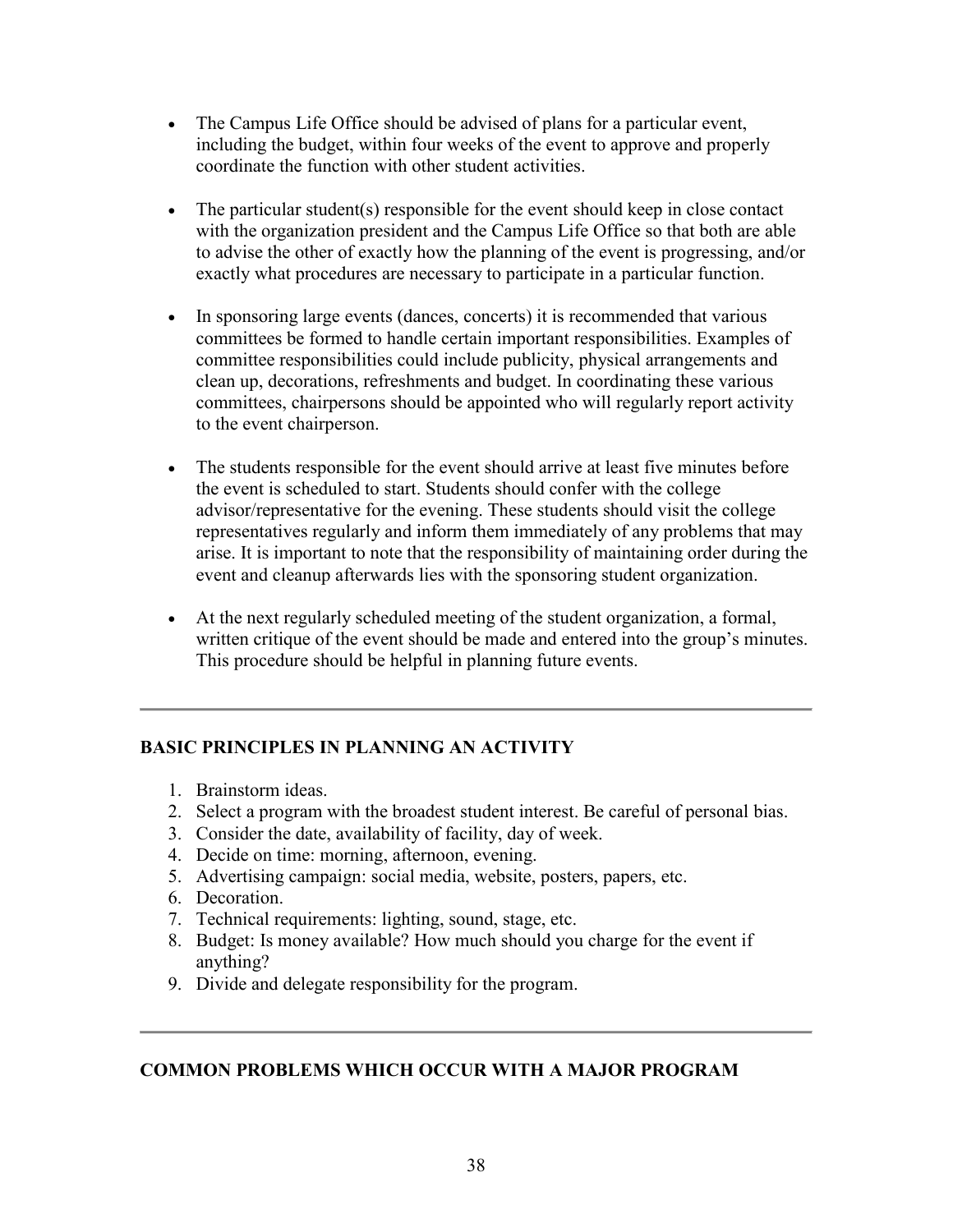- The Campus Life Office should be advised of plans for a particular event, including the budget, within four weeks of the event to approve and properly coordinate the function with other student activities.
- The particular student(s) responsible for the event should keep in close contact with the organization president and the Campus Life Office so that both are able to advise the other of exactly how the planning of the event is progressing, and/or exactly what procedures are necessary to participate in a particular function.
- In sponsoring large events (dances, concerts) it is recommended that various committees be formed to handle certain important responsibilities. Examples of committee responsibilities could include publicity, physical arrangements and clean up, decorations, refreshments and budget. In coordinating these various committees, chairpersons should be appointed who will regularly report activity to the event chairperson.
- The students responsible for the event should arrive at least five minutes before the event is scheduled to start. Students should confer with the college advisor/representative for the evening. These students should visit the college representatives regularly and inform them immediately of any problems that may arise. It is important to note that the responsibility of maintaining order during the event and cleanup afterwards lies with the sponsoring student organization.
- At the next regularly scheduled meeting of the student organization, a formal, written critique of the event should be made and entered into the group's minutes. This procedure should be helpful in planning future events.

### **BASIC PRINCIPLES IN PLANNING AN ACTIVITY**

- 1. Brainstorm ideas.
- 2. Select a program with the broadest student interest. Be careful of personal bias.
- 3. Consider the date, availability of facility, day of week.
- 4. Decide on time: morning, afternoon, evening.
- 5. Advertising campaign: social media, website, posters, papers, etc.
- 6. Decoration.
- 7. Technical requirements: lighting, sound, stage, etc.
- 8. Budget: Is money available? How much should you charge for the event if anything?
- 9. Divide and delegate responsibility for the program.

### **COMMON PROBLEMS WHICH OCCUR WITH A MAJOR PROGRAM**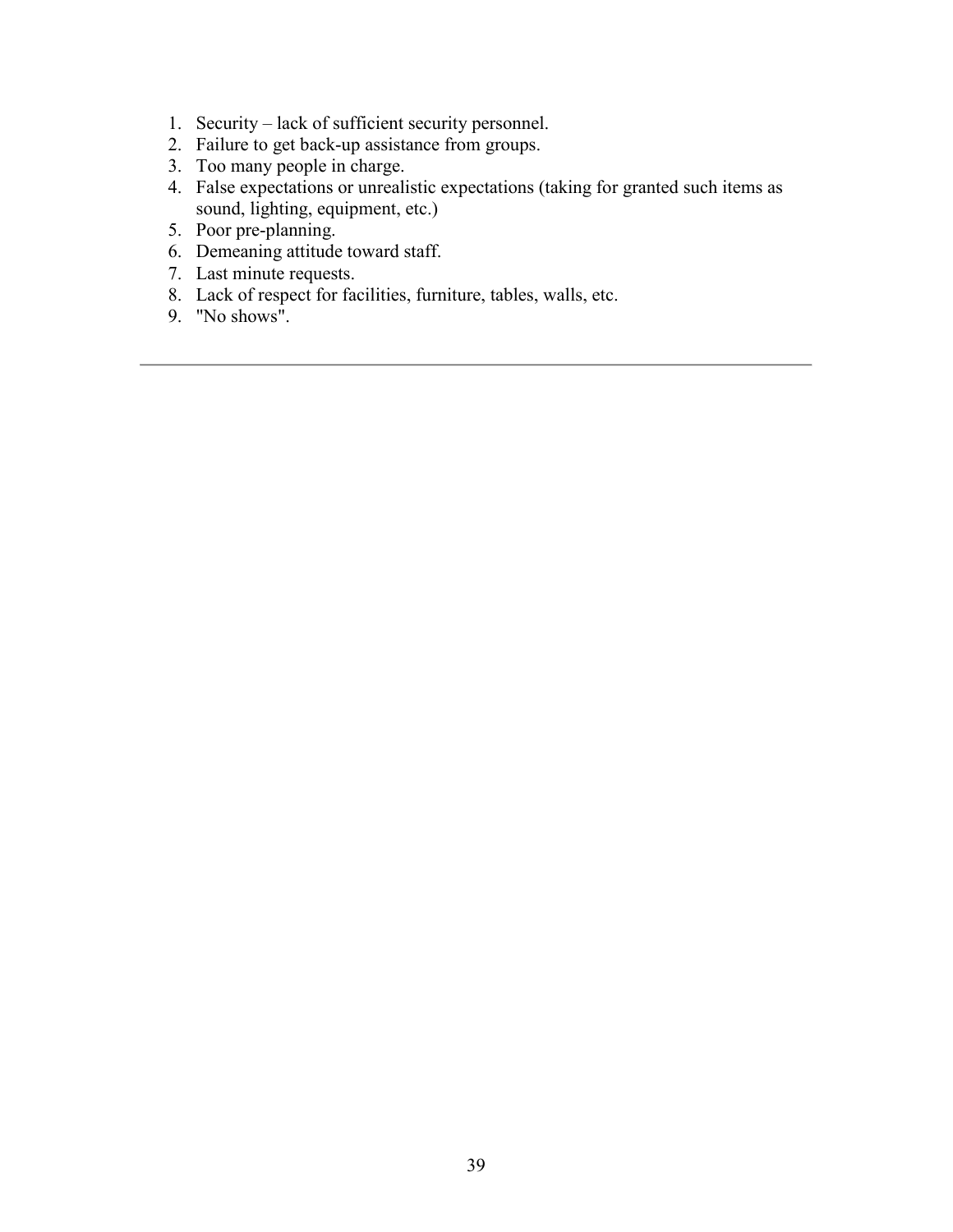- 1. Security lack of sufficient security personnel.
- 2. Failure to get back-up assistance from groups.
- 3. Too many people in charge.
- 4. False expectations or unrealistic expectations (taking for granted such items as sound, lighting, equipment, etc.)
- 5. Poor pre-planning.
- 6. Demeaning attitude toward staff.
- 7. Last minute requests.
- 8. Lack of respect for facilities, furniture, tables, walls, etc.
- 9. "No shows".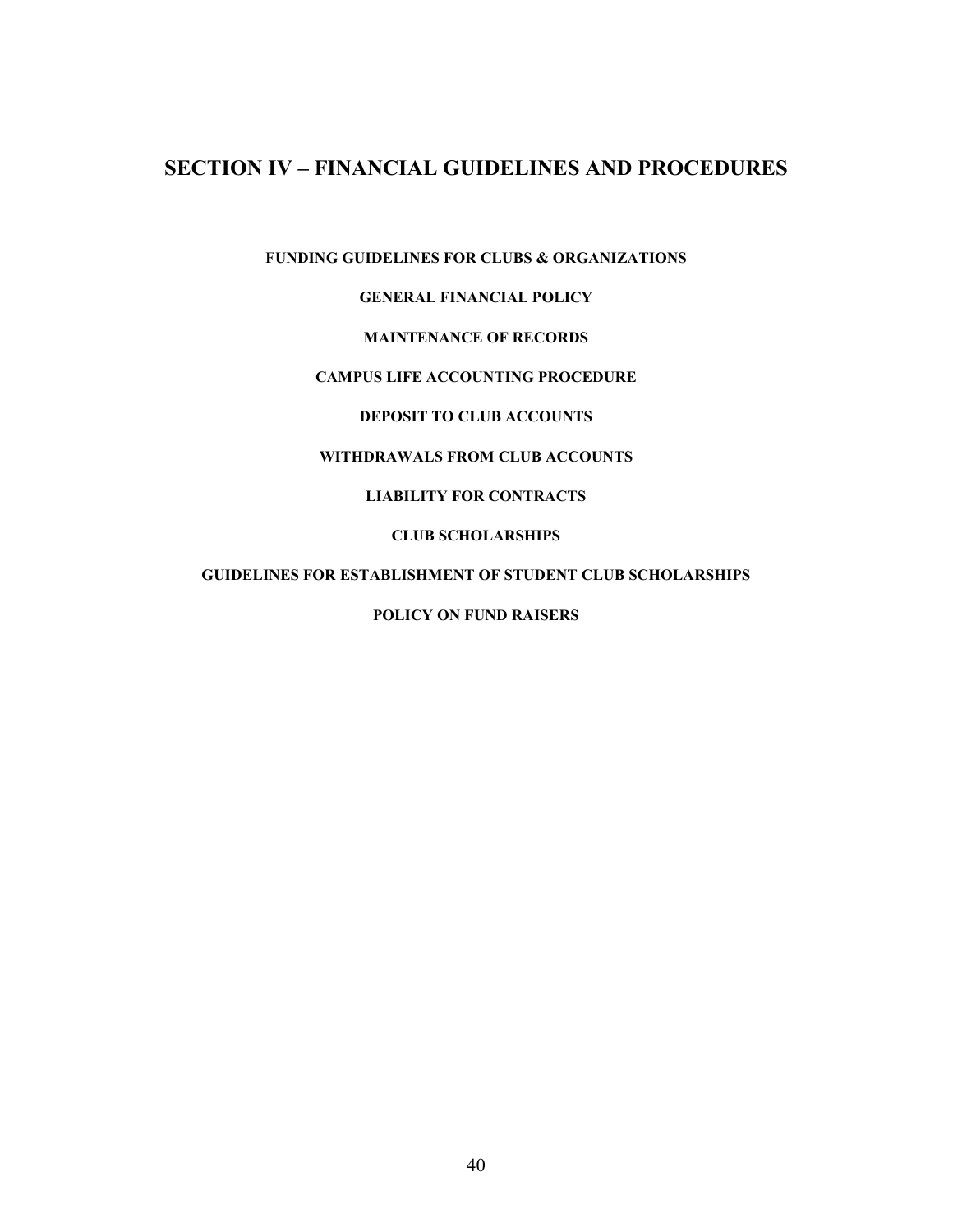## **SECTION IV – FINANCIAL GUIDELINES AND PROCEDURES**

**FUNDING GUIDELINES FOR CLUBS & ORGANIZATIONS** 

**GENERAL FINANCIAL POLICY** 

#### **MAINTENANCE OF RECORDS**

#### **CAMPUS LIFE ACCOUNTING PROCEDURE**

**DEPOSIT TO CLUB ACCOUNTS** 

#### **WITHDRAWALS FROM CLUB ACCOUNTS**

#### **LIABILITY FOR CONTRACTS**

#### **CLUB SCHOLARSHIPS**

#### **GUIDELINES FOR ESTABLISHMENT OF STUDENT CLUB SCHOLARSHIPS**

#### **POLICY ON FUND RAISERS**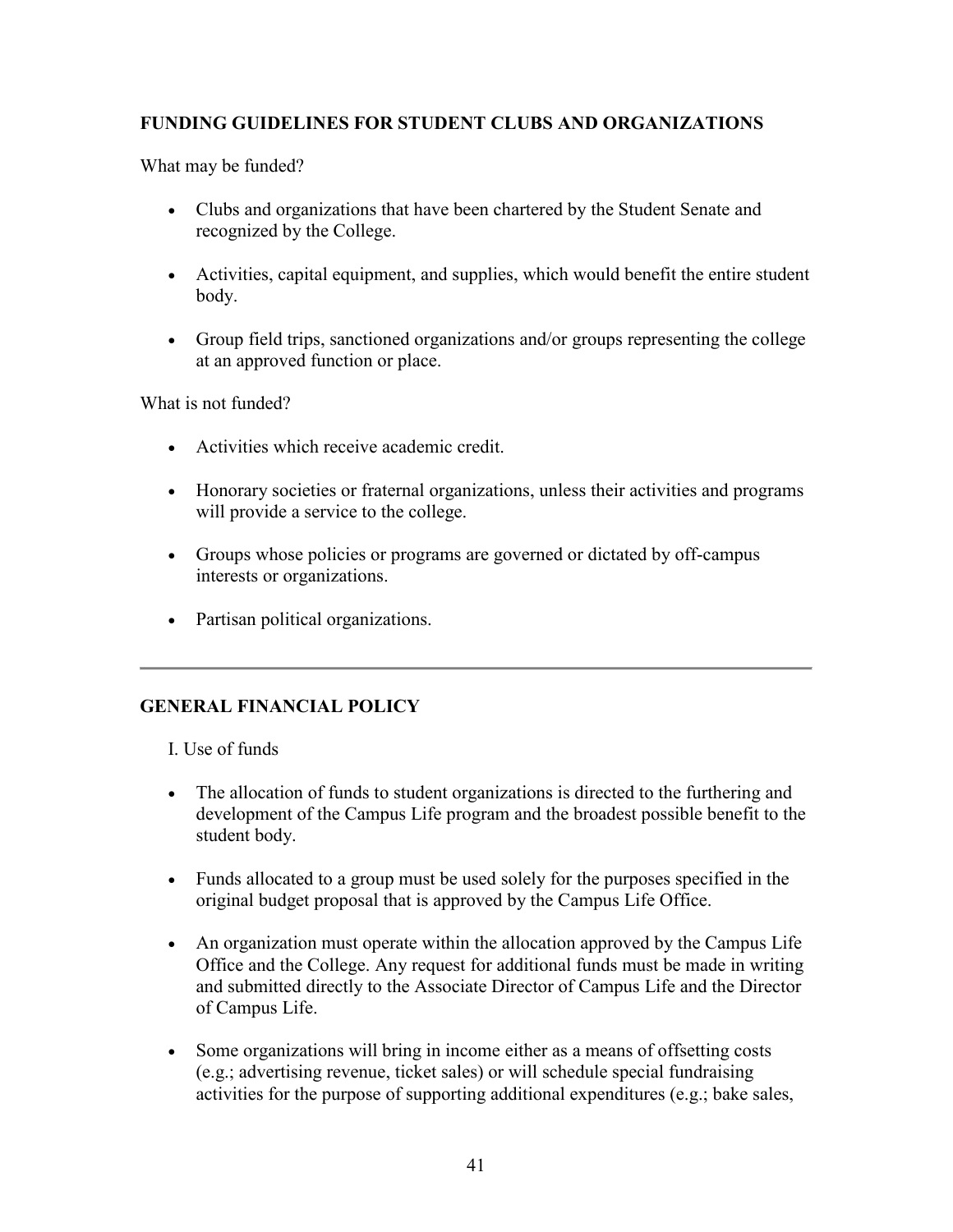## **FUNDING GUIDELINES FOR STUDENT CLUBS AND ORGANIZATIONS**

What may be funded?

- Clubs and organizations that have been chartered by the Student Senate and recognized by the College.
- Activities, capital equipment, and supplies, which would benefit the entire student body.
- Group field trips, sanctioned organizations and/or groups representing the college at an approved function or place.

What is not funded?

- Activities which receive academic credit.
- Honorary societies or fraternal organizations, unless their activities and programs will provide a service to the college.
- Groups whose policies or programs are governed or dictated by off-campus interests or organizations.
- Partisan political organizations.

### **GENERAL FINANCIAL POLICY**

I. Use of funds

- The allocation of funds to student organizations is directed to the furthering and development of the Campus Life program and the broadest possible benefit to the student body.
- Funds allocated to a group must be used solely for the purposes specified in the original budget proposal that is approved by the Campus Life Office.
- An organization must operate within the allocation approved by the Campus Life Office and the College. Any request for additional funds must be made in writing and submitted directly to the Associate Director of Campus Life and the Director of Campus Life.
- Some organizations will bring in income either as a means of offsetting costs (e.g.; advertising revenue, ticket sales) or will schedule special fundraising activities for the purpose of supporting additional expenditures (e.g.; bake sales,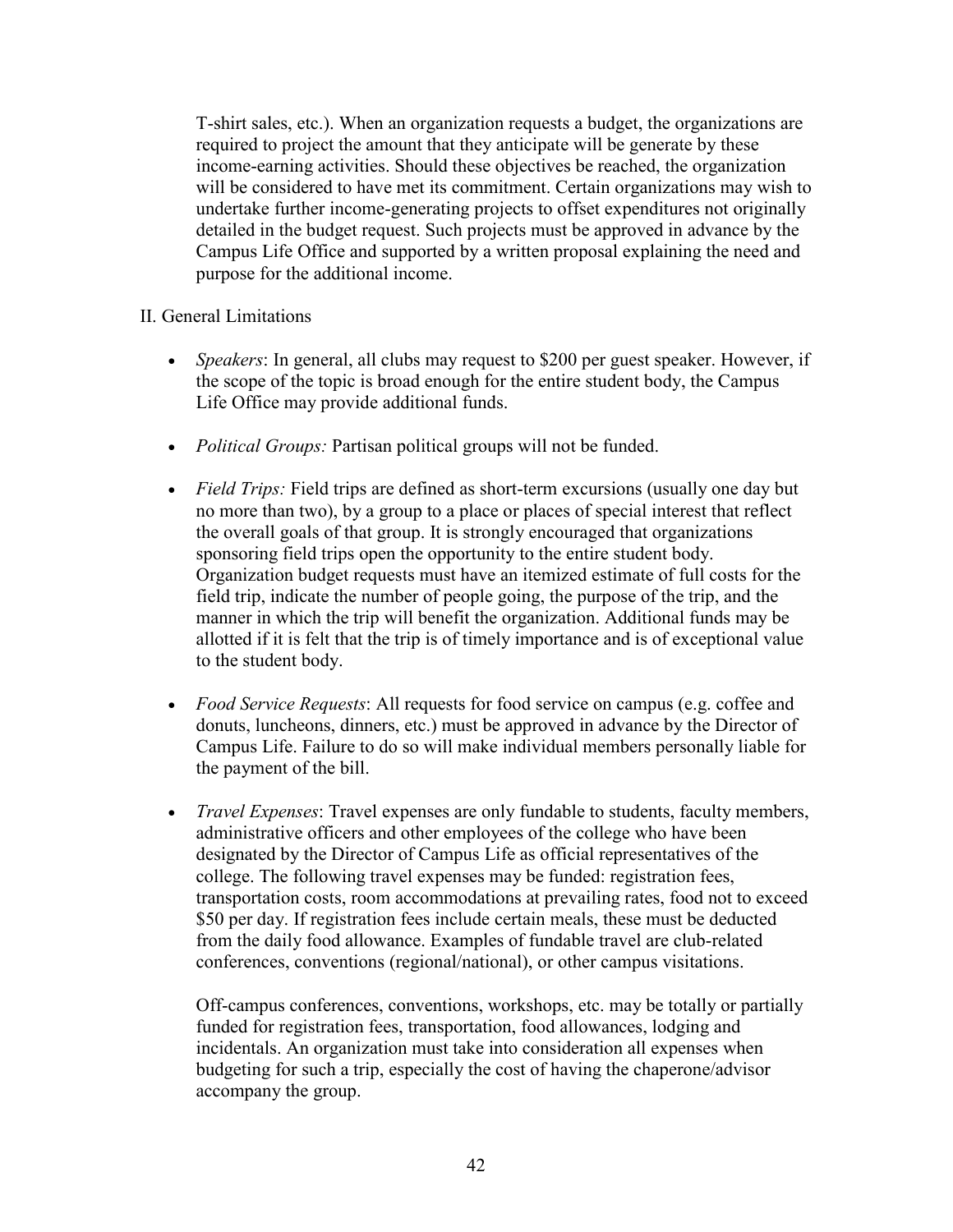T-shirt sales, etc.). When an organization requests a budget, the organizations are required to project the amount that they anticipate will be generate by these income-earning activities. Should these objectives be reached, the organization will be considered to have met its commitment. Certain organizations may wish to undertake further income-generating projects to offset expenditures not originally detailed in the budget request. Such projects must be approved in advance by the Campus Life Office and supported by a written proposal explaining the need and purpose for the additional income.

#### II. General Limitations

- *Speakers*: In general, all clubs may request to \$200 per guest speaker. However, if the scope of the topic is broad enough for the entire student body, the Campus Life Office may provide additional funds.
- *Political Groups:* Partisan political groups will not be funded.
- *Field Trips:* Field trips are defined as short-term excursions (usually one day but no more than two), by a group to a place or places of special interest that reflect the overall goals of that group. It is strongly encouraged that organizations sponsoring field trips open the opportunity to the entire student body. Organization budget requests must have an itemized estimate of full costs for the field trip, indicate the number of people going, the purpose of the trip, and the manner in which the trip will benefit the organization. Additional funds may be allotted if it is felt that the trip is of timely importance and is of exceptional value to the student body.
- *Food Service Requests*: All requests for food service on campus (e.g. coffee and donuts, luncheons, dinners, etc.) must be approved in advance by the Director of Campus Life. Failure to do so will make individual members personally liable for the payment of the bill.
- *Travel Expenses*: Travel expenses are only fundable to students, faculty members, administrative officers and other employees of the college who have been designated by the Director of Campus Life as official representatives of the college. The following travel expenses may be funded: registration fees, transportation costs, room accommodations at prevailing rates, food not to exceed \$50 per day. If registration fees include certain meals, these must be deducted from the daily food allowance. Examples of fundable travel are club-related conferences, conventions (regional/national), or other campus visitations.

Off-campus conferences, conventions, workshops, etc. may be totally or partially funded for registration fees, transportation, food allowances, lodging and incidentals. An organization must take into consideration all expenses when budgeting for such a trip, especially the cost of having the chaperone/advisor accompany the group.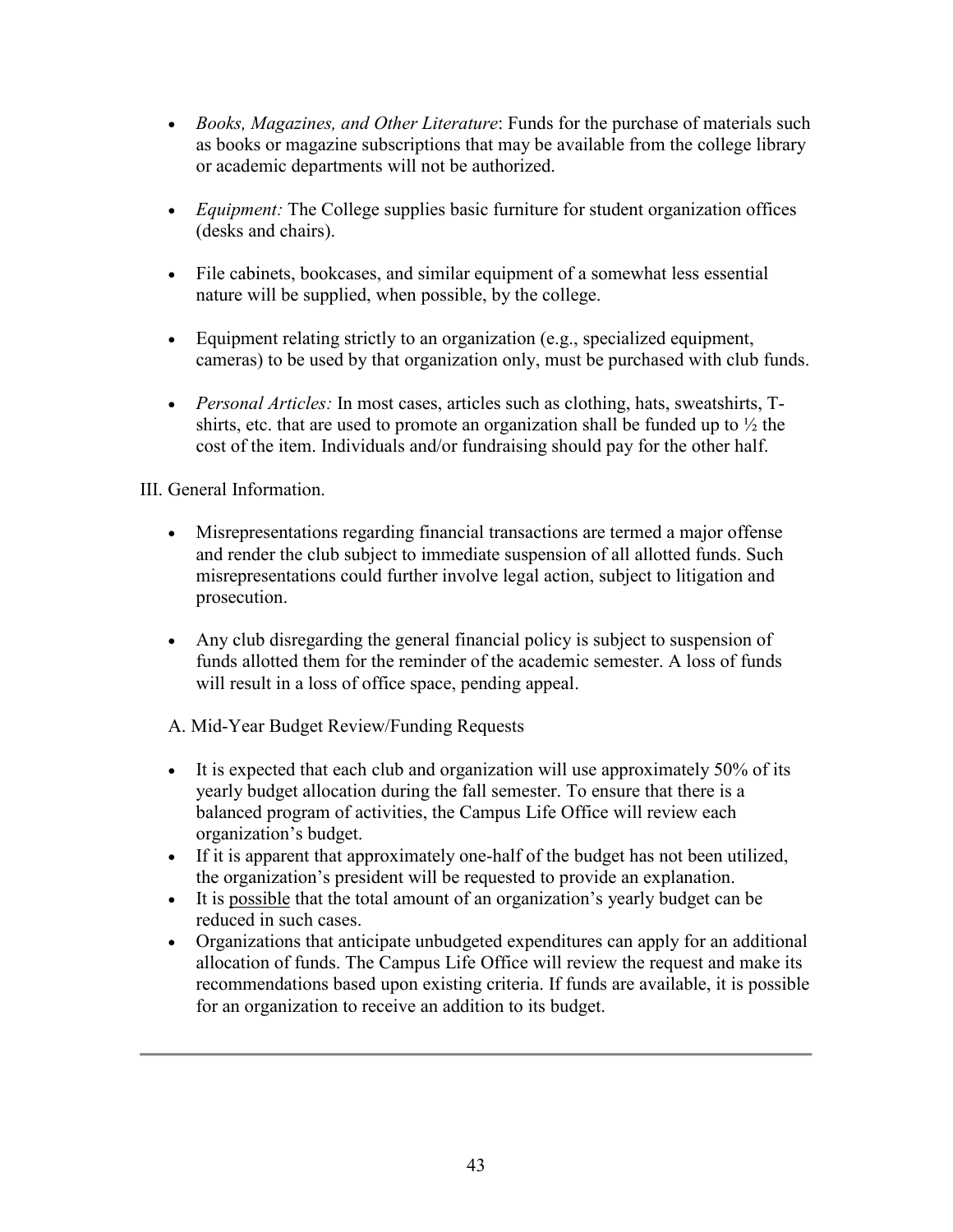- *Books, Magazines, and Other Literature*: Funds for the purchase of materials such as books or magazine subscriptions that may be available from the college library or academic departments will not be authorized.
- *Equipment:* The College supplies basic furniture for student organization offices (desks and chairs).
- File cabinets, bookcases, and similar equipment of a somewhat less essential nature will be supplied, when possible, by the college.
- Equipment relating strictly to an organization (e.g., specialized equipment, cameras) to be used by that organization only, must be purchased with club funds.
- *Personal Articles:* In most cases, articles such as clothing, hats, sweatshirts, Tshirts, etc. that are used to promote an organization shall be funded up to  $\frac{1}{2}$  the cost of the item. Individuals and/or fundraising should pay for the other half.

III. General Information.

- Misrepresentations regarding financial transactions are termed a major offense and render the club subject to immediate suspension of all allotted funds. Such misrepresentations could further involve legal action, subject to litigation and prosecution.
- Any club disregarding the general financial policy is subject to suspension of funds allotted them for the reminder of the academic semester. A loss of funds will result in a loss of office space, pending appeal.

A. Mid-Year Budget Review/Funding Requests

- It is expected that each club and organization will use approximately 50% of its yearly budget allocation during the fall semester. To ensure that there is a balanced program of activities, the Campus Life Office will review each organization's budget.
- If it is apparent that approximately one-half of the budget has not been utilized, the organization's president will be requested to provide an explanation.
- It is possible that the total amount of an organization's yearly budget can be reduced in such cases.
- Organizations that anticipate unbudgeted expenditures can apply for an additional allocation of funds. The Campus Life Office will review the request and make its recommendations based upon existing criteria. If funds are available, it is possible for an organization to receive an addition to its budget.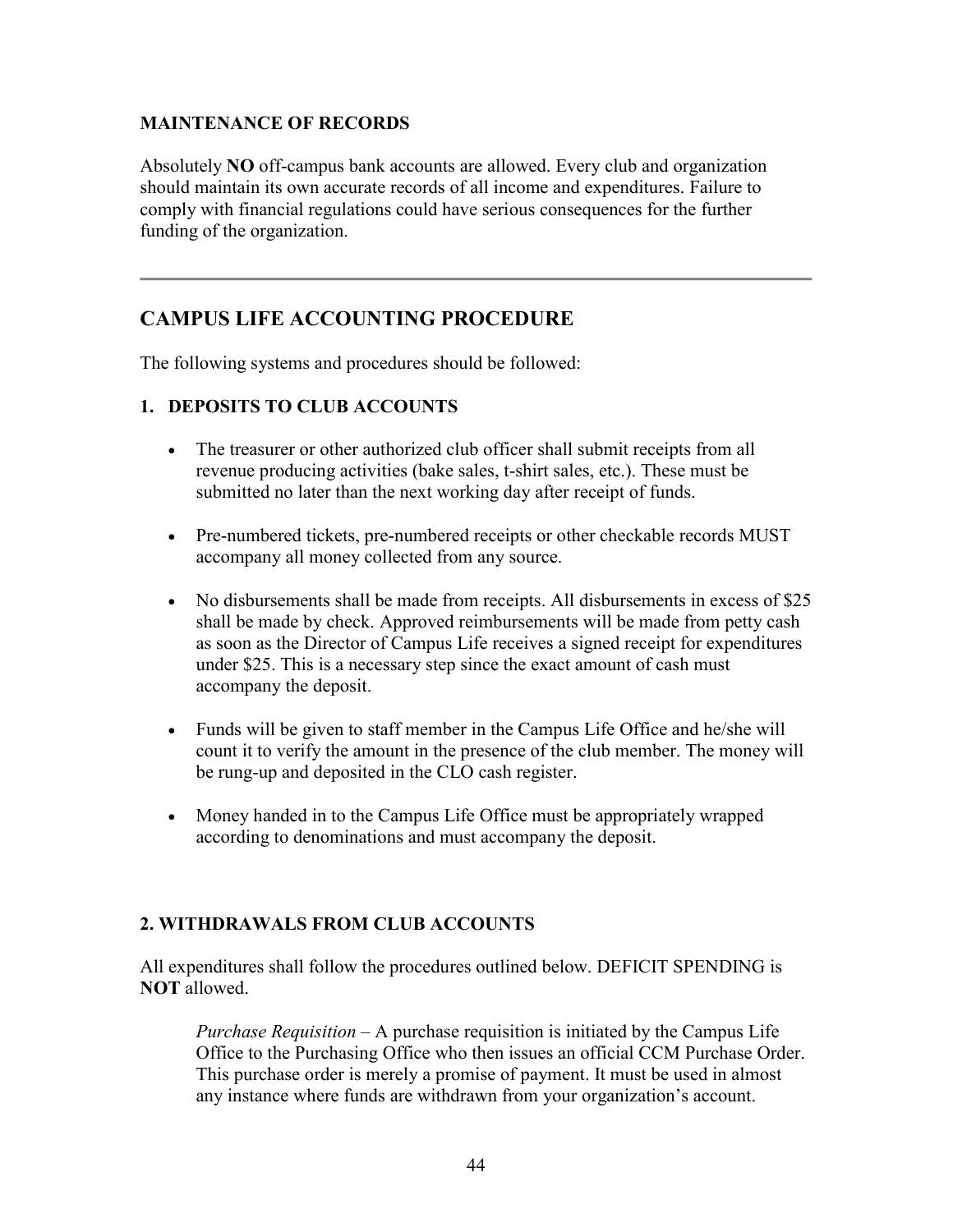#### **MAINTENANCE OF RECORDS**

Absolutely **NO** off-campus bank accounts are allowed. Every club and organization should maintain its own accurate records of all income and expenditures. Failure to comply with financial regulations could have serious consequences for the further funding of the organization.

## **CAMPUS LIFE ACCOUNTING PROCEDURE**

The following systems and procedures should be followed:

### **1. DEPOSITS TO CLUB ACCOUNTS**

- The treasurer or other authorized club officer shall submit receipts from all revenue producing activities (bake sales, t-shirt sales, etc.). These must be submitted no later than the next working day after receipt of funds.
- Pre-numbered tickets, pre-numbered receipts or other checkable records MUST accompany all money collected from any source.
- No disbursements shall be made from receipts. All disbursements in excess of \$25 shall be made by check. Approved reimbursements will be made from petty cash as soon as the Director of Campus Life receives a signed receipt for expenditures under \$25. This is a necessary step since the exact amount of cash must accompany the deposit.
- Funds will be given to staff member in the Campus Life Office and he/she will count it to verify the amount in the presence of the club member. The money will be rung-up and deposited in the CLO cash register.
- Money handed in to the Campus Life Office must be appropriately wrapped according to denominations and must accompany the deposit.

### **2. WITHDRAWALS FROM CLUB ACCOUNTS**

All expenditures shall follow the procedures outlined below. DEFICIT SPENDING is **NOT** allowed.

*Purchase Requisition* – A purchase requisition is initiated by the Campus Life Office to the Purchasing Office who then issues an official CCM Purchase Order. This purchase order is merely a promise of payment. It must be used in almost any instance where funds are withdrawn from your organization's account.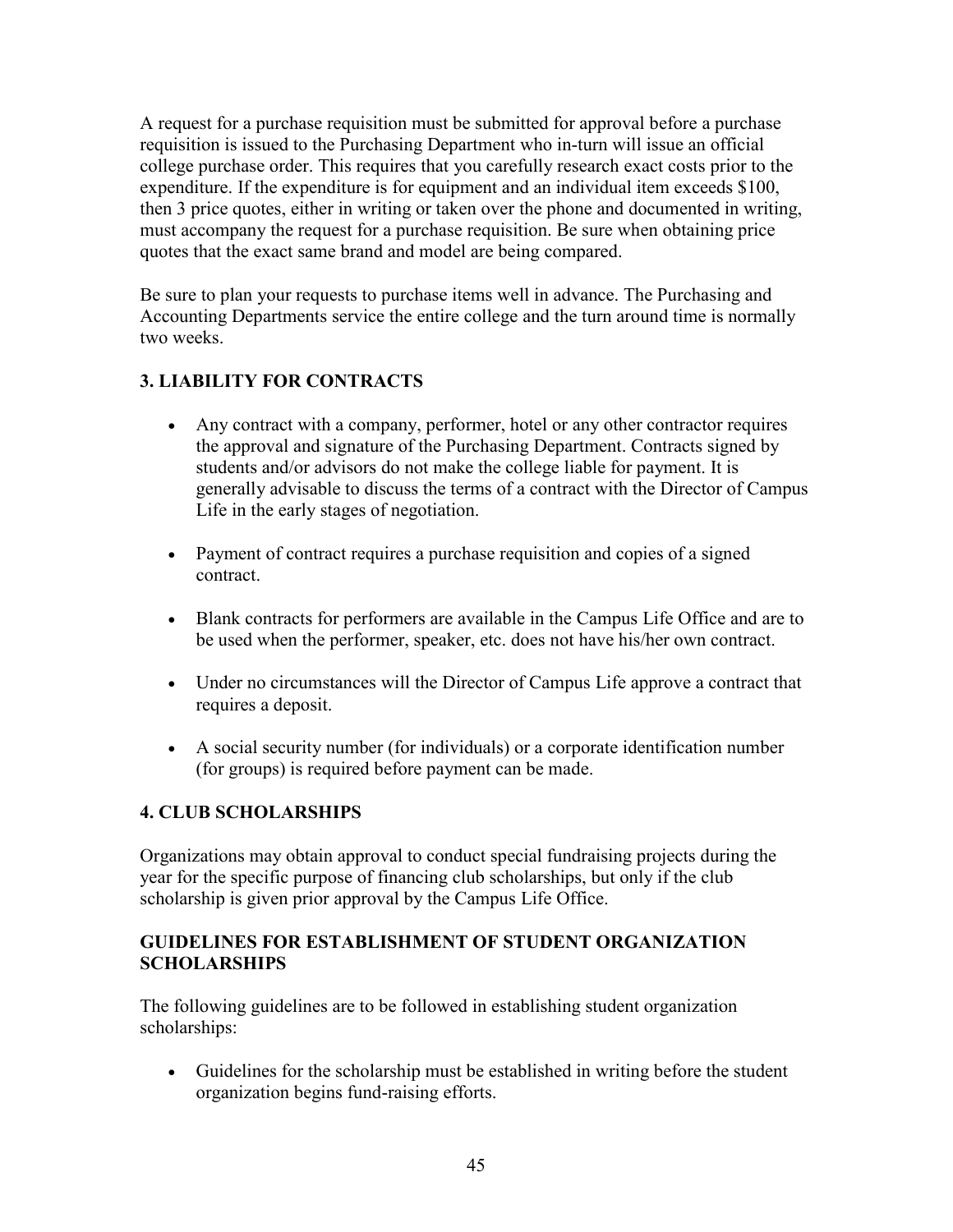A request for a purchase requisition must be submitted for approval before a purchase requisition is issued to the Purchasing Department who in-turn will issue an official college purchase order. This requires that you carefully research exact costs prior to the expenditure. If the expenditure is for equipment and an individual item exceeds \$100, then 3 price quotes, either in writing or taken over the phone and documented in writing, must accompany the request for a purchase requisition. Be sure when obtaining price quotes that the exact same brand and model are being compared.

Be sure to plan your requests to purchase items well in advance. The Purchasing and Accounting Departments service the entire college and the turn around time is normally two weeks.

## **3. LIABILITY FOR CONTRACTS**

- Any contract with a company, performer, hotel or any other contractor requires the approval and signature of the Purchasing Department. Contracts signed by students and/or advisors do not make the college liable for payment. It is generally advisable to discuss the terms of a contract with the Director of Campus Life in the early stages of negotiation.
- Payment of contract requires a purchase requisition and copies of a signed contract.
- Blank contracts for performers are available in the Campus Life Office and are to be used when the performer, speaker, etc. does not have his/her own contract.
- Under no circumstances will the Director of Campus Life approve a contract that requires a deposit.
- A social security number (for individuals) or a corporate identification number (for groups) is required before payment can be made.

## **4. CLUB SCHOLARSHIPS**

Organizations may obtain approval to conduct special fundraising projects during the year for the specific purpose of financing club scholarships, but only if the club scholarship is given prior approval by the Campus Life Office.

### **GUIDELINES FOR ESTABLISHMENT OF STUDENT ORGANIZATION SCHOLARSHIPS**

The following guidelines are to be followed in establishing student organization scholarships:

• Guidelines for the scholarship must be established in writing before the student organization begins fund-raising efforts.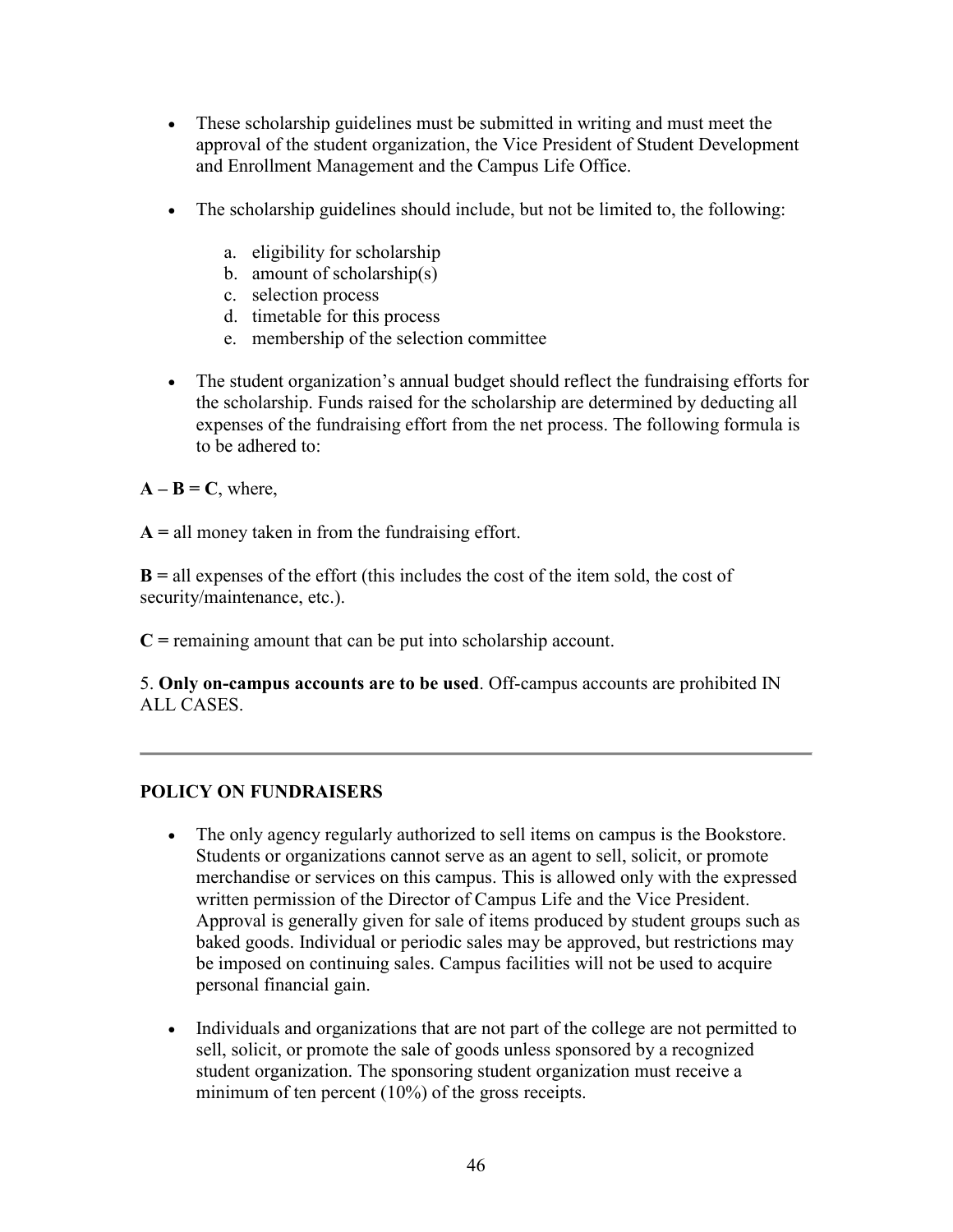- These scholarship guidelines must be submitted in writing and must meet the approval of the student organization, the Vice President of Student Development and Enrollment Management and the Campus Life Office.
- The scholarship guidelines should include, but not be limited to, the following:
	- a. eligibility for scholarship
	- b. amount of scholarship(s)
	- c. selection process
	- d. timetable for this process
	- e. membership of the selection committee
- The student organization's annual budget should reflect the fundraising efforts for the scholarship. Funds raised for the scholarship are determined by deducting all expenses of the fundraising effort from the net process. The following formula is to be adhered to:
- $A B = C$ , where,
- **A =** all money taken in from the fundraising effort.

**B =** all expenses of the effort (this includes the cost of the item sold, the cost of security/maintenance, etc.).

**C =** remaining amount that can be put into scholarship account.

5. **Only on-campus accounts are to be used**. Off-campus accounts are prohibited IN ALL CASES.

### **POLICY ON FUNDRAISERS**

- The only agency regularly authorized to sell items on campus is the Bookstore. Students or organizations cannot serve as an agent to sell, solicit, or promote merchandise or services on this campus. This is allowed only with the expressed written permission of the Director of Campus Life and the Vice President. Approval is generally given for sale of items produced by student groups such as baked goods. Individual or periodic sales may be approved, but restrictions may be imposed on continuing sales. Campus facilities will not be used to acquire personal financial gain.
- Individuals and organizations that are not part of the college are not permitted to sell, solicit, or promote the sale of goods unless sponsored by a recognized student organization. The sponsoring student organization must receive a minimum of ten percent (10%) of the gross receipts.